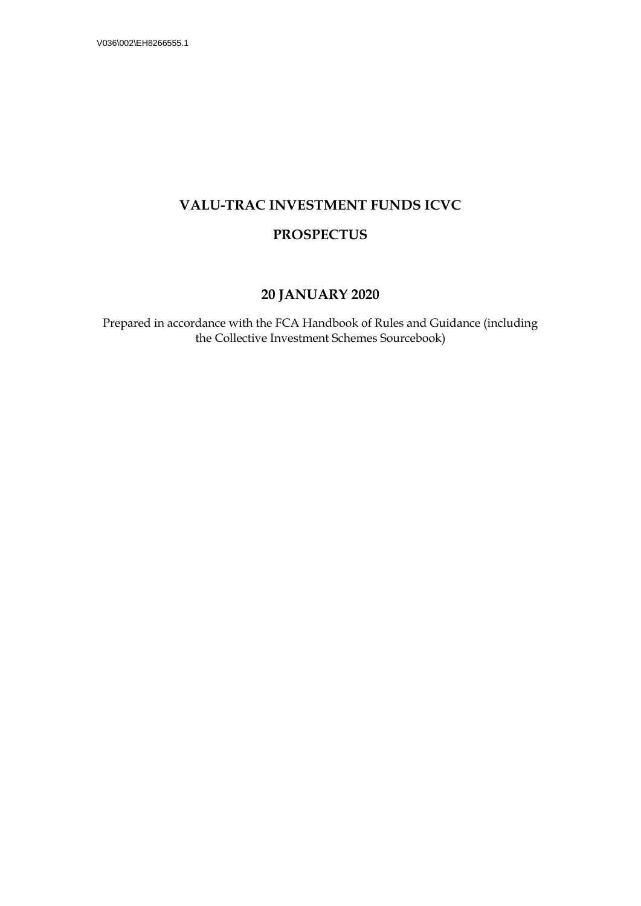# **VALU-TRAC INVESTMENT FUNDS ICVC**

## **PROSPECTUS**

## **20 JANUARY 2020**

Prepared in accordance with the FCA Handbook of Rules and Guidance (including the Collective Investment Schemes Sourcebook)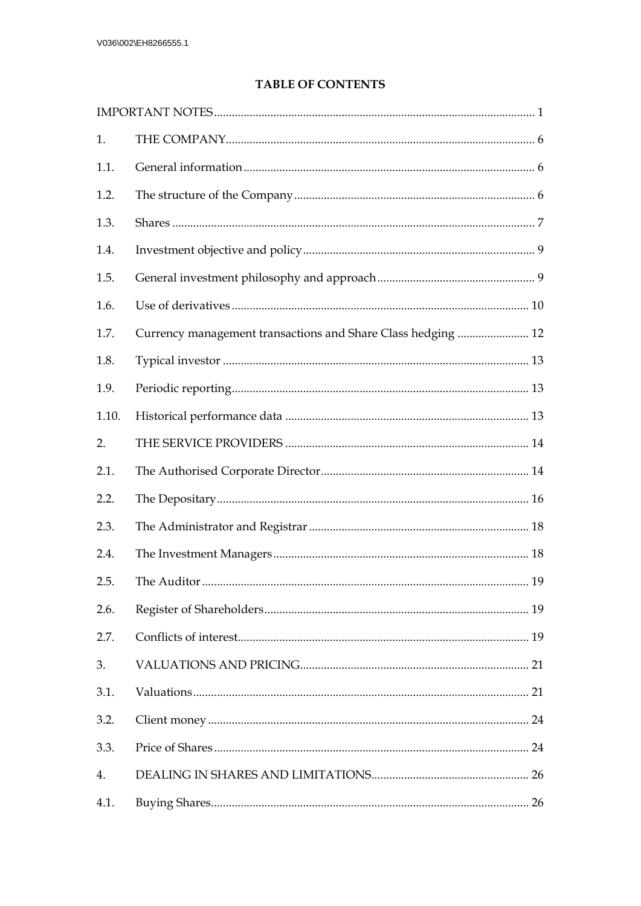## **TABLE OF CONTENTS**

| 1.    |                                                              |  |
|-------|--------------------------------------------------------------|--|
| 1.1.  |                                                              |  |
| 1.2.  |                                                              |  |
| 1.3.  |                                                              |  |
| 1.4.  |                                                              |  |
| 1.5.  |                                                              |  |
| 1.6.  |                                                              |  |
| 1.7.  | Currency management transactions and Share Class hedging  12 |  |
| 1.8.  |                                                              |  |
| 1.9.  |                                                              |  |
| 1.10. |                                                              |  |
| 2.    |                                                              |  |
| 2.1.  |                                                              |  |
| 2.2.  |                                                              |  |
| 2.3.  |                                                              |  |
| 2.4.  |                                                              |  |
| 2.5.  |                                                              |  |
| 2.6.  |                                                              |  |
| 2.7.  |                                                              |  |
| 3.    |                                                              |  |
| 3.1.  |                                                              |  |
| 3.2.  |                                                              |  |
| 3.3.  |                                                              |  |
| 4.    |                                                              |  |
| 4.1.  |                                                              |  |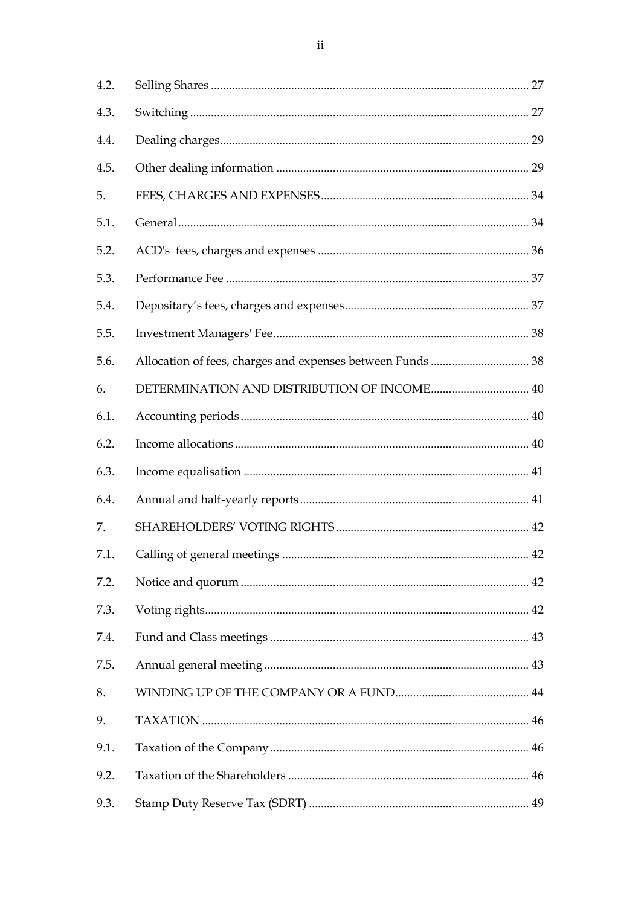| 4.2. |                                             |  |
|------|---------------------------------------------|--|
| 4.3. |                                             |  |
| 4.4. |                                             |  |
| 4.5. |                                             |  |
| 5.   |                                             |  |
| 5.1. |                                             |  |
| 5.2. |                                             |  |
| 5.3. |                                             |  |
| 5.4. |                                             |  |
| 5.5. |                                             |  |
| 5.6. |                                             |  |
| 6.   | DETERMINATION AND DISTRIBUTION OF INCOME 40 |  |
| 6.1. |                                             |  |
| 6.2. |                                             |  |
| 6.3. |                                             |  |
| 6.4. |                                             |  |
| 7.   |                                             |  |
| 7.1. |                                             |  |
| 7.2. |                                             |  |
| 7.3. |                                             |  |
| 7.4. |                                             |  |
| 7.5. |                                             |  |
| 8.   |                                             |  |
| 9.   |                                             |  |
| 9.1. |                                             |  |
| 9.2. |                                             |  |
| 9.3. |                                             |  |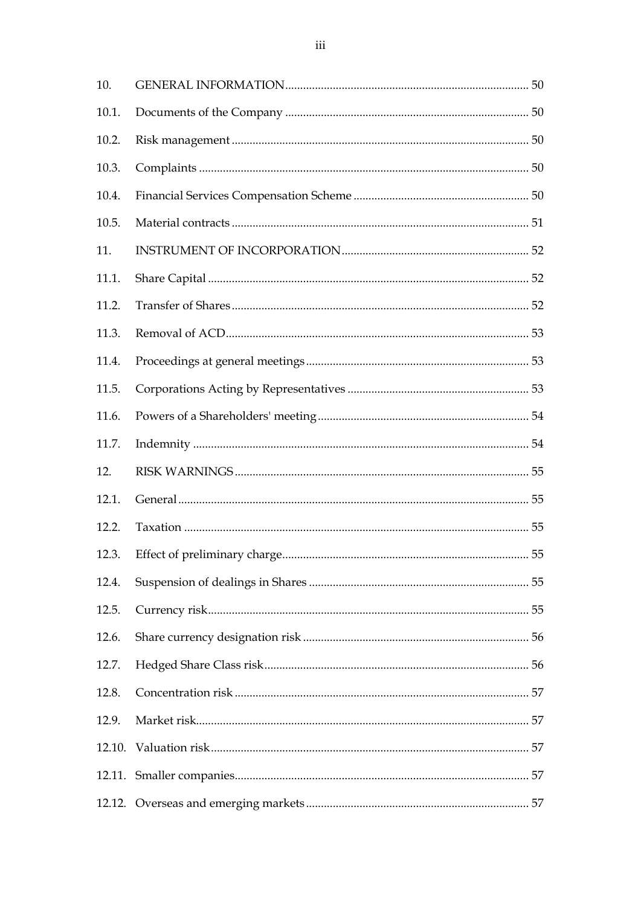| 10.   |    |  |
|-------|----|--|
| 10.1. |    |  |
| 10.2. |    |  |
| 10.3. |    |  |
| 10.4. |    |  |
| 10.5. |    |  |
| 11.   |    |  |
| 11.1. |    |  |
| 11.2. |    |  |
| 11.3. |    |  |
| 11.4. |    |  |
| 11.5. |    |  |
| 11.6. |    |  |
| 11.7. |    |  |
| 12.   |    |  |
| 12.1. |    |  |
| 12.2. |    |  |
| 12.3. | 55 |  |
| 12.4. |    |  |
| 12.5. |    |  |
| 12.6. |    |  |
| 12.7. |    |  |
| 12.8. |    |  |
| 12.9. |    |  |
|       |    |  |
|       |    |  |
|       |    |  |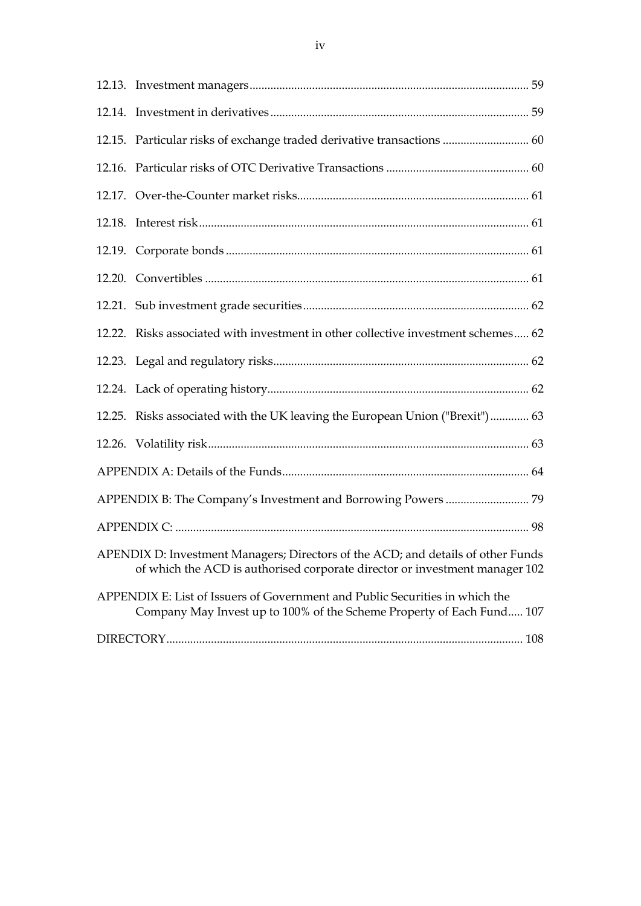|  | 12.15. Particular risks of exchange traded derivative transactions  60                                                                                          |  |
|--|-----------------------------------------------------------------------------------------------------------------------------------------------------------------|--|
|  |                                                                                                                                                                 |  |
|  |                                                                                                                                                                 |  |
|  |                                                                                                                                                                 |  |
|  |                                                                                                                                                                 |  |
|  |                                                                                                                                                                 |  |
|  |                                                                                                                                                                 |  |
|  | 12.22. Risks associated with investment in other collective investment schemes 62                                                                               |  |
|  |                                                                                                                                                                 |  |
|  |                                                                                                                                                                 |  |
|  | 12.25. Risks associated with the UK leaving the European Union ("Brexit") 63                                                                                    |  |
|  |                                                                                                                                                                 |  |
|  |                                                                                                                                                                 |  |
|  |                                                                                                                                                                 |  |
|  |                                                                                                                                                                 |  |
|  | APENDIX D: Investment Managers; Directors of the ACD; and details of other Funds<br>of which the ACD is authorised corporate director or investment manager 102 |  |
|  | APPENDIX E: List of Issuers of Government and Public Securities in which the<br>Company May Invest up to 100% of the Scheme Property of Each Fund 107           |  |
|  |                                                                                                                                                                 |  |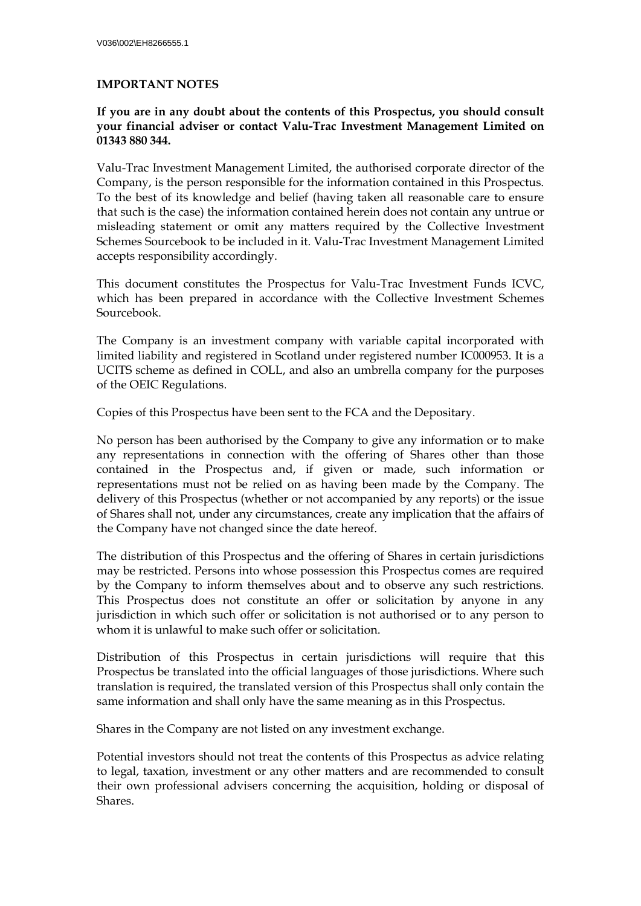## <span id="page-5-0"></span>**IMPORTANT NOTES**

#### **If you are in any doubt about the contents of this Prospectus, you should consult your financial adviser or contact Valu-Trac Investment Management Limited on 01343 880 344.**

Valu-Trac Investment Management Limited, the authorised corporate director of the Company, is the person responsible for the information contained in this Prospectus. To the best of its knowledge and belief (having taken all reasonable care to ensure that such is the case) the information contained herein does not contain any untrue or misleading statement or omit any matters required by the Collective Investment Schemes Sourcebook to be included in it. Valu-Trac Investment Management Limited accepts responsibility accordingly.

This document constitutes the Prospectus for Valu-Trac Investment Funds ICVC, which has been prepared in accordance with the Collective Investment Schemes Sourcebook.

The Company is an investment company with variable capital incorporated with limited liability and registered in Scotland under registered number IC000953. It is a UCITS scheme as defined in COLL, and also an umbrella company for the purposes of the OEIC Regulations.

Copies of this Prospectus have been sent to the FCA and the Depositary.

No person has been authorised by the Company to give any information or to make any representations in connection with the offering of Shares other than those contained in the Prospectus and, if given or made, such information or representations must not be relied on as having been made by the Company. The delivery of this Prospectus (whether or not accompanied by any reports) or the issue of Shares shall not, under any circumstances, create any implication that the affairs of the Company have not changed since the date hereof.

The distribution of this Prospectus and the offering of Shares in certain jurisdictions may be restricted. Persons into whose possession this Prospectus comes are required by the Company to inform themselves about and to observe any such restrictions. This Prospectus does not constitute an offer or solicitation by anyone in any jurisdiction in which such offer or solicitation is not authorised or to any person to whom it is unlawful to make such offer or solicitation.

Distribution of this Prospectus in certain jurisdictions will require that this Prospectus be translated into the official languages of those jurisdictions. Where such translation is required, the translated version of this Prospectus shall only contain the same information and shall only have the same meaning as in this Prospectus.

Shares in the Company are not listed on any investment exchange.

Potential investors should not treat the contents of this Prospectus as advice relating to legal, taxation, investment or any other matters and are recommended to consult their own professional advisers concerning the acquisition, holding or disposal of Shares.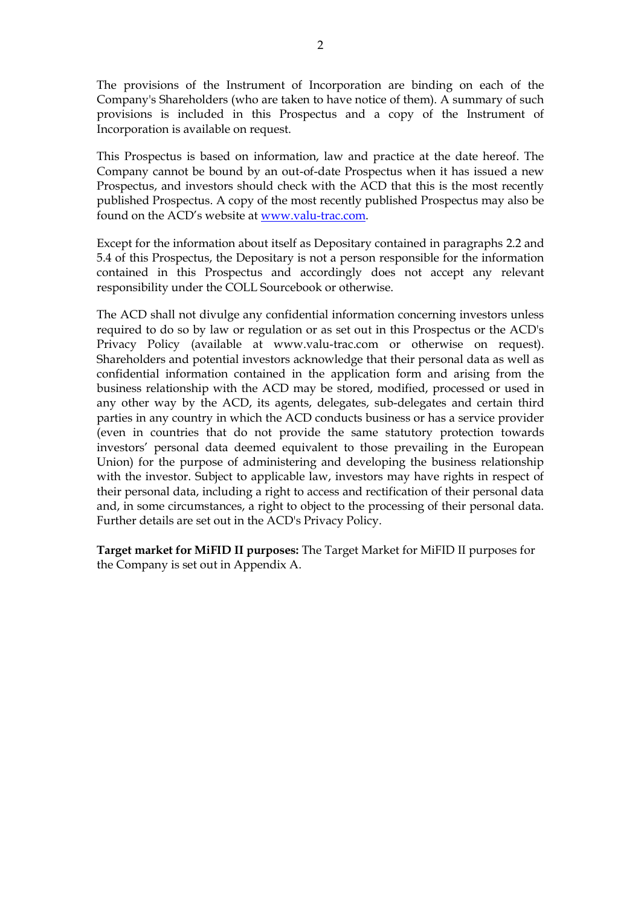The provisions of the Instrument of Incorporation are binding on each of the Company's Shareholders (who are taken to have notice of them). A summary of such provisions is included in this Prospectus and a copy of the Instrument of Incorporation is available on request.

This Prospectus is based on information, law and practice at the date hereof. The Company cannot be bound by an out-of-date Prospectus when it has issued a new Prospectus, and investors should check with the ACD that this is the most recently published Prospectus. A copy of the most recently published Prospectus may also be found on the ACD's website at [www.valu-trac.com.](http://www.valu-trac.com/)

Except for the information about itself as Depositary contained in paragraphs 2.2 and 5.4 of this Prospectus, the Depositary is not a person responsible for the information contained in this Prospectus and accordingly does not accept any relevant responsibility under the COLL Sourcebook or otherwise.

The ACD shall not divulge any confidential information concerning investors unless required to do so by law or regulation or as set out in this Prospectus or the ACD's Privacy Policy (available at www.valu-trac.com or otherwise on request). Shareholders and potential investors acknowledge that their personal data as well as confidential information contained in the application form and arising from the business relationship with the ACD may be stored, modified, processed or used in any other way by the ACD, its agents, delegates, sub-delegates and certain third parties in any country in which the ACD conducts business or has a service provider (even in countries that do not provide the same statutory protection towards investors' personal data deemed equivalent to those prevailing in the European Union) for the purpose of administering and developing the business relationship with the investor. Subject to applicable law, investors may have rights in respect of their personal data, including a right to access and rectification of their personal data and, in some circumstances, a right to object to the processing of their personal data. Further details are set out in the ACD's Privacy Policy.

**Target market for MiFID II purposes:** The Target Market for MiFID II purposes for the Company is set out in Appendix A.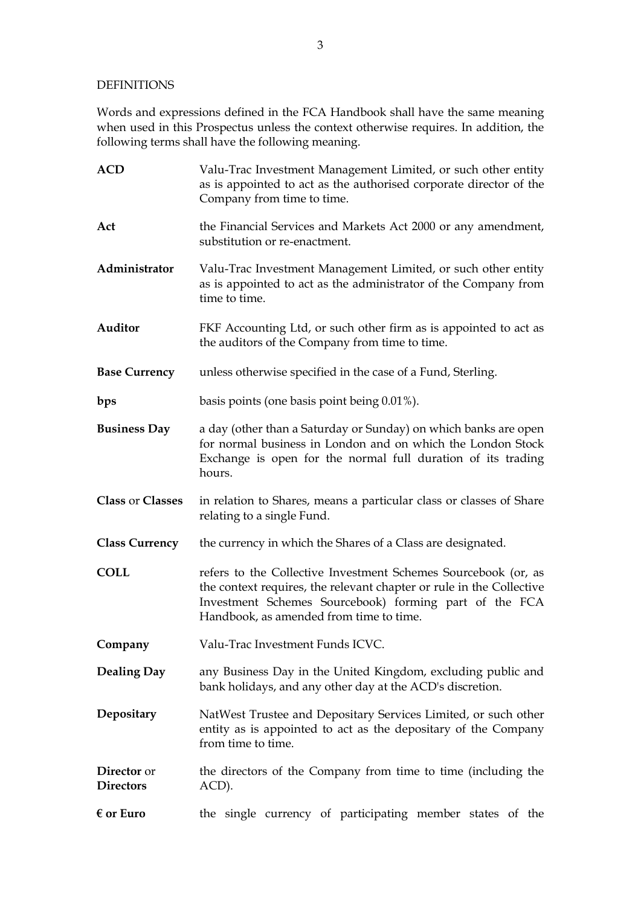#### DEFINITIONS

Words and expressions defined in the FCA Handbook shall have the same meaning when used in this Prospectus unless the context otherwise requires. In addition, the following terms shall have the following meaning.

| <b>ACD</b>                      | Valu-Trac Investment Management Limited, or such other entity<br>as is appointed to act as the authorised corporate director of the<br>Company from time to time.                                                                           |
|---------------------------------|---------------------------------------------------------------------------------------------------------------------------------------------------------------------------------------------------------------------------------------------|
| Act                             | the Financial Services and Markets Act 2000 or any amendment,<br>substitution or re-enactment.                                                                                                                                              |
| Administrator                   | Valu-Trac Investment Management Limited, or such other entity<br>as is appointed to act as the administrator of the Company from<br>time to time.                                                                                           |
| Auditor                         | FKF Accounting Ltd, or such other firm as is appointed to act as<br>the auditors of the Company from time to time.                                                                                                                          |
| <b>Base Currency</b>            | unless otherwise specified in the case of a Fund, Sterling.                                                                                                                                                                                 |
| bps                             | basis points (one basis point being 0.01%).                                                                                                                                                                                                 |
| <b>Business Day</b>             | a day (other than a Saturday or Sunday) on which banks are open<br>for normal business in London and on which the London Stock<br>Exchange is open for the normal full duration of its trading<br>hours.                                    |
| Class or Classes                | in relation to Shares, means a particular class or classes of Share<br>relating to a single Fund.                                                                                                                                           |
| <b>Class Currency</b>           | the currency in which the Shares of a Class are designated.                                                                                                                                                                                 |
| <b>COLL</b>                     | refers to the Collective Investment Schemes Sourcebook (or, as<br>the context requires, the relevant chapter or rule in the Collective<br>Investment Schemes Sourcebook) forming part of the FCA<br>Handbook, as amended from time to time. |
| Company                         | Valu-Trac Investment Funds ICVC.                                                                                                                                                                                                            |
| <b>Dealing Day</b>              | any Business Day in the United Kingdom, excluding public and<br>bank holidays, and any other day at the ACD's discretion.                                                                                                                   |
| Depositary                      | NatWest Trustee and Depositary Services Limited, or such other<br>entity as is appointed to act as the depositary of the Company<br>from time to time.                                                                                      |
| Director or<br><b>Directors</b> | the directors of the Company from time to time (including the<br>ACD).                                                                                                                                                                      |
| $\epsilon$ or Euro              | the single currency of participating member states of the                                                                                                                                                                                   |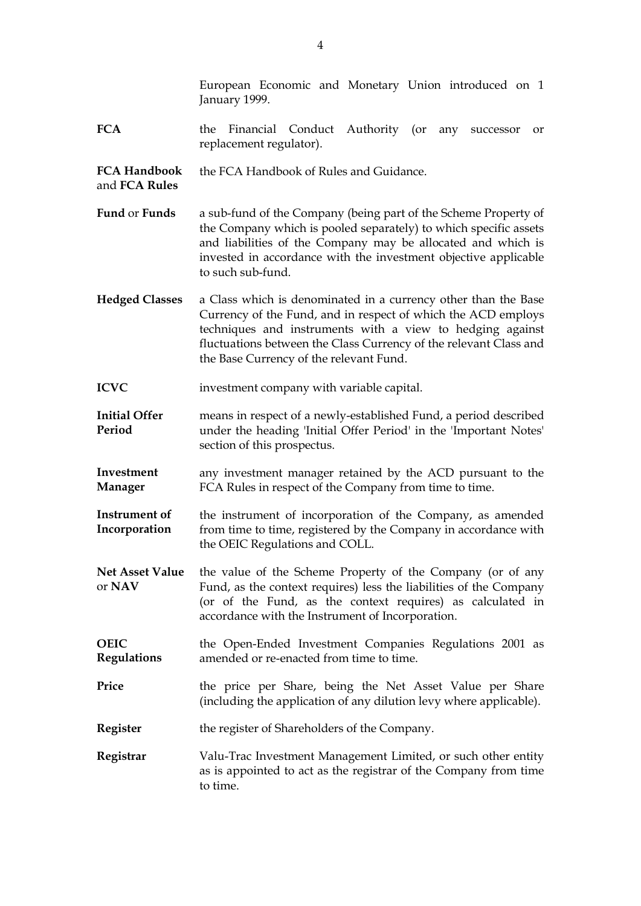|                                      | European Economic and Monetary Union introduced on 1<br>January 1999.                                                                                                                                                                                                                                        |
|--------------------------------------|--------------------------------------------------------------------------------------------------------------------------------------------------------------------------------------------------------------------------------------------------------------------------------------------------------------|
| <b>FCA</b>                           | Financial Conduct Authority (or<br>the<br>any<br>successor<br>or<br>replacement regulator).                                                                                                                                                                                                                  |
| <b>FCA Handbook</b><br>and FCA Rules | the FCA Handbook of Rules and Guidance.                                                                                                                                                                                                                                                                      |
| Fund or Funds                        | a sub-fund of the Company (being part of the Scheme Property of<br>the Company which is pooled separately) to which specific assets<br>and liabilities of the Company may be allocated and which is<br>invested in accordance with the investment objective applicable<br>to such sub-fund.                  |
| <b>Hedged Classes</b>                | a Class which is denominated in a currency other than the Base<br>Currency of the Fund, and in respect of which the ACD employs<br>techniques and instruments with a view to hedging against<br>fluctuations between the Class Currency of the relevant Class and<br>the Base Currency of the relevant Fund. |
| <b>ICVC</b>                          | investment company with variable capital.                                                                                                                                                                                                                                                                    |
| <b>Initial Offer</b><br>Period       | means in respect of a newly-established Fund, a period described<br>under the heading 'Initial Offer Period' in the 'Important Notes'<br>section of this prospectus.                                                                                                                                         |
| Investment<br><b>Manager</b>         | any investment manager retained by the ACD pursuant to the<br>FCA Rules in respect of the Company from time to time.                                                                                                                                                                                         |
| Instrument of<br>Incorporation       | the instrument of incorporation of the Company, as amended<br>from time to time, registered by the Company in accordance with<br>the OEIC Regulations and COLL.                                                                                                                                              |
| <b>Net Asset Value</b><br>or NAV     | the value of the Scheme Property of the Company (or of any<br>Fund, as the context requires) less the liabilities of the Company<br>(or of the Fund, as the context requires) as calculated in<br>accordance with the Instrument of Incorporation.                                                           |
| <b>OEIC</b><br><b>Regulations</b>    | the Open-Ended Investment Companies Regulations 2001 as<br>amended or re-enacted from time to time.                                                                                                                                                                                                          |
| Price                                | the price per Share, being the Net Asset Value per Share<br>(including the application of any dilution levy where applicable).                                                                                                                                                                               |
| <b>Register</b>                      | the register of Shareholders of the Company.                                                                                                                                                                                                                                                                 |
| Registrar                            | Valu-Trac Investment Management Limited, or such other entity<br>as is appointed to act as the registrar of the Company from time<br>to time.                                                                                                                                                                |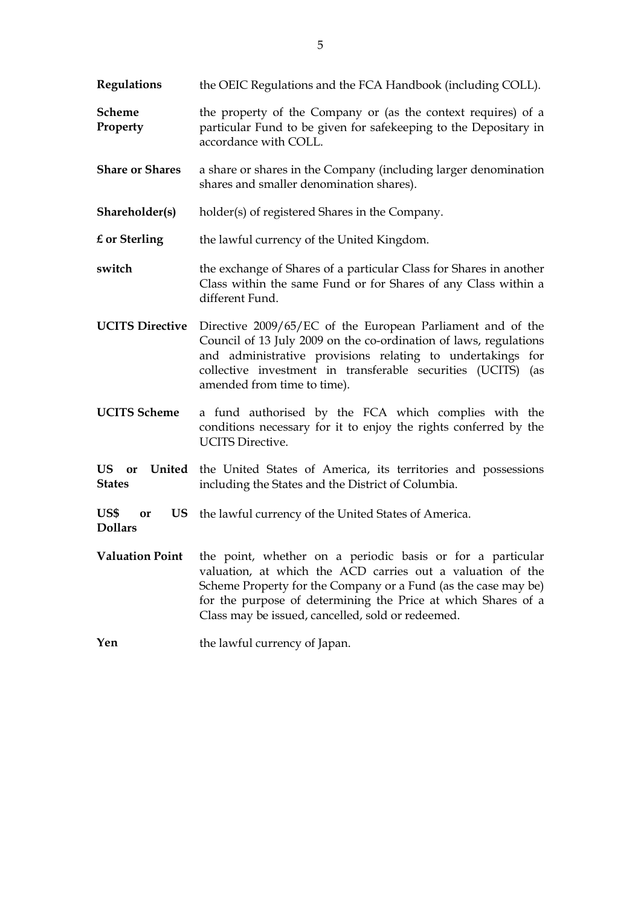**Regulations** the OEIC Regulations and the FCA Handbook (including COLL).

**Scheme Property** the property of the Company or (as the context requires) of a particular Fund to be given for safekeeping to the Depositary in accordance with COLL.

- **Share or Shares** a share or shares in the Company (including larger denomination shares and smaller denomination shares).
- **Shareholder(s)** holder(s) of registered Shares in the Company.

**£ or Sterling** the lawful currency of the United Kingdom.

- **switch** the exchange of Shares of a particular Class for Shares in another Class within the same Fund or for Shares of any Class within a different Fund.
- **UCITS Directive** Directive 2009/65/EC of the European Parliament and of the Council of 13 July 2009 on the co-ordination of laws, regulations and administrative provisions relating to undertakings for collective investment in transferable securities (UCITS) (as amended from time to time).
- **UCITS Scheme** a fund authorised by the FCA which complies with the conditions necessary for it to enjoy the rights conferred by the UCITS Directive.
- **US or United**  the United States of America, its territories and possessions **States** including the States and the District of Columbia.
- US\$ or US the lawful currency of the United States of America.
- **Valuation Point** the point, whether on a periodic basis or for a particular valuation, at which the ACD carries out a valuation of the Scheme Property for the Company or a Fund (as the case may be) for the purpose of determining the Price at which Shares of a Class may be issued, cancelled, sold or redeemed.
- **Yen** the lawful currency of Japan.

**Dollars**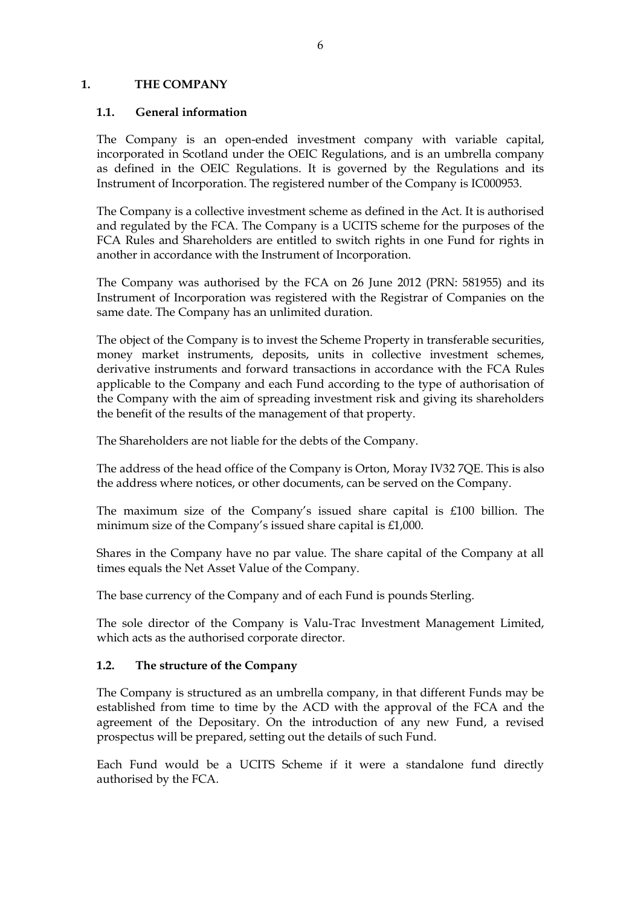### <span id="page-10-0"></span>**1. THE COMPANY**

#### <span id="page-10-1"></span>**1.1. General information**

The Company is an open-ended investment company with variable capital, incorporated in Scotland under the OEIC Regulations, and is an umbrella company as defined in the OEIC Regulations. It is governed by the Regulations and its Instrument of Incorporation. The registered number of the Company is IC000953.

The Company is a collective investment scheme as defined in the Act. It is authorised and regulated by the FCA. The Company is a UCITS scheme for the purposes of the FCA Rules and Shareholders are entitled to switch rights in one Fund for rights in another in accordance with the Instrument of Incorporation.

The Company was authorised by the FCA on 26 June 2012 (PRN: 581955) and its Instrument of Incorporation was registered with the Registrar of Companies on the same date. The Company has an unlimited duration.

The object of the Company is to invest the Scheme Property in transferable securities, money market instruments, deposits, units in collective investment schemes, derivative instruments and forward transactions in accordance with the FCA Rules applicable to the Company and each Fund according to the type of authorisation of the Company with the aim of spreading investment risk and giving its shareholders the benefit of the results of the management of that property.

The Shareholders are not liable for the debts of the Company.

The address of the head office of the Company is Orton, Moray IV32 7QE. This is also the address where notices, or other documents, can be served on the Company.

The maximum size of the Company's issued share capital is £100 billion. The minimum size of the Company's issued share capital is £1,000.

Shares in the Company have no par value. The share capital of the Company at all times equals the Net Asset Value of the Company.

The base currency of the Company and of each Fund is pounds Sterling.

The sole director of the Company is Valu-Trac Investment Management Limited, which acts as the authorised corporate director.

#### <span id="page-10-2"></span>**1.2. The structure of the Company**

The Company is structured as an umbrella company, in that different Funds may be established from time to time by the ACD with the approval of the FCA and the agreement of the Depositary. On the introduction of any new Fund, a revised prospectus will be prepared, setting out the details of such Fund.

Each Fund would be a UCITS Scheme if it were a standalone fund directly authorised by the FCA.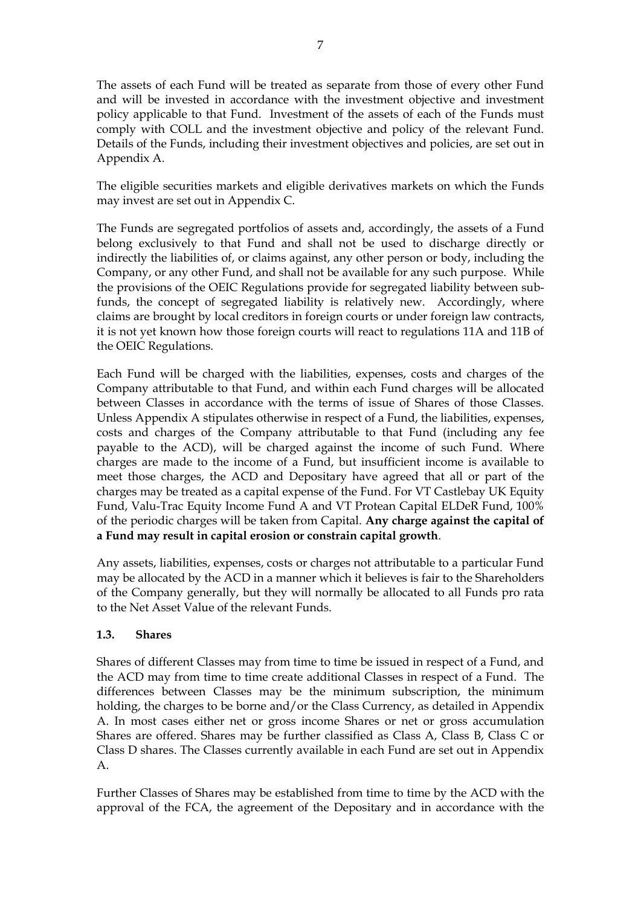The assets of each Fund will be treated as separate from those of every other Fund and will be invested in accordance with the investment objective and investment policy applicable to that Fund. Investment of the assets of each of the Funds must comply with COLL and the investment objective and policy of the relevant Fund. Details of the Funds, including their investment objectives and policies, are set out in Appendix A.

The eligible securities markets and eligible derivatives markets on which the Funds may invest are set out in Appendix C.

The Funds are segregated portfolios of assets and, accordingly, the assets of a Fund belong exclusively to that Fund and shall not be used to discharge directly or indirectly the liabilities of, or claims against, any other person or body, including the Company, or any other Fund, and shall not be available for any such purpose. While the provisions of the OEIC Regulations provide for segregated liability between subfunds, the concept of segregated liability is relatively new. Accordingly, where claims are brought by local creditors in foreign courts or under foreign law contracts, it is not yet known how those foreign courts will react to regulations 11A and 11B of the OEIC Regulations.

Each Fund will be charged with the liabilities, expenses, costs and charges of the Company attributable to that Fund, and within each Fund charges will be allocated between Classes in accordance with the terms of issue of Shares of those Classes. Unless Appendix A stipulates otherwise in respect of a Fund, the liabilities, expenses, costs and charges of the Company attributable to that Fund (including any fee payable to the ACD), will be charged against the income of such Fund. Where charges are made to the income of a Fund, but insufficient income is available to meet those charges, the ACD and Depositary have agreed that all or part of the charges may be treated as a capital expense of the Fund. For VT Castlebay UK Equity Fund, Valu-Trac Equity Income Fund A and VT Protean Capital ELDeR Fund, 100% of the periodic charges will be taken from Capital. **Any charge against the capital of a Fund may result in capital erosion or constrain capital growth**.

Any assets, liabilities, expenses, costs or charges not attributable to a particular Fund may be allocated by the ACD in a manner which it believes is fair to the Shareholders of the Company generally, but they will normally be allocated to all Funds pro rata to the Net Asset Value of the relevant Funds.

## <span id="page-11-0"></span>**1.3. Shares**

Shares of different Classes may from time to time be issued in respect of a Fund, and the ACD may from time to time create additional Classes in respect of a Fund. The differences between Classes may be the minimum subscription, the minimum holding, the charges to be borne and/or the Class Currency, as detailed in Appendix A. In most cases either net or gross income Shares or net or gross accumulation Shares are offered. Shares may be further classified as Class A, Class B, Class C or Class D shares. The Classes currently available in each Fund are set out in Appendix A.

Further Classes of Shares may be established from time to time by the ACD with the approval of the FCA, the agreement of the Depositary and in accordance with the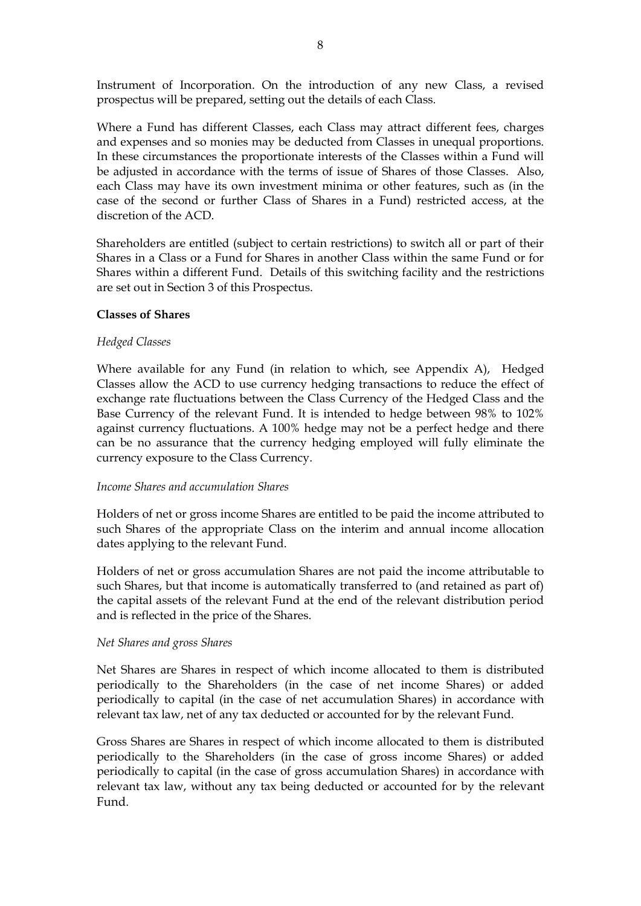Instrument of Incorporation. On the introduction of any new Class, a revised prospectus will be prepared, setting out the details of each Class.

Where a Fund has different Classes, each Class may attract different fees, charges and expenses and so monies may be deducted from Classes in unequal proportions. In these circumstances the proportionate interests of the Classes within a Fund will be adjusted in accordance with the terms of issue of Shares of those Classes. Also, each Class may have its own investment minima or other features, such as (in the case of the second or further Class of Shares in a Fund) restricted access, at the discretion of the ACD.

Shareholders are entitled (subject to certain restrictions) to switch all or part of their Shares in a Class or a Fund for Shares in another Class within the same Fund or for Shares within a different Fund. Details of this switching facility and the restrictions are set out in Section 3 of this Prospectus.

#### **Classes of Shares**

#### *Hedged Classes*

Where available for any Fund (in relation to which, see Appendix A), Hedged Classes allow the ACD to use currency hedging transactions to reduce the effect of exchange rate fluctuations between the Class Currency of the Hedged Class and the Base Currency of the relevant Fund. It is intended to hedge between 98% to 102% against currency fluctuations. A 100% hedge may not be a perfect hedge and there can be no assurance that the currency hedging employed will fully eliminate the currency exposure to the Class Currency.

#### *Income Shares and accumulation Shares*

Holders of net or gross income Shares are entitled to be paid the income attributed to such Shares of the appropriate Class on the interim and annual income allocation dates applying to the relevant Fund.

Holders of net or gross accumulation Shares are not paid the income attributable to such Shares, but that income is automatically transferred to (and retained as part of) the capital assets of the relevant Fund at the end of the relevant distribution period and is reflected in the price of the Shares.

#### *Net Shares and gross Shares*

Net Shares are Shares in respect of which income allocated to them is distributed periodically to the Shareholders (in the case of net income Shares) or added periodically to capital (in the case of net accumulation Shares) in accordance with relevant tax law, net of any tax deducted or accounted for by the relevant Fund.

Gross Shares are Shares in respect of which income allocated to them is distributed periodically to the Shareholders (in the case of gross income Shares) or added periodically to capital (in the case of gross accumulation Shares) in accordance with relevant tax law, without any tax being deducted or accounted for by the relevant Fund.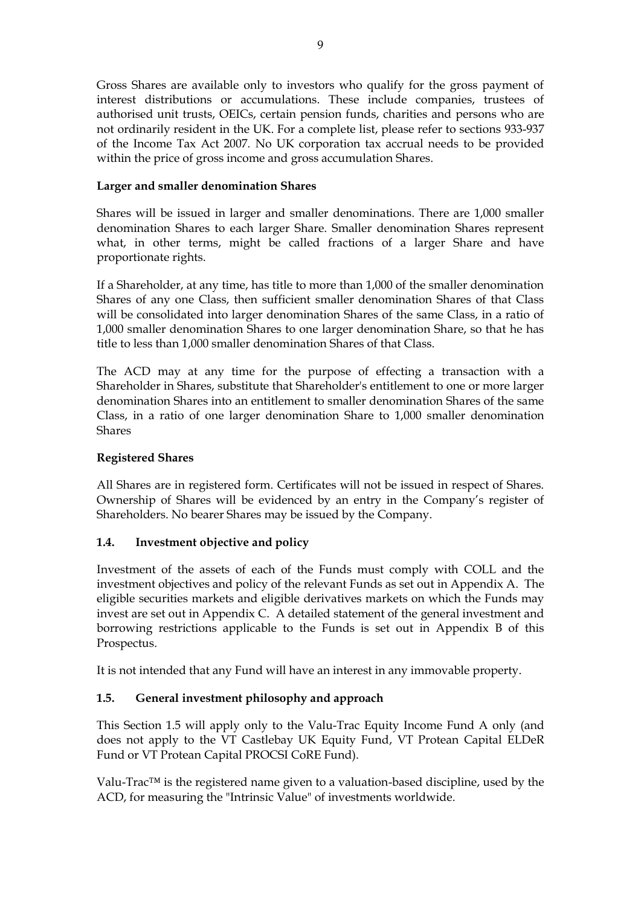Gross Shares are available only to investors who qualify for the gross payment of interest distributions or accumulations. These include companies, trustees of authorised unit trusts, OEICs, certain pension funds, charities and persons who are not ordinarily resident in the UK. For a complete list, please refer to sections 933-937 of the Income Tax Act 2007*.* No UK corporation tax accrual needs to be provided within the price of gross income and gross accumulation Shares.

## **Larger and smaller denomination Shares**

Shares will be issued in larger and smaller denominations. There are 1,000 smaller denomination Shares to each larger Share. Smaller denomination Shares represent what, in other terms, might be called fractions of a larger Share and have proportionate rights.

If a Shareholder, at any time, has title to more than 1,000 of the smaller denomination Shares of any one Class, then sufficient smaller denomination Shares of that Class will be consolidated into larger denomination Shares of the same Class, in a ratio of 1,000 smaller denomination Shares to one larger denomination Share, so that he has title to less than 1,000 smaller denomination Shares of that Class.

The ACD may at any time for the purpose of effecting a transaction with a Shareholder in Shares, substitute that Shareholder's entitlement to one or more larger denomination Shares into an entitlement to smaller denomination Shares of the same Class, in a ratio of one larger denomination Share to 1,000 smaller denomination Shares

## **Registered Shares**

All Shares are in registered form. Certificates will not be issued in respect of Shares. Ownership of Shares will be evidenced by an entry in the Company's register of Shareholders. No bearer Shares may be issued by the Company.

## <span id="page-13-0"></span>**1.4. Investment objective and policy**

Investment of the assets of each of the Funds must comply with COLL and the investment objectives and policy of the relevant Funds as set out in Appendix A. The eligible securities markets and eligible derivatives markets on which the Funds may invest are set out in Appendix C. A detailed statement of the general investment and borrowing restrictions applicable to the Funds is set out in Appendix B of this Prospectus.

It is not intended that any Fund will have an interest in any immovable property.

## <span id="page-13-1"></span>**1.5. General investment philosophy and approach**

This Section 1.5 will apply only to the Valu-Trac Equity Income Fund A only (and does not apply to the VT Castlebay UK Equity Fund, VT Protean Capital ELDeR Fund or VT Protean Capital PROCSI CoRE Fund).

Valu-Trac™ is the registered name given to a valuation-based discipline, used by the ACD, for measuring the "Intrinsic Value" of investments worldwide.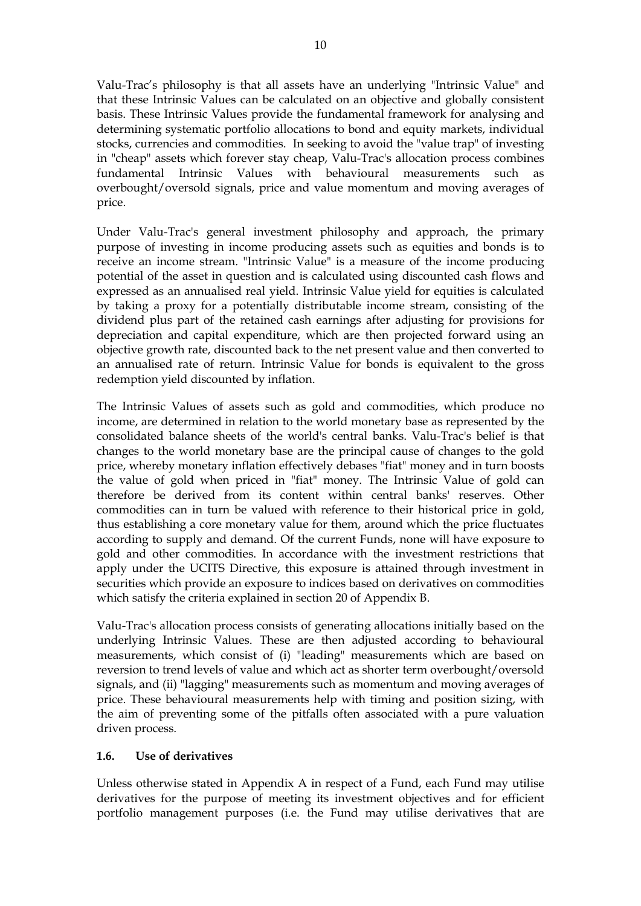Valu-Trac's philosophy is that all assets have an underlying "Intrinsic Value" and that these Intrinsic Values can be calculated on an objective and globally consistent basis. These Intrinsic Values provide the fundamental framework for analysing and determining systematic portfolio allocations to bond and equity markets, individual stocks, currencies and commodities. In seeking to avoid the "value trap" of investing in "cheap" assets which forever stay cheap, Valu-Trac's allocation process combines fundamental Intrinsic Values with behavioural measurements such as overbought/oversold signals, price and value momentum and moving averages of price.

Under Valu-Trac's general investment philosophy and approach, the primary purpose of investing in income producing assets such as equities and bonds is to receive an income stream. "Intrinsic Value" is a measure of the income producing potential of the asset in question and is calculated using discounted cash flows and expressed as an annualised real yield. Intrinsic Value yield for equities is calculated by taking a proxy for a potentially distributable income stream, consisting of the dividend plus part of the retained cash earnings after adjusting for provisions for depreciation and capital expenditure, which are then projected forward using an objective growth rate, discounted back to the net present value and then converted to an annualised rate of return. Intrinsic Value for bonds is equivalent to the gross redemption yield discounted by inflation.

The Intrinsic Values of assets such as gold and commodities, which produce no income, are determined in relation to the world monetary base as represented by the consolidated balance sheets of the world's central banks. Valu-Trac's belief is that changes to the world monetary base are the principal cause of changes to the gold price, whereby monetary inflation effectively debases "fiat" money and in turn boosts the value of gold when priced in "fiat" money. The Intrinsic Value of gold can therefore be derived from its content within central banks' reserves. Other commodities can in turn be valued with reference to their historical price in gold, thus establishing a core monetary value for them, around which the price fluctuates according to supply and demand. Of the current Funds, none will have exposure to gold and other commodities. In accordance with the investment restrictions that apply under the UCITS Directive, this exposure is attained through investment in securities which provide an exposure to indices based on derivatives on commodities which satisfy the criteria explained in section 20 of Appendix B.

Valu-Trac's allocation process consists of generating allocations initially based on the underlying Intrinsic Values. These are then adjusted according to behavioural measurements, which consist of (i) "leading" measurements which are based on reversion to trend levels of value and which act as shorter term overbought/oversold signals, and (ii) "lagging" measurements such as momentum and moving averages of price. These behavioural measurements help with timing and position sizing, with the aim of preventing some of the pitfalls often associated with a pure valuation driven process.

## <span id="page-14-0"></span>**1.6. Use of derivatives**

Unless otherwise stated in Appendix A in respect of a Fund, each Fund may utilise derivatives for the purpose of meeting its investment objectives and for efficient portfolio management purposes (i.e. the Fund may utilise derivatives that are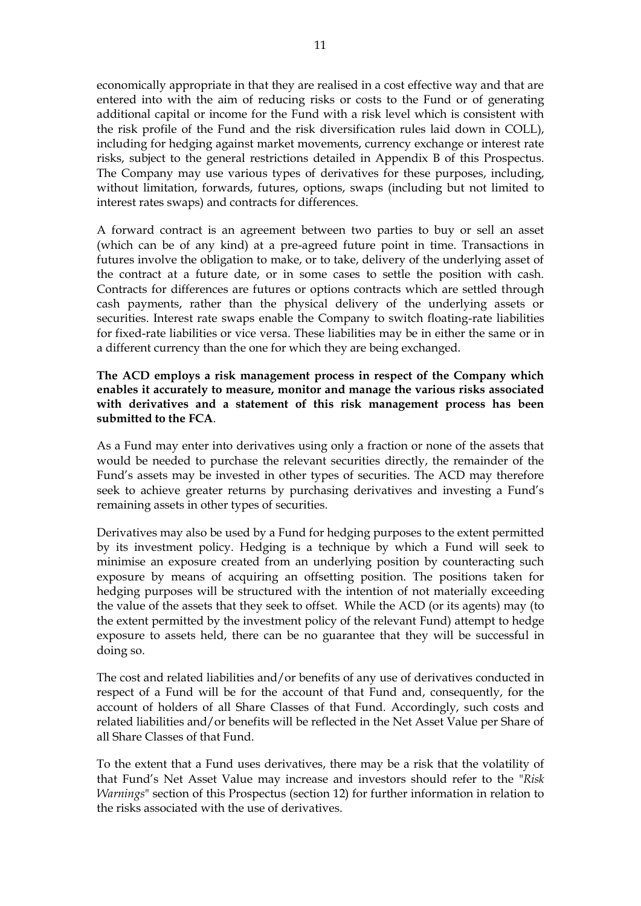economically appropriate in that they are realised in a cost effective way and that are entered into with the aim of reducing risks or costs to the Fund or of generating additional capital or income for the Fund with a risk level which is consistent with the risk profile of the Fund and the risk diversification rules laid down in COLL), including for hedging against market movements, currency exchange or interest rate risks, subject to the general restrictions detailed in Appendix B of this Prospectus. The Company may use various types of derivatives for these purposes, including, without limitation, forwards, futures, options, swaps (including but not limited to interest rates swaps) and contracts for differences.

A forward contract is an agreement between two parties to buy or sell an asset (which can be of any kind) at a pre-agreed future point in time. Transactions in futures involve the obligation to make, or to take, delivery of the underlying asset of the contract at a future date, or in some cases to settle the position with cash. Contracts for differences are futures or options contracts which are settled through cash payments, rather than the physical delivery of the underlying assets or securities. Interest rate swaps enable the Company to switch floating-rate liabilities for fixed-rate liabilities or vice versa. These liabilities may be in either the same or in a different currency than the one for which they are being exchanged.

**The ACD employs a risk management process in respect of the Company which enables it accurately to measure, monitor and manage the various risks associated with derivatives and a statement of this risk management process has been submitted to the FCA**.

As a Fund may enter into derivatives using only a fraction or none of the assets that would be needed to purchase the relevant securities directly, the remainder of the Fund's assets may be invested in other types of securities. The ACD may therefore seek to achieve greater returns by purchasing derivatives and investing a Fund's remaining assets in other types of securities.

Derivatives may also be used by a Fund for hedging purposes to the extent permitted by its investment policy. Hedging is a technique by which a Fund will seek to minimise an exposure created from an underlying position by counteracting such exposure by means of acquiring an offsetting position. The positions taken for hedging purposes will be structured with the intention of not materially exceeding the value of the assets that they seek to offset. While the ACD (or its agents) may (to the extent permitted by the investment policy of the relevant Fund) attempt to hedge exposure to assets held, there can be no guarantee that they will be successful in doing so.

The cost and related liabilities and/or benefits of any use of derivatives conducted in respect of a Fund will be for the account of that Fund and, consequently, for the account of holders of all Share Classes of that Fund. Accordingly, such costs and related liabilities and/or benefits will be reflected in the Net Asset Value per Share of all Share Classes of that Fund.

To the extent that a Fund uses derivatives, there may be a risk that the volatility of that Fund's Net Asset Value may increase and investors should refer to the "*Risk Warnings*" section of this Prospectus (section 12) for further information in relation to the risks associated with the use of derivatives.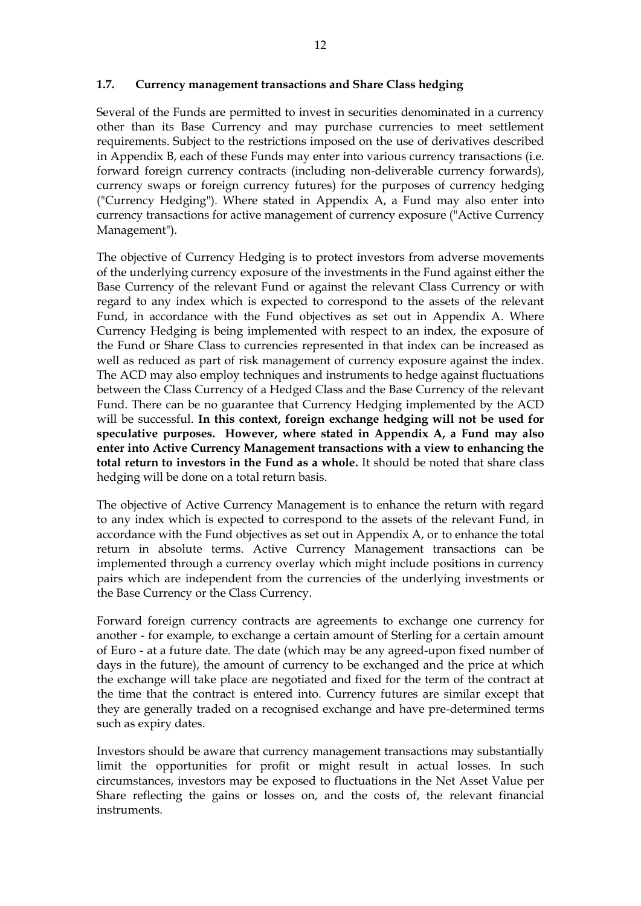#### <span id="page-16-0"></span>**1.7. Currency management transactions and Share Class hedging**

Several of the Funds are permitted to invest in securities denominated in a currency other than its Base Currency and may purchase currencies to meet settlement requirements. Subject to the restrictions imposed on the use of derivatives described in Appendix B, each of these Funds may enter into various currency transactions (i.e. forward foreign currency contracts (including non-deliverable currency forwards), currency swaps or foreign currency futures) for the purposes of currency hedging ("Currency Hedging"). Where stated in Appendix A, a Fund may also enter into currency transactions for active management of currency exposure ("Active Currency Management").

The objective of Currency Hedging is to protect investors from adverse movements of the underlying currency exposure of the investments in the Fund against either the Base Currency of the relevant Fund or against the relevant Class Currency or with regard to any index which is expected to correspond to the assets of the relevant Fund, in accordance with the Fund objectives as set out in Appendix A. Where Currency Hedging is being implemented with respect to an index, the exposure of the Fund or Share Class to currencies represented in that index can be increased as well as reduced as part of risk management of currency exposure against the index. The ACD may also employ techniques and instruments to hedge against fluctuations between the Class Currency of a Hedged Class and the Base Currency of the relevant Fund. There can be no guarantee that Currency Hedging implemented by the ACD will be successful. **In this context, foreign exchange hedging will not be used for speculative purposes. However, where stated in Appendix A, a Fund may also enter into Active Currency Management transactions with a view to enhancing the total return to investors in the Fund as a whole.** It should be noted that share class hedging will be done on a total return basis.

The objective of Active Currency Management is to enhance the return with regard to any index which is expected to correspond to the assets of the relevant Fund, in accordance with the Fund objectives as set out in Appendix A, or to enhance the total return in absolute terms. Active Currency Management transactions can be implemented through a currency overlay which might include positions in currency pairs which are independent from the currencies of the underlying investments or the Base Currency or the Class Currency.

Forward foreign currency contracts are agreements to exchange one currency for another - for example, to exchange a certain amount of Sterling for a certain amount of Euro - at a future date. The date (which may be any agreed-upon fixed number of days in the future), the amount of currency to be exchanged and the price at which the exchange will take place are negotiated and fixed for the term of the contract at the time that the contract is entered into. Currency futures are similar except that they are generally traded on a recognised exchange and have pre-determined terms such as expiry dates.

Investors should be aware that currency management transactions may substantially limit the opportunities for profit or might result in actual losses. In such circumstances, investors may be exposed to fluctuations in the Net Asset Value per Share reflecting the gains or losses on, and the costs of, the relevant financial instruments.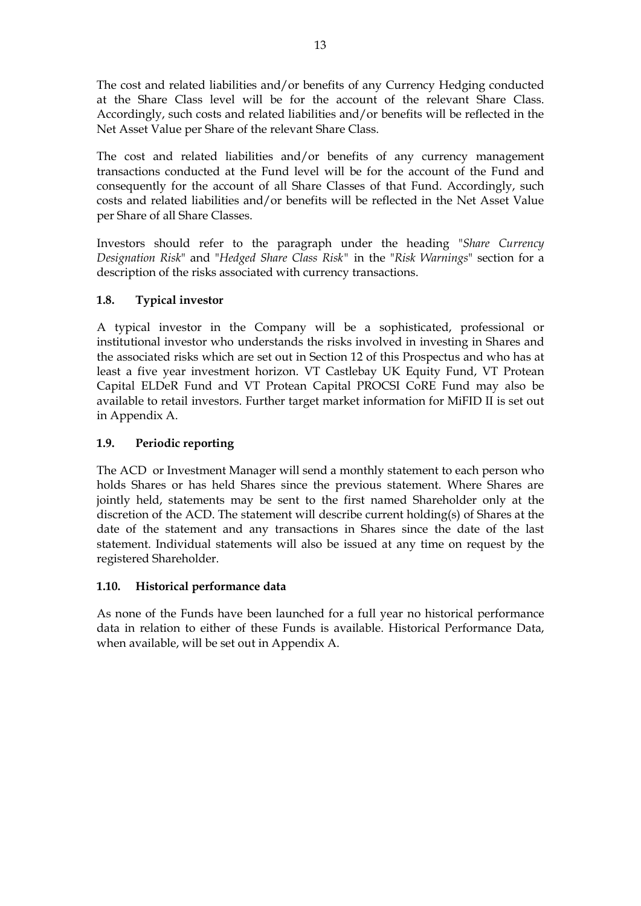The cost and related liabilities and/or benefits of any Currency Hedging conducted at the Share Class level will be for the account of the relevant Share Class. Accordingly, such costs and related liabilities and/or benefits will be reflected in the Net Asset Value per Share of the relevant Share Class.

The cost and related liabilities and/or benefits of any currency management transactions conducted at the Fund level will be for the account of the Fund and consequently for the account of all Share Classes of that Fund. Accordingly, such costs and related liabilities and/or benefits will be reflected in the Net Asset Value per Share of all Share Classes.

Investors should refer to the paragraph under the heading "*Share Currency Designation Risk*" and "*Hedged Share Class Risk"* in the "*Risk Warnings*" section for a description of the risks associated with currency transactions.

## <span id="page-17-0"></span>**1.8. Typical investor**

A typical investor in the Company will be a sophisticated, professional or institutional investor who understands the risks involved in investing in Shares and the associated risks which are set out in Section 12 of this Prospectus and who has at least a five year investment horizon. VT Castlebay UK Equity Fund, VT Protean Capital ELDeR Fund and VT Protean Capital PROCSI CoRE Fund may also be available to retail investors. Further target market information for MiFID II is set out in Appendix A.

## <span id="page-17-1"></span>**1.9. Periodic reporting**

The ACD or Investment Manager will send a monthly statement to each person who holds Shares or has held Shares since the previous statement. Where Shares are jointly held, statements may be sent to the first named Shareholder only at the discretion of the ACD. The statement will describe current holding(s) of Shares at the date of the statement and any transactions in Shares since the date of the last statement. Individual statements will also be issued at any time on request by the registered Shareholder.

## <span id="page-17-2"></span>**1.10. Historical performance data**

As none of the Funds have been launched for a full year no historical performance data in relation to either of these Funds is available. Historical Performance Data, when available, will be set out in Appendix A.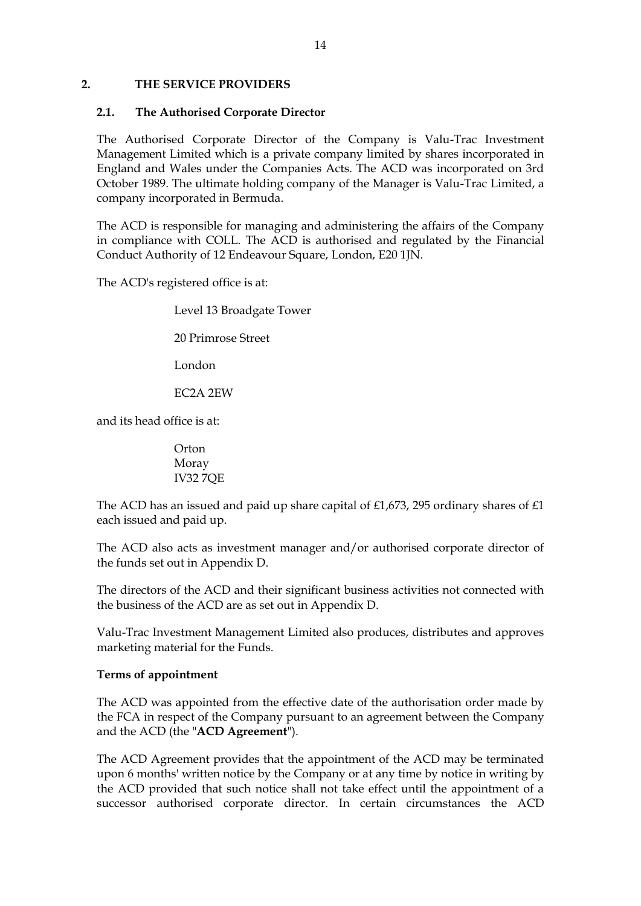### <span id="page-18-0"></span>**2. THE SERVICE PROVIDERS**

#### <span id="page-18-1"></span>**2.1. The Authorised Corporate Director**

The Authorised Corporate Director of the Company is Valu-Trac Investment Management Limited which is a private company limited by shares incorporated in England and Wales under the Companies Acts. The ACD was incorporated on 3rd October 1989. The ultimate holding company of the Manager is Valu-Trac Limited, a company incorporated in Bermuda.

The ACD is responsible for managing and administering the affairs of the Company in compliance with COLL. The ACD is authorised and regulated by the Financial Conduct Authority of 12 Endeavour Square, London, E20 1JN.

The ACD's registered office is at:

Level 13 Broadgate Tower

20 Primrose Street

London

EC2A 2EW

and its head office is at:

**Orton** Moray IV32 7QE

The ACD has an issued and paid up share capital of £1,673, 295 ordinary shares of £1 each issued and paid up.

The ACD also acts as investment manager and/or authorised corporate director of the funds set out in Appendix D.

The directors of the ACD and their significant business activities not connected with the business of the ACD are as set out in Appendix D.

Valu-Trac Investment Management Limited also produces, distributes and approves marketing material for the Funds.

## **Terms of appointment**

The ACD was appointed from the effective date of the authorisation order made by the FCA in respect of the Company pursuant to an agreement between the Company and the ACD (the "**ACD Agreement**").

The ACD Agreement provides that the appointment of the ACD may be terminated upon 6 months' written notice by the Company or at any time by notice in writing by the ACD provided that such notice shall not take effect until the appointment of a successor authorised corporate director. In certain circumstances the ACD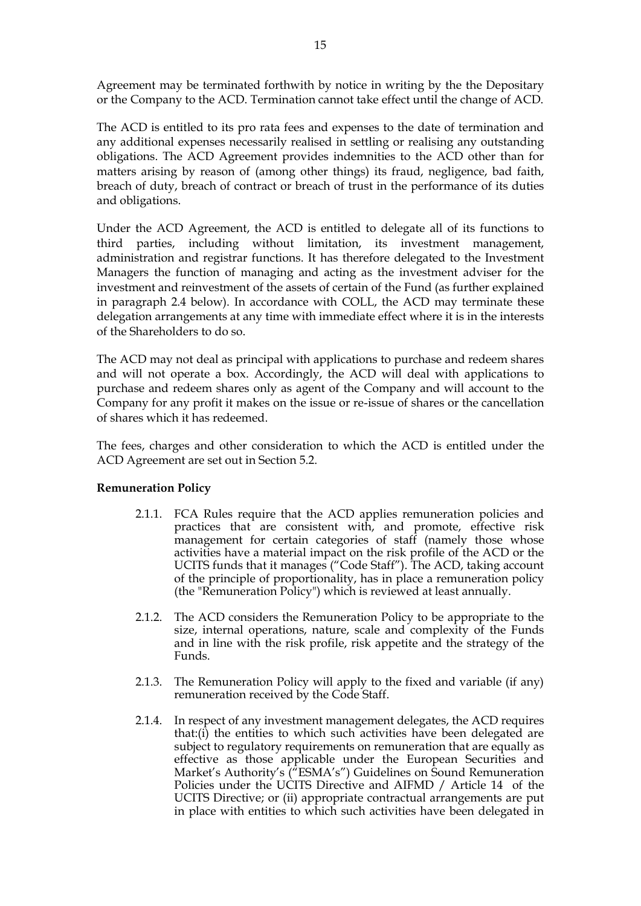Agreement may be terminated forthwith by notice in writing by the the Depositary or the Company to the ACD. Termination cannot take effect until the change of ACD.

The ACD is entitled to its pro rata fees and expenses to the date of termination and any additional expenses necessarily realised in settling or realising any outstanding obligations. The ACD Agreement provides indemnities to the ACD other than for matters arising by reason of (among other things) its fraud, negligence, bad faith, breach of duty, breach of contract or breach of trust in the performance of its duties and obligations.

Under the ACD Agreement, the ACD is entitled to delegate all of its functions to third parties, including without limitation, its investment management, administration and registrar functions. It has therefore delegated to the Investment Managers the function of managing and acting as the investment adviser for the investment and reinvestment of the assets of certain of the Fund (as further explained in paragraph 2.4 below). In accordance with COLL, the ACD may terminate these delegation arrangements at any time with immediate effect where it is in the interests of the Shareholders to do so.

The ACD may not deal as principal with applications to purchase and redeem shares and will not operate a box. Accordingly, the ACD will deal with applications to purchase and redeem shares only as agent of the Company and will account to the Company for any profit it makes on the issue or re-issue of shares or the cancellation of shares which it has redeemed.

The fees, charges and other consideration to which the ACD is entitled under the ACD Agreement are set out in Section 5.2.

## **Remuneration Policy**

- 2.1.1. FCA Rules require that the ACD applies remuneration policies and practices that are consistent with, and promote, effective risk management for certain categories of staff (namely those whose activities have a material impact on the risk profile of the ACD or the UCITS funds that it manages ("Code Staff"). The ACD, taking account of the principle of proportionality, has in place a remuneration policy (the "Remuneration Policy") which is reviewed at least annually.
- 2.1.2. The ACD considers the Remuneration Policy to be appropriate to the size, internal operations, nature, scale and complexity of the Funds and in line with the risk profile, risk appetite and the strategy of the Funds.
- 2.1.3. The Remuneration Policy will apply to the fixed and variable (if any) remuneration received by the Code Staff.
- 2.1.4. In respect of any investment management delegates, the ACD requires that:(i) the entities to which such activities have been delegated are subject to regulatory requirements on remuneration that are equally as effective as those applicable under the European Securities and Market's Authority's ("ESMA's") Guidelines on Sound Remuneration Policies under the UCITS Directive and AIFMD / Article 14 of the UCITS Directive; or (ii) appropriate contractual arrangements are put in place with entities to which such activities have been delegated in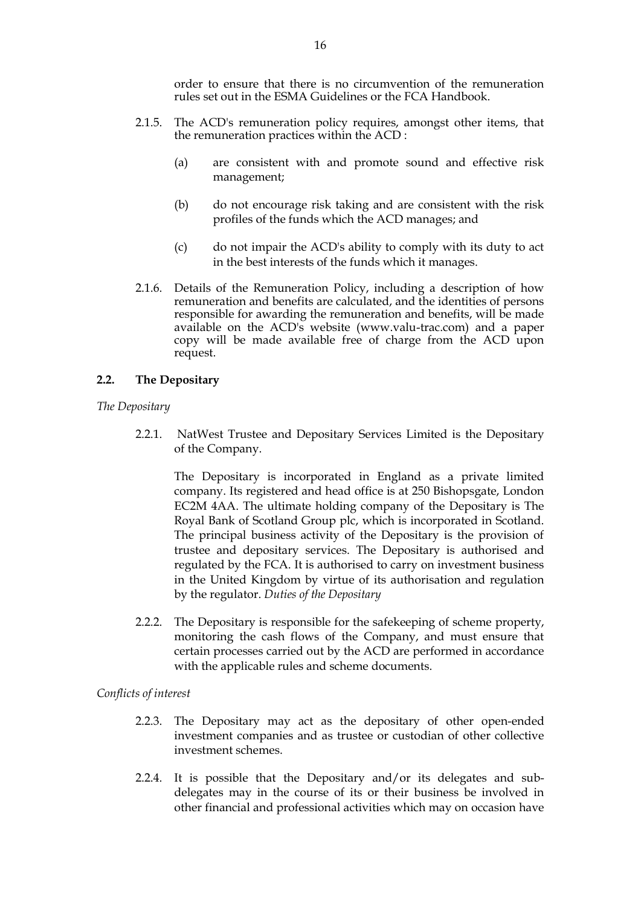order to ensure that there is no circumvention of the remuneration rules set out in the ESMA Guidelines or the FCA Handbook.

- 2.1.5. The ACD's remuneration policy requires, amongst other items, that the remuneration practices within the ACD :
	- (a) are consistent with and promote sound and effective risk management;
	- (b) do not encourage risk taking and are consistent with the risk profiles of the funds which the ACD manages; and
	- (c) do not impair the ACD's ability to comply with its duty to act in the best interests of the funds which it manages.
- 2.1.6. Details of the Remuneration Policy, including a description of how remuneration and benefits are calculated, and the identities of persons responsible for awarding the remuneration and benefits, will be made available on the ACD's website (www.valu-trac.com) and a paper copy will be made available free of charge from the ACD upon request.

### <span id="page-20-0"></span>**2.2. The Depositary**

*The Depositary*

2.2.1. NatWest Trustee and Depositary Services Limited is the Depositary of the Company.

The Depositary is incorporated in England as a private limited company. Its registered and head office is at 250 Bishopsgate, London EC2M 4AA. The ultimate holding company of the Depositary is The Royal Bank of Scotland Group plc, which is incorporated in Scotland. The principal business activity of the Depositary is the provision of trustee and depositary services. The Depositary is authorised and regulated by the FCA. It is authorised to carry on investment business in the United Kingdom by virtue of its authorisation and regulation by the regulator. *Duties of the Depositary*

2.2.2. The Depositary is responsible for the safekeeping of scheme property, monitoring the cash flows of the Company, and must ensure that certain processes carried out by the ACD are performed in accordance with the applicable rules and scheme documents.

#### *Conflicts of interest*

- 2.2.3. The Depositary may act as the depositary of other open-ended investment companies and as trustee or custodian of other collective investment schemes.
- 2.2.4. It is possible that the Depositary and/or its delegates and subdelegates may in the course of its or their business be involved in other financial and professional activities which may on occasion have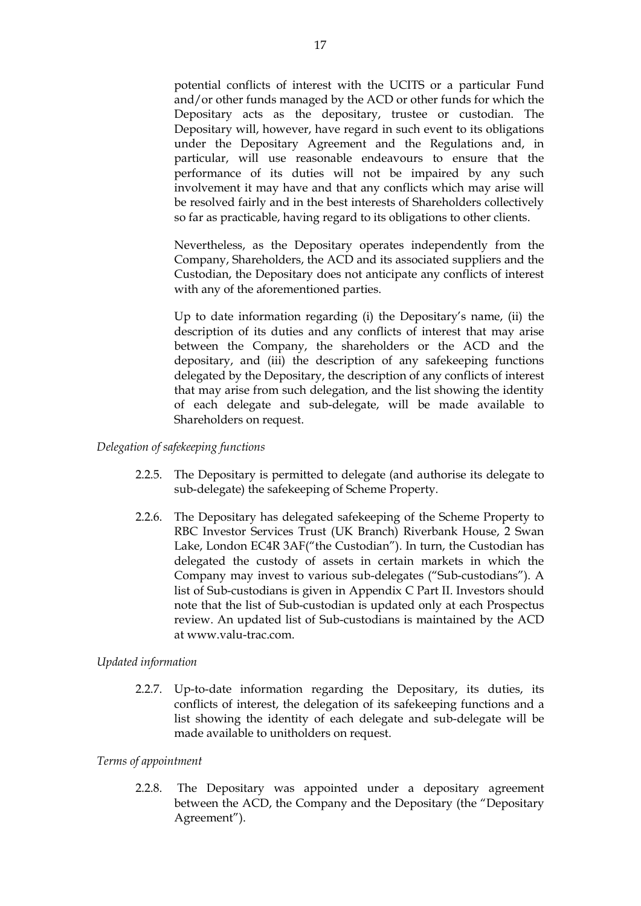potential conflicts of interest with the UCITS or a particular Fund and/or other funds managed by the ACD or other funds for which the Depositary acts as the depositary, trustee or custodian. The Depositary will, however, have regard in such event to its obligations under the Depositary Agreement and the Regulations and, in particular, will use reasonable endeavours to ensure that the performance of its duties will not be impaired by any such involvement it may have and that any conflicts which may arise will be resolved fairly and in the best interests of Shareholders collectively so far as practicable, having regard to its obligations to other clients.

Nevertheless, as the Depositary operates independently from the Company, Shareholders, the ACD and its associated suppliers and the Custodian, the Depositary does not anticipate any conflicts of interest with any of the aforementioned parties.

Up to date information regarding (i) the Depositary's name, (ii) the description of its duties and any conflicts of interest that may arise between the Company, the shareholders or the ACD and the depositary, and (iii) the description of any safekeeping functions delegated by the Depositary, the description of any conflicts of interest that may arise from such delegation, and the list showing the identity of each delegate and sub-delegate, will be made available to Shareholders on request.

#### *Delegation of safekeeping functions*

- 2.2.5. The Depositary is permitted to delegate (and authorise its delegate to sub-delegate) the safekeeping of Scheme Property.
- 2.2.6. The Depositary has delegated safekeeping of the Scheme Property to RBC Investor Services Trust (UK Branch) Riverbank House, 2 Swan Lake, London EC4R 3AF("the Custodian"). In turn, the Custodian has delegated the custody of assets in certain markets in which the Company may invest to various sub-delegates ("Sub-custodians"). A list of Sub-custodians is given in Appendix C Part II. Investors should note that the list of Sub-custodian is updated only at each Prospectus review. An updated list of Sub-custodians is maintained by the ACD at www.valu-trac.com.

#### *Updated information*

2.2.7. Up-to-date information regarding the Depositary, its duties, its conflicts of interest, the delegation of its safekeeping functions and a list showing the identity of each delegate and sub-delegate will be made available to unitholders on request.

#### *Terms of appointment*

2.2.8. The Depositary was appointed under a depositary agreement between the ACD, the Company and the Depositary (the "Depositary Agreement").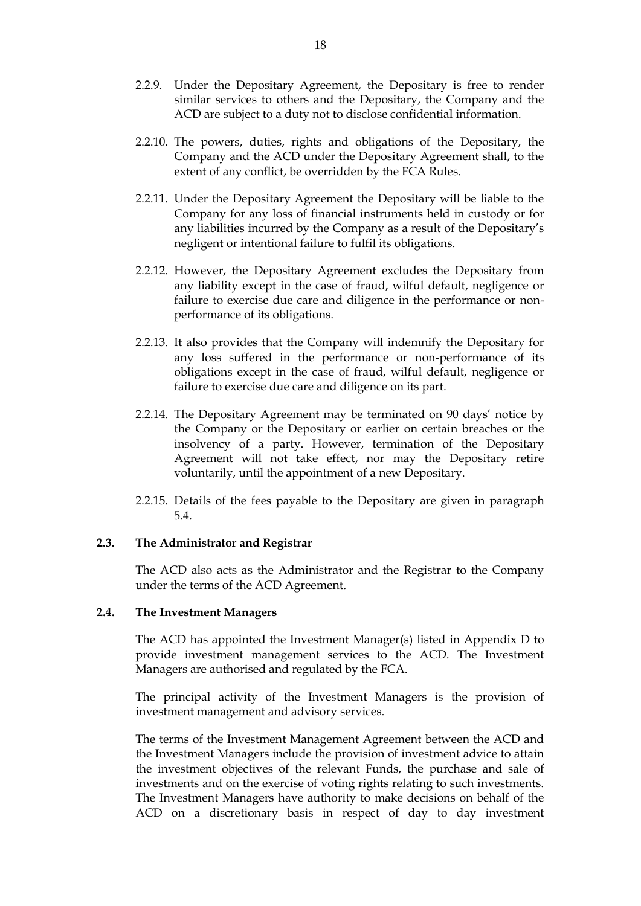- 2.2.9. Under the Depositary Agreement, the Depositary is free to render similar services to others and the Depositary, the Company and the ACD are subject to a duty not to disclose confidential information.
- 2.2.10. The powers, duties, rights and obligations of the Depositary, the Company and the ACD under the Depositary Agreement shall, to the extent of any conflict, be overridden by the FCA Rules.
- 2.2.11. Under the Depositary Agreement the Depositary will be liable to the Company for any loss of financial instruments held in custody or for any liabilities incurred by the Company as a result of the Depositary's negligent or intentional failure to fulfil its obligations.
- 2.2.12. However, the Depositary Agreement excludes the Depositary from any liability except in the case of fraud, wilful default, negligence or failure to exercise due care and diligence in the performance or nonperformance of its obligations.
- 2.2.13. It also provides that the Company will indemnify the Depositary for any loss suffered in the performance or non-performance of its obligations except in the case of fraud, wilful default, negligence or failure to exercise due care and diligence on its part.
- 2.2.14. The Depositary Agreement may be terminated on 90 days' notice by the Company or the Depositary or earlier on certain breaches or the insolvency of a party. However, termination of the Depositary Agreement will not take effect, nor may the Depositary retire voluntarily, until the appointment of a new Depositary.
- 2.2.15. Details of the fees payable to the Depositary are given in paragraph [5.4.](#page-41-1)

#### <span id="page-22-0"></span>**2.3. The Administrator and Registrar**

The ACD also acts as the Administrator and the Registrar to the Company under the terms of the ACD Agreement.

#### <span id="page-22-1"></span>**2.4. The Investment Managers**

The ACD has appointed the Investment Manager(s) listed in Appendix D to provide investment management services to the ACD. The Investment Managers are authorised and regulated by the FCA.

The principal activity of the Investment Managers is the provision of investment management and advisory services.

The terms of the Investment Management Agreement between the ACD and the Investment Managers include the provision of investment advice to attain the investment objectives of the relevant Funds, the purchase and sale of investments and on the exercise of voting rights relating to such investments. The Investment Managers have authority to make decisions on behalf of the ACD on a discretionary basis in respect of day to day investment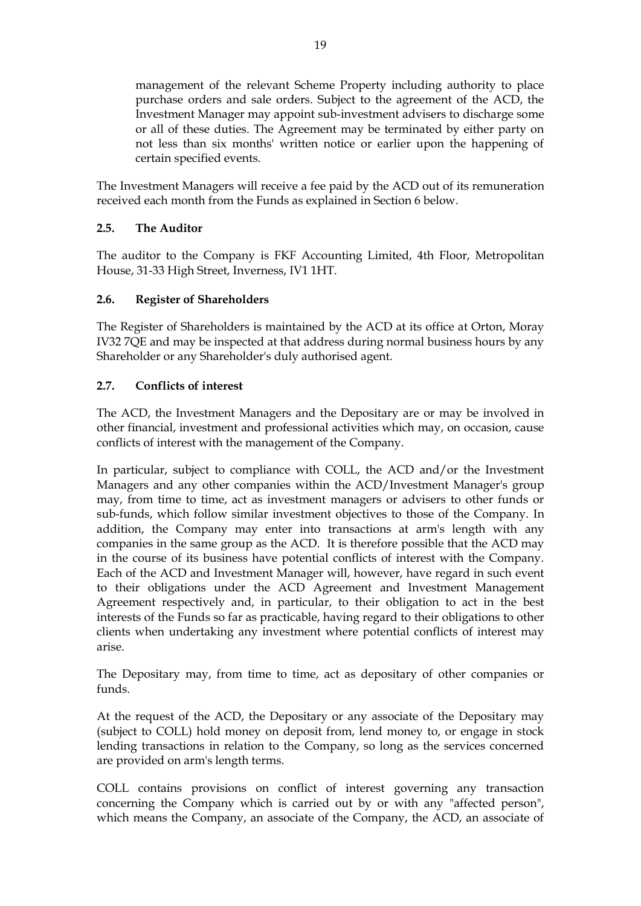management of the relevant Scheme Property including authority to place purchase orders and sale orders. Subject to the agreement of the ACD, the Investment Manager may appoint sub-investment advisers to discharge some or all of these duties. The Agreement may be terminated by either party on not less than six months' written notice or earlier upon the happening of certain specified events.

The Investment Managers will receive a fee paid by the ACD out of its remuneration received each month from the Funds as explained in Section 6 below.

## <span id="page-23-0"></span>**2.5. The Auditor**

The auditor to the Company is FKF Accounting Limited, 4th Floor, Metropolitan House, 31-33 High Street, Inverness, IV1 1HT.

## <span id="page-23-1"></span>**2.6. Register of Shareholders**

The Register of Shareholders is maintained by the ACD at its office at Orton, Moray IV32 7QE and may be inspected at that address during normal business hours by any Shareholder or any Shareholder's duly authorised agent.

## <span id="page-23-2"></span>**2.7. Conflicts of interest**

The ACD, the Investment Managers and the Depositary are or may be involved in other financial, investment and professional activities which may, on occasion, cause conflicts of interest with the management of the Company.

In particular, subject to compliance with COLL, the ACD and/or the Investment Managers and any other companies within the ACD/Investment Manager's group may, from time to time, act as investment managers or advisers to other funds or sub-funds, which follow similar investment objectives to those of the Company. In addition, the Company may enter into transactions at arm's length with any companies in the same group as the ACD. It is therefore possible that the ACD may in the course of its business have potential conflicts of interest with the Company. Each of the ACD and Investment Manager will, however, have regard in such event to their obligations under the ACD Agreement and Investment Management Agreement respectively and, in particular, to their obligation to act in the best interests of the Funds so far as practicable, having regard to their obligations to other clients when undertaking any investment where potential conflicts of interest may arise.

The Depositary may, from time to time, act as depositary of other companies or funds.

At the request of the ACD, the Depositary or any associate of the Depositary may (subject to COLL) hold money on deposit from, lend money to, or engage in stock lending transactions in relation to the Company, so long as the services concerned are provided on arm's length terms.

COLL contains provisions on conflict of interest governing any transaction concerning the Company which is carried out by or with any "affected person", which means the Company, an associate of the Company, the ACD, an associate of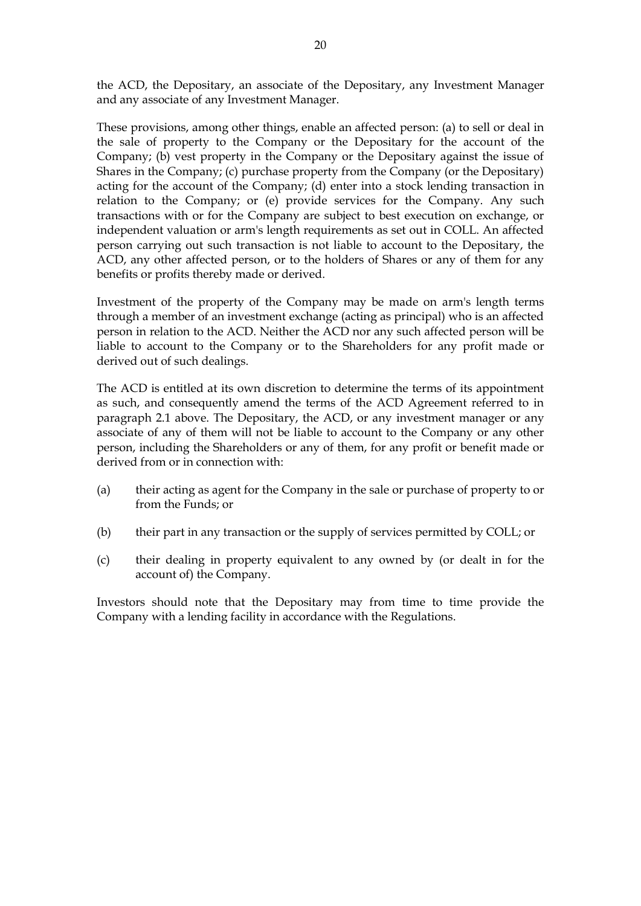the ACD, the Depositary, an associate of the Depositary, any Investment Manager and any associate of any Investment Manager.

These provisions, among other things, enable an affected person: (a) to sell or deal in the sale of property to the Company or the Depositary for the account of the Company; (b) vest property in the Company or the Depositary against the issue of Shares in the Company; (c) purchase property from the Company (or the Depositary) acting for the account of the Company; (d) enter into a stock lending transaction in relation to the Company; or (e) provide services for the Company. Any such transactions with or for the Company are subject to best execution on exchange, or independent valuation or arm's length requirements as set out in COLL. An affected person carrying out such transaction is not liable to account to the Depositary, the ACD, any other affected person, or to the holders of Shares or any of them for any benefits or profits thereby made or derived.

Investment of the property of the Company may be made on arm's length terms through a member of an investment exchange (acting as principal) who is an affected person in relation to the ACD. Neither the ACD nor any such affected person will be liable to account to the Company or to the Shareholders for any profit made or derived out of such dealings.

The ACD is entitled at its own discretion to determine the terms of its appointment as such, and consequently amend the terms of the ACD Agreement referred to in paragraph 2.1 above. The Depositary, the ACD, or any investment manager or any associate of any of them will not be liable to account to the Company or any other person, including the Shareholders or any of them, for any profit or benefit made or derived from or in connection with:

- (a) their acting as agent for the Company in the sale or purchase of property to or from the Funds; or
- (b) their part in any transaction or the supply of services permitted by COLL; or
- (c) their dealing in property equivalent to any owned by (or dealt in for the account of) the Company.

Investors should note that the Depositary may from time to time provide the Company with a lending facility in accordance with the Regulations.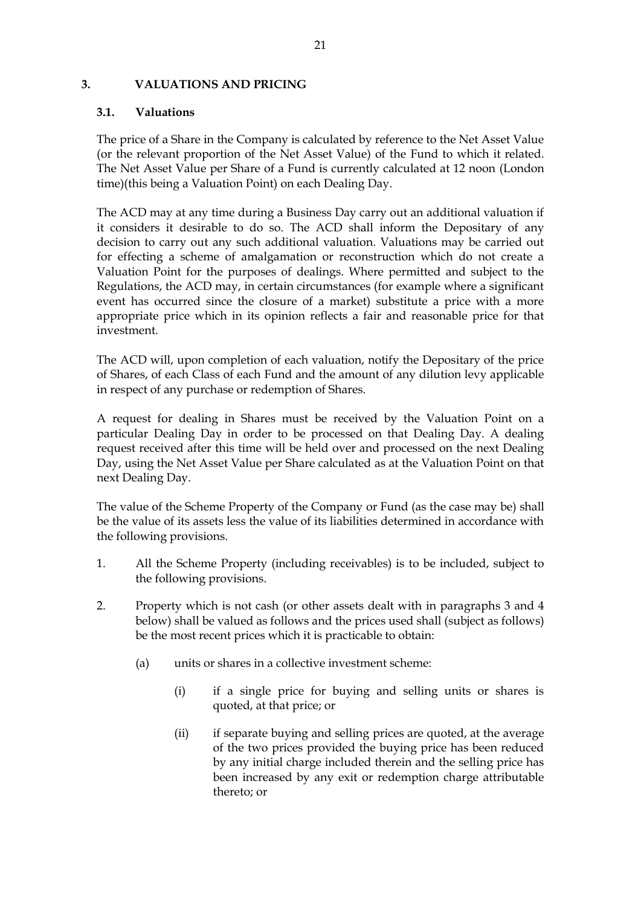#### <span id="page-25-0"></span>**3. VALUATIONS AND PRICING**

#### <span id="page-25-1"></span>**3.1. Valuations**

The price of a Share in the Company is calculated by reference to the Net Asset Value (or the relevant proportion of the Net Asset Value) of the Fund to which it related. The Net Asset Value per Share of a Fund is currently calculated at 12 noon (London time)(this being a Valuation Point) on each Dealing Day.

The ACD may at any time during a Business Day carry out an additional valuation if it considers it desirable to do so. The ACD shall inform the Depositary of any decision to carry out any such additional valuation. Valuations may be carried out for effecting a scheme of amalgamation or reconstruction which do not create a Valuation Point for the purposes of dealings. Where permitted and subject to the Regulations, the ACD may, in certain circumstances (for example where a significant event has occurred since the closure of a market) substitute a price with a more appropriate price which in its opinion reflects a fair and reasonable price for that investment.

The ACD will, upon completion of each valuation, notify the Depositary of the price of Shares, of each Class of each Fund and the amount of any dilution levy applicable in respect of any purchase or redemption of Shares.

A request for dealing in Shares must be received by the Valuation Point on a particular Dealing Day in order to be processed on that Dealing Day. A dealing request received after this time will be held over and processed on the next Dealing Day, using the Net Asset Value per Share calculated as at the Valuation Point on that next Dealing Day.

The value of the Scheme Property of the Company or Fund (as the case may be) shall be the value of its assets less the value of its liabilities determined in accordance with the following provisions.

- 1. All the Scheme Property (including receivables) is to be included, subject to the following provisions.
- 2. Property which is not cash (or other assets dealt with in paragraphs 3 and 4 below) shall be valued as follows and the prices used shall (subject as follows) be the most recent prices which it is practicable to obtain:
	- (a) units or shares in a collective investment scheme:
		- (i) if a single price for buying and selling units or shares is quoted, at that price; or
		- (ii) if separate buying and selling prices are quoted, at the average of the two prices provided the buying price has been reduced by any initial charge included therein and the selling price has been increased by any exit or redemption charge attributable thereto; or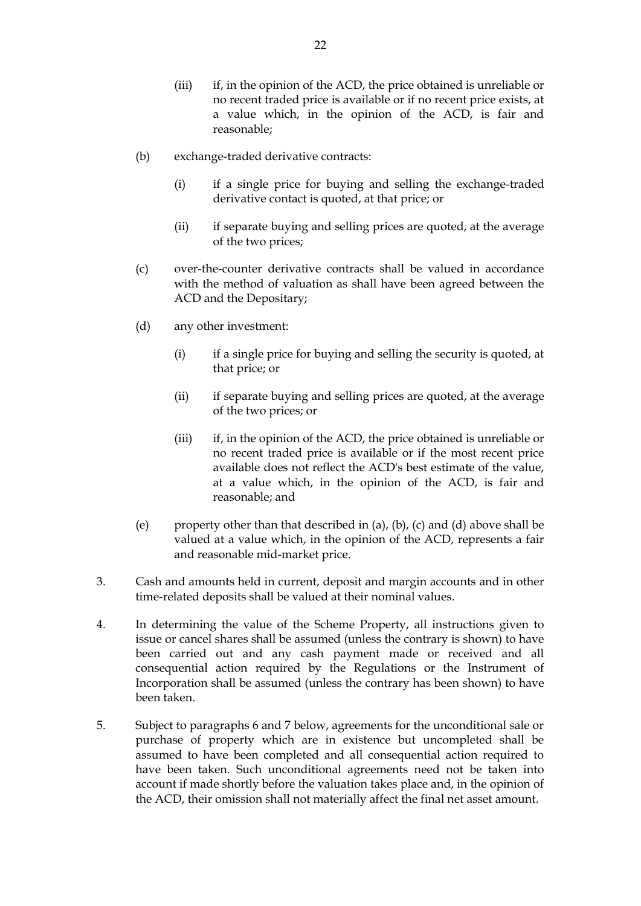- (iii) if, in the opinion of the ACD, the price obtained is unreliable or no recent traded price is available or if no recent price exists, at a value which, in the opinion of the ACD, is fair and reasonable;
- (b) exchange-traded derivative contracts:
	- (i) if a single price for buying and selling the exchange-traded derivative contact is quoted, at that price; or
	- (ii) if separate buying and selling prices are quoted, at the average of the two prices;
- (c) over-the-counter derivative contracts shall be valued in accordance with the method of valuation as shall have been agreed between the ACD and the Depositary;
- (d) any other investment:
	- (i) if a single price for buying and selling the security is quoted, at that price; or
	- (ii) if separate buying and selling prices are quoted, at the average of the two prices; or
	- (iii) if, in the opinion of the ACD, the price obtained is unreliable or no recent traded price is available or if the most recent price available does not reflect the ACD's best estimate of the value, at a value which, in the opinion of the ACD, is fair and reasonable; and
- (e) property other than that described in (a), (b), (c) and (d) above shall be valued at a value which, in the opinion of the ACD, represents a fair and reasonable mid-market price.
- 3. Cash and amounts held in current, deposit and margin accounts and in other time-related deposits shall be valued at their nominal values.
- 4. In determining the value of the Scheme Property, all instructions given to issue or cancel shares shall be assumed (unless the contrary is shown) to have been carried out and any cash payment made or received and all consequential action required by the Regulations or the Instrument of Incorporation shall be assumed (unless the contrary has been shown) to have been taken.
- 5. Subject to paragraphs 6 and 7 below, agreements for the unconditional sale or purchase of property which are in existence but uncompleted shall be assumed to have been completed and all consequential action required to have been taken. Such unconditional agreements need not be taken into account if made shortly before the valuation takes place and, in the opinion of the ACD, their omission shall not materially affect the final net asset amount.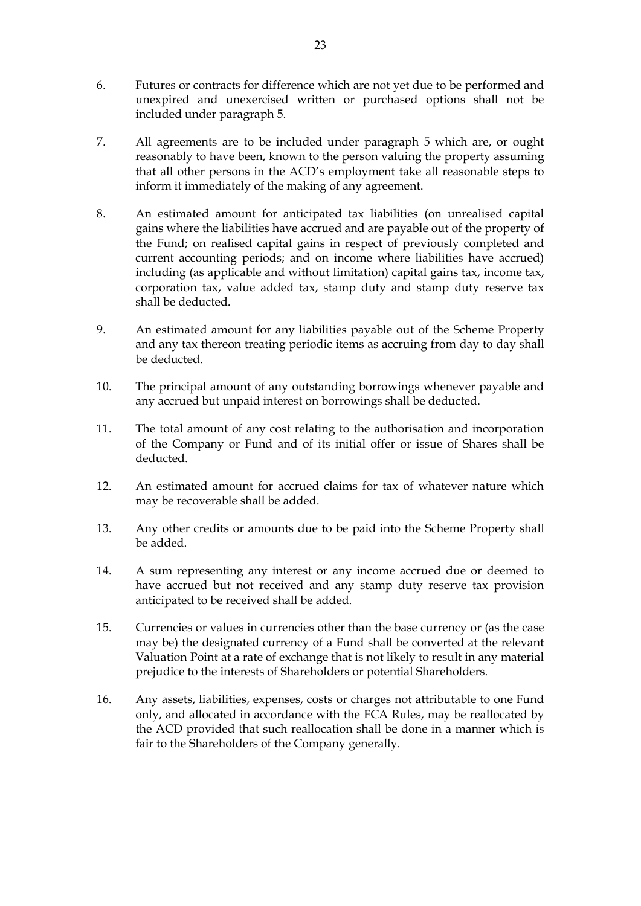- 6. Futures or contracts for difference which are not yet due to be performed and unexpired and unexercised written or purchased options shall not be included under paragraph 5.
- 7. All agreements are to be included under paragraph 5 which are, or ought reasonably to have been, known to the person valuing the property assuming that all other persons in the ACD's employment take all reasonable steps to inform it immediately of the making of any agreement.
- 8. An estimated amount for anticipated tax liabilities (on unrealised capital gains where the liabilities have accrued and are payable out of the property of the Fund; on realised capital gains in respect of previously completed and current accounting periods; and on income where liabilities have accrued) including (as applicable and without limitation) capital gains tax, income tax, corporation tax, value added tax, stamp duty and stamp duty reserve tax shall be deducted.
- 9. An estimated amount for any liabilities payable out of the Scheme Property and any tax thereon treating periodic items as accruing from day to day shall be deducted.
- 10. The principal amount of any outstanding borrowings whenever payable and any accrued but unpaid interest on borrowings shall be deducted.
- 11. The total amount of any cost relating to the authorisation and incorporation of the Company or Fund and of its initial offer or issue of Shares shall be deducted.
- 12. An estimated amount for accrued claims for tax of whatever nature which may be recoverable shall be added.
- 13. Any other credits or amounts due to be paid into the Scheme Property shall be added.
- 14. A sum representing any interest or any income accrued due or deemed to have accrued but not received and any stamp duty reserve tax provision anticipated to be received shall be added.
- 15. Currencies or values in currencies other than the base currency or (as the case may be) the designated currency of a Fund shall be converted at the relevant Valuation Point at a rate of exchange that is not likely to result in any material prejudice to the interests of Shareholders or potential Shareholders.
- 16. Any assets, liabilities, expenses, costs or charges not attributable to one Fund only, and allocated in accordance with the FCA Rules, may be reallocated by the ACD provided that such reallocation shall be done in a manner which is fair to the Shareholders of the Company generally.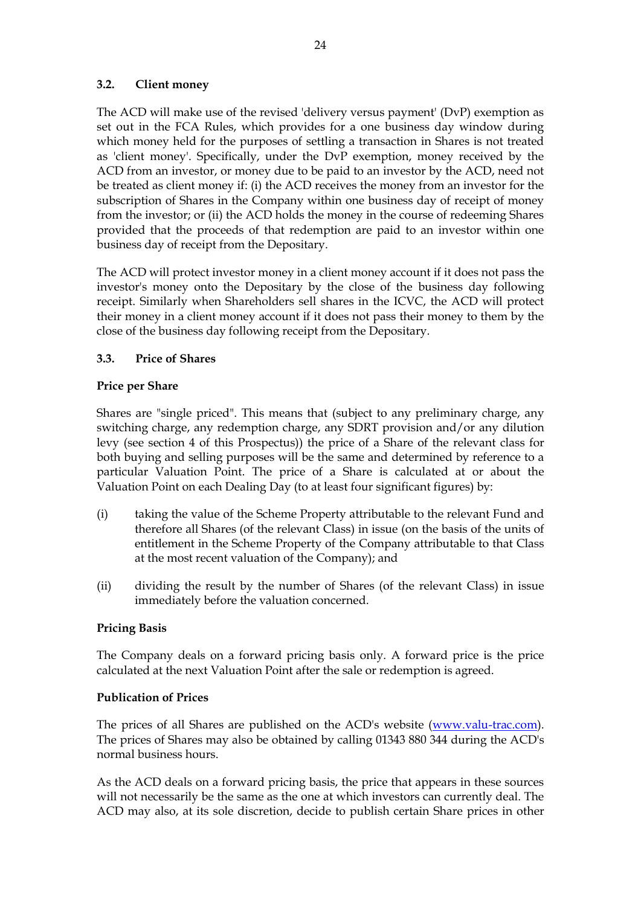## <span id="page-28-0"></span>**3.2. Client money**

The ACD will make use of the revised 'delivery versus payment' (DvP) exemption as set out in the FCA Rules, which provides for a one business day window during which money held for the purposes of settling a transaction in Shares is not treated as 'client money'. Specifically, under the DvP exemption, money received by the ACD from an investor, or money due to be paid to an investor by the ACD, need not be treated as client money if: (i) the ACD receives the money from an investor for the subscription of Shares in the Company within one business day of receipt of money from the investor; or (ii) the ACD holds the money in the course of redeeming Shares provided that the proceeds of that redemption are paid to an investor within one business day of receipt from the Depositary.

The ACD will protect investor money in a client money account if it does not pass the investor's money onto the Depositary by the close of the business day following receipt. Similarly when Shareholders sell shares in the ICVC, the ACD will protect their money in a client money account if it does not pass their money to them by the close of the business day following receipt from the Depositary.

## <span id="page-28-1"></span>**3.3. Price of Shares**

## **Price per Share**

Shares are "single priced". This means that (subject to any preliminary charge, any switching charge, any redemption charge, any SDRT provision and/or any dilution levy (see section 4 of this Prospectus)) the price of a Share of the relevant class for both buying and selling purposes will be the same and determined by reference to a particular Valuation Point. The price of a Share is calculated at or about the Valuation Point on each Dealing Day (to at least four significant figures) by:

- (i) taking the value of the Scheme Property attributable to the relevant Fund and therefore all Shares (of the relevant Class) in issue (on the basis of the units of entitlement in the Scheme Property of the Company attributable to that Class at the most recent valuation of the Company); and
- (ii) dividing the result by the number of Shares (of the relevant Class) in issue immediately before the valuation concerned.

## **Pricing Basis**

The Company deals on a forward pricing basis only. A forward price is the price calculated at the next Valuation Point after the sale or redemption is agreed.

## **Publication of Prices**

The prices of all Shares are published on the ACD's website [\(www.valu-trac.com\)](http://www.valu-trac.com/). The prices of Shares may also be obtained by calling 01343 880 344 during the ACD's normal business hours.

As the ACD deals on a forward pricing basis, the price that appears in these sources will not necessarily be the same as the one at which investors can currently deal. The ACD may also, at its sole discretion, decide to publish certain Share prices in other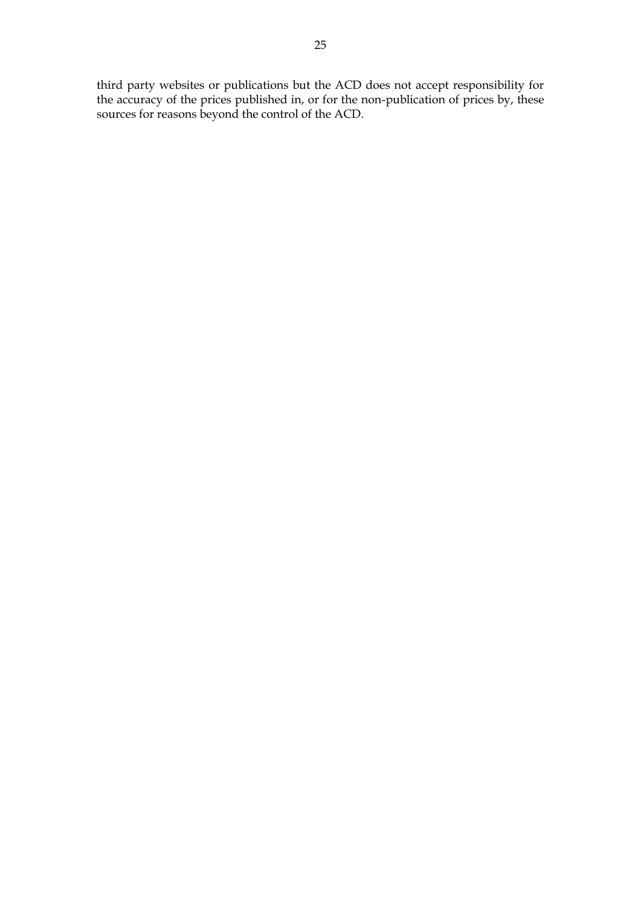third party websites or publications but the ACD does not accept responsibility for the accuracy of the prices published in, or for the non-publication of prices by, these sources for reasons beyond the control of the ACD.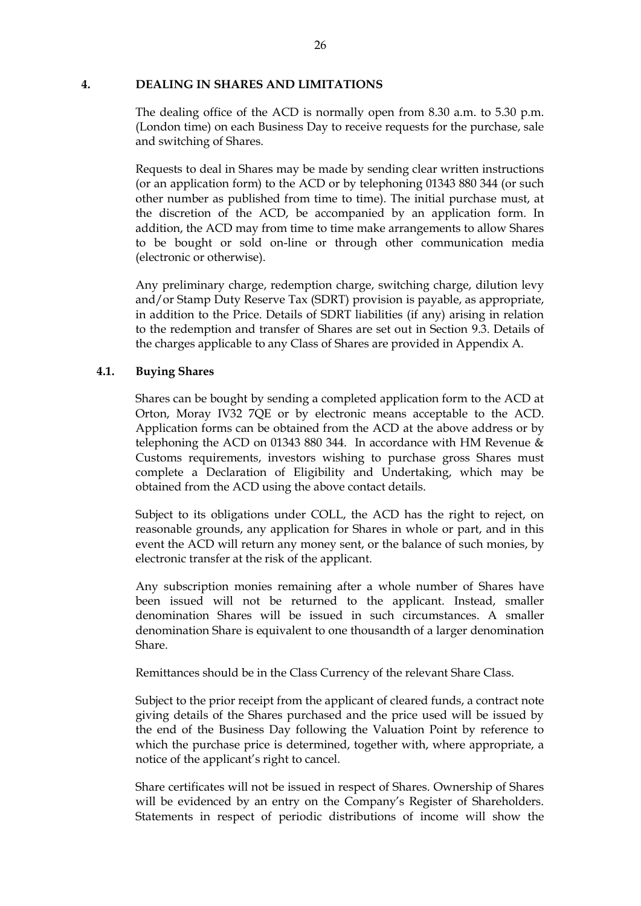#### <span id="page-30-0"></span>**4. DEALING IN SHARES AND LIMITATIONS**

The dealing office of the ACD is normally open from 8.30 a.m. to 5.30 p.m. (London time) on each Business Day to receive requests for the purchase, sale and switching of Shares.

Requests to deal in Shares may be made by sending clear written instructions (or an application form) to the ACD or by telephoning 01343 880 344 (or such other number as published from time to time). The initial purchase must, at the discretion of the ACD, be accompanied by an application form. In addition, the ACD may from time to time make arrangements to allow Shares to be bought or sold on-line or through other communication media (electronic or otherwise).

Any preliminary charge, redemption charge, switching charge, dilution levy and/or Stamp Duty Reserve Tax (SDRT) provision is payable, as appropriate, in addition to the Price. Details of SDRT liabilities (if any) arising in relation to the redemption and transfer of Shares are set out in Section 9.3. Details of the charges applicable to any Class of Shares are provided in Appendix A.

#### <span id="page-30-1"></span>**4.1. Buying Shares**

Shares can be bought by sending a completed application form to the ACD at Orton, Moray IV32 7QE or by electronic means acceptable to the ACD. Application forms can be obtained from the ACD at the above address or by telephoning the ACD on 01343 880 344. In accordance with HM Revenue & Customs requirements, investors wishing to purchase gross Shares must complete a Declaration of Eligibility and Undertaking, which may be obtained from the ACD using the above contact details.

Subject to its obligations under COLL, the ACD has the right to reject, on reasonable grounds, any application for Shares in whole or part, and in this event the ACD will return any money sent, or the balance of such monies, by electronic transfer at the risk of the applicant.

Any subscription monies remaining after a whole number of Shares have been issued will not be returned to the applicant. Instead, smaller denomination Shares will be issued in such circumstances. A smaller denomination Share is equivalent to one thousandth of a larger denomination Share.

Remittances should be in the Class Currency of the relevant Share Class.

Subject to the prior receipt from the applicant of cleared funds, a contract note giving details of the Shares purchased and the price used will be issued by the end of the Business Day following the Valuation Point by reference to which the purchase price is determined, together with, where appropriate, a notice of the applicant's right to cancel.

Share certificates will not be issued in respect of Shares. Ownership of Shares will be evidenced by an entry on the Company's Register of Shareholders. Statements in respect of periodic distributions of income will show the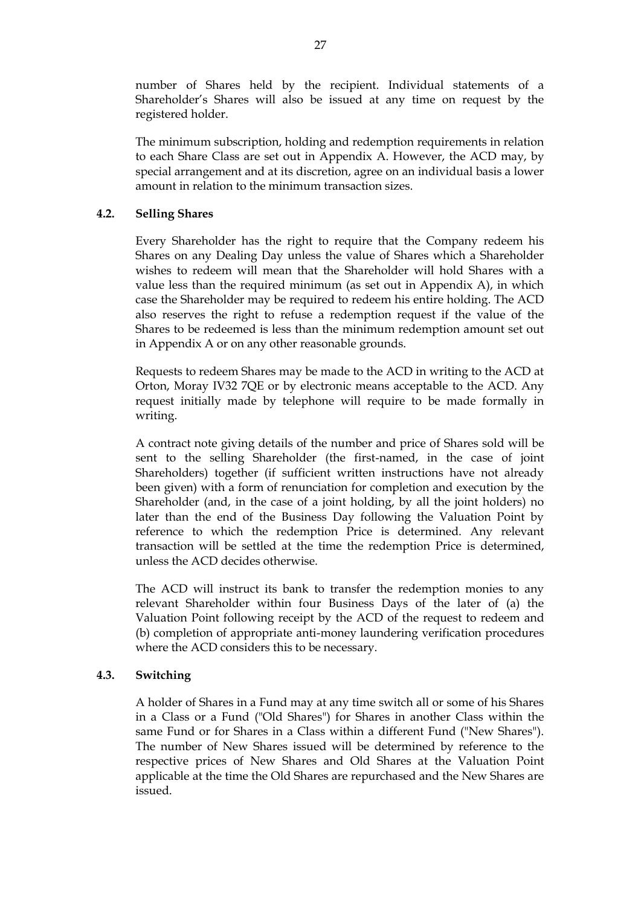number of Shares held by the recipient. Individual statements of a Shareholder's Shares will also be issued at any time on request by the registered holder.

The minimum subscription, holding and redemption requirements in relation to each Share Class are set out in Appendix A. However, the ACD may, by special arrangement and at its discretion, agree on an individual basis a lower amount in relation to the minimum transaction sizes.

### <span id="page-31-0"></span>**4.2. Selling Shares**

Every Shareholder has the right to require that the Company redeem his Shares on any Dealing Day unless the value of Shares which a Shareholder wishes to redeem will mean that the Shareholder will hold Shares with a value less than the required minimum (as set out in Appendix A), in which case the Shareholder may be required to redeem his entire holding. The ACD also reserves the right to refuse a redemption request if the value of the Shares to be redeemed is less than the minimum redemption amount set out in Appendix A or on any other reasonable grounds.

Requests to redeem Shares may be made to the ACD in writing to the ACD at Orton, Moray IV32 7QE or by electronic means acceptable to the ACD. Any request initially made by telephone will require to be made formally in writing.

A contract note giving details of the number and price of Shares sold will be sent to the selling Shareholder (the first-named, in the case of joint Shareholders) together (if sufficient written instructions have not already been given) with a form of renunciation for completion and execution by the Shareholder (and, in the case of a joint holding, by all the joint holders) no later than the end of the Business Day following the Valuation Point by reference to which the redemption Price is determined. Any relevant transaction will be settled at the time the redemption Price is determined, unless the ACD decides otherwise.

The ACD will instruct its bank to transfer the redemption monies to any relevant Shareholder within four Business Days of the later of (a) the Valuation Point following receipt by the ACD of the request to redeem and (b) completion of appropriate anti-money laundering verification procedures where the ACD considers this to be necessary.

## <span id="page-31-1"></span>**4.3. Switching**

A holder of Shares in a Fund may at any time switch all or some of his Shares in a Class or a Fund ("Old Shares") for Shares in another Class within the same Fund or for Shares in a Class within a different Fund ("New Shares"). The number of New Shares issued will be determined by reference to the respective prices of New Shares and Old Shares at the Valuation Point applicable at the time the Old Shares are repurchased and the New Shares are issued.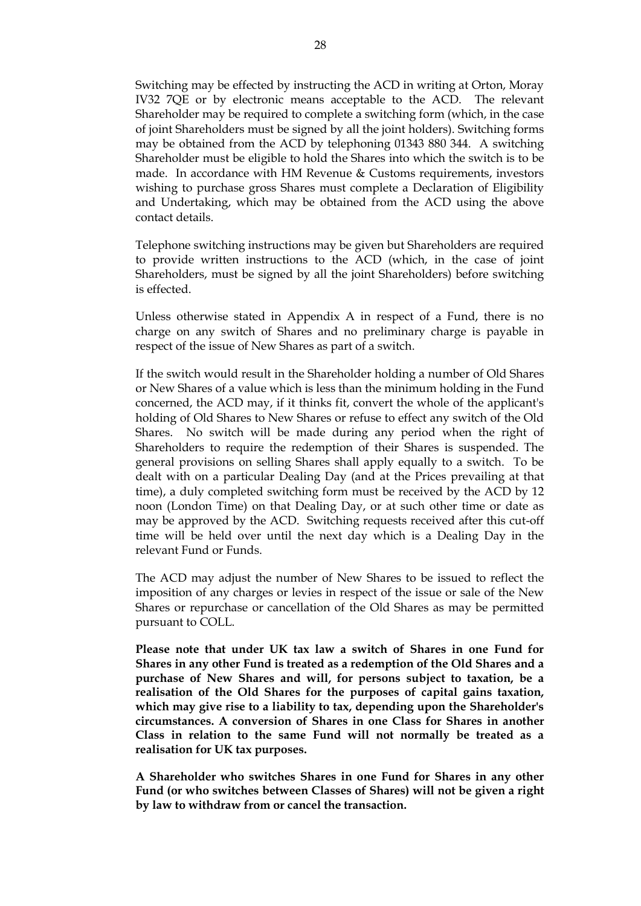Switching may be effected by instructing the ACD in writing at Orton, Moray IV32 7QE or by electronic means acceptable to the ACD. The relevant Shareholder may be required to complete a switching form (which, in the case of joint Shareholders must be signed by all the joint holders). Switching forms may be obtained from the ACD by telephoning 01343 880 344. A switching Shareholder must be eligible to hold the Shares into which the switch is to be made. In accordance with HM Revenue & Customs requirements, investors wishing to purchase gross Shares must complete a Declaration of Eligibility and Undertaking, which may be obtained from the ACD using the above contact details.

Telephone switching instructions may be given but Shareholders are required to provide written instructions to the ACD (which, in the case of joint Shareholders, must be signed by all the joint Shareholders) before switching is effected.

Unless otherwise stated in Appendix A in respect of a Fund, there is no charge on any switch of Shares and no preliminary charge is payable in respect of the issue of New Shares as part of a switch.

If the switch would result in the Shareholder holding a number of Old Shares or New Shares of a value which is less than the minimum holding in the Fund concerned, the ACD may, if it thinks fit, convert the whole of the applicant's holding of Old Shares to New Shares or refuse to effect any switch of the Old Shares. No switch will be made during any period when the right of Shareholders to require the redemption of their Shares is suspended. The general provisions on selling Shares shall apply equally to a switch. To be dealt with on a particular Dealing Day (and at the Prices prevailing at that time), a duly completed switching form must be received by the ACD by 12 noon (London Time) on that Dealing Day, or at such other time or date as may be approved by the ACD. Switching requests received after this cut-off time will be held over until the next day which is a Dealing Day in the relevant Fund or Funds.

The ACD may adjust the number of New Shares to be issued to reflect the imposition of any charges or levies in respect of the issue or sale of the New Shares or repurchase or cancellation of the Old Shares as may be permitted pursuant to COLL.

**Please note that under UK tax law a switch of Shares in one Fund for Shares in any other Fund is treated as a redemption of the Old Shares and a purchase of New Shares and will, for persons subject to taxation, be a realisation of the Old Shares for the purposes of capital gains taxation, which may give rise to a liability to tax, depending upon the Shareholder's circumstances. A conversion of Shares in one Class for Shares in another Class in relation to the same Fund will not normally be treated as a realisation for UK tax purposes.** 

**A Shareholder who switches Shares in one Fund for Shares in any other Fund (or who switches between Classes of Shares) will not be given a right by law to withdraw from or cancel the transaction.**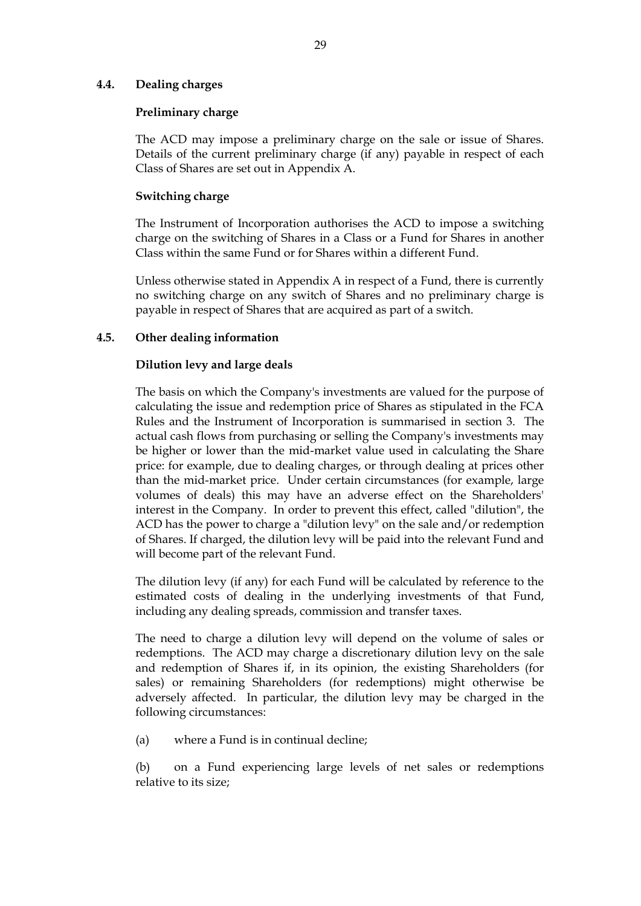#### <span id="page-33-0"></span>**4.4. Dealing charges**

#### **Preliminary charge**

The ACD may impose a preliminary charge on the sale or issue of Shares. Details of the current preliminary charge (if any) payable in respect of each Class of Shares are set out in Appendix A.

## **Switching charge**

The Instrument of Incorporation authorises the ACD to impose a switching charge on the switching of Shares in a Class or a Fund for Shares in another Class within the same Fund or for Shares within a different Fund.

Unless otherwise stated in Appendix A in respect of a Fund, there is currently no switching charge on any switch of Shares and no preliminary charge is payable in respect of Shares that are acquired as part of a switch.

## <span id="page-33-1"></span>**4.5. Other dealing information**

## **Dilution levy and large deals**

The basis on which the Company's investments are valued for the purpose of calculating the issue and redemption price of Shares as stipulated in the FCA Rules and the Instrument of Incorporation is summarised in section 3. The actual cash flows from purchasing or selling the Company's investments may be higher or lower than the mid-market value used in calculating the Share price: for example, due to dealing charges, or through dealing at prices other than the mid-market price. Under certain circumstances (for example, large volumes of deals) this may have an adverse effect on the Shareholders' interest in the Company. In order to prevent this effect, called "dilution", the ACD has the power to charge a "dilution levy" on the sale and/or redemption of Shares. If charged, the dilution levy will be paid into the relevant Fund and will become part of the relevant Fund.

The dilution levy (if any) for each Fund will be calculated by reference to the estimated costs of dealing in the underlying investments of that Fund, including any dealing spreads, commission and transfer taxes.

The need to charge a dilution levy will depend on the volume of sales or redemptions. The ACD may charge a discretionary dilution levy on the sale and redemption of Shares if, in its opinion, the existing Shareholders (for sales) or remaining Shareholders (for redemptions) might otherwise be adversely affected. In particular, the dilution levy may be charged in the following circumstances:

(a) where a Fund is in continual decline;

(b) on a Fund experiencing large levels of net sales or redemptions relative to its size;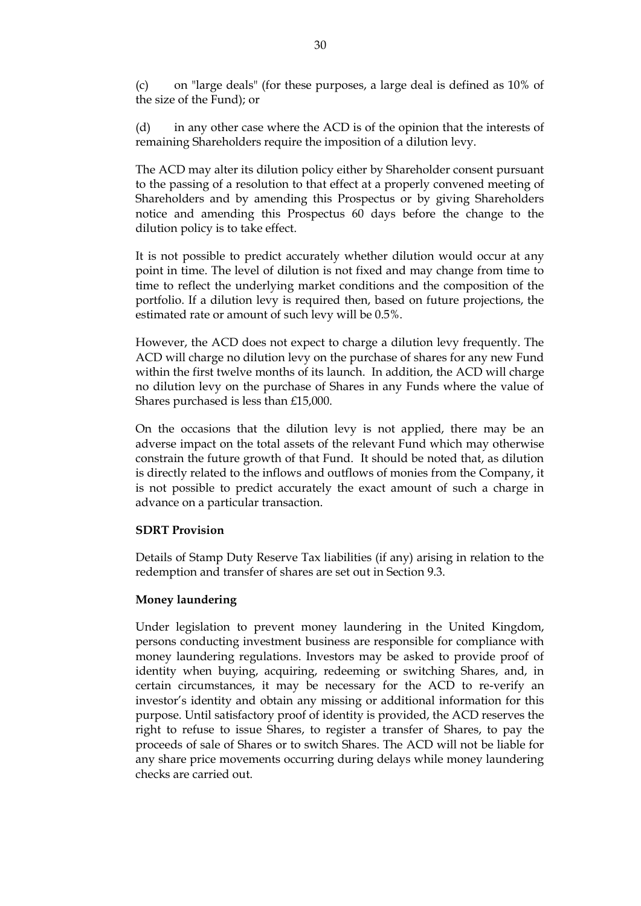(c) on "large deals" (for these purposes, a large deal is defined as 10% of the size of the Fund); or

(d) in any other case where the ACD is of the opinion that the interests of remaining Shareholders require the imposition of a dilution levy.

The ACD may alter its dilution policy either by Shareholder consent pursuant to the passing of a resolution to that effect at a properly convened meeting of Shareholders and by amending this Prospectus or by giving Shareholders notice and amending this Prospectus 60 days before the change to the dilution policy is to take effect.

It is not possible to predict accurately whether dilution would occur at any point in time. The level of dilution is not fixed and may change from time to time to reflect the underlying market conditions and the composition of the portfolio. If a dilution levy is required then, based on future projections, the estimated rate or amount of such levy will be 0.5%.

However, the ACD does not expect to charge a dilution levy frequently. The ACD will charge no dilution levy on the purchase of shares for any new Fund within the first twelve months of its launch. In addition, the ACD will charge no dilution levy on the purchase of Shares in any Funds where the value of Shares purchased is less than £15,000.

On the occasions that the dilution levy is not applied, there may be an adverse impact on the total assets of the relevant Fund which may otherwise constrain the future growth of that Fund. It should be noted that, as dilution is directly related to the inflows and outflows of monies from the Company, it is not possible to predict accurately the exact amount of such a charge in advance on a particular transaction.

#### **SDRT Provision**

Details of Stamp Duty Reserve Tax liabilities (if any) arising in relation to the redemption and transfer of shares are set out in Section 9.3.

#### **Money laundering**

Under legislation to prevent money laundering in the United Kingdom, persons conducting investment business are responsible for compliance with money laundering regulations. Investors may be asked to provide proof of identity when buying, acquiring, redeeming or switching Shares, and, in certain circumstances, it may be necessary for the ACD to re-verify an investor's identity and obtain any missing or additional information for this purpose. Until satisfactory proof of identity is provided, the ACD reserves the right to refuse to issue Shares, to register a transfer of Shares, to pay the proceeds of sale of Shares or to switch Shares. The ACD will not be liable for any share price movements occurring during delays while money laundering checks are carried out.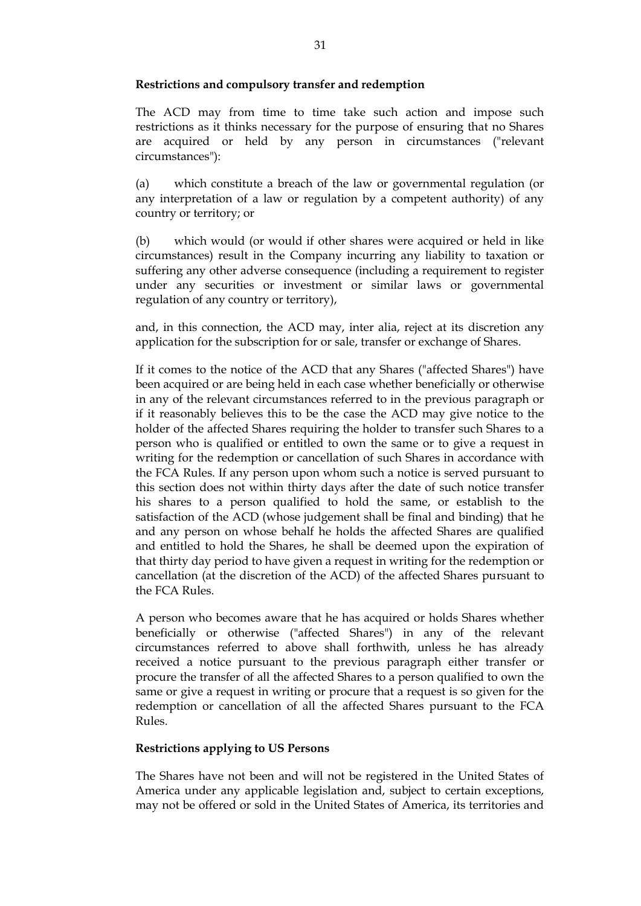#### **Restrictions and compulsory transfer and redemption**

The ACD may from time to time take such action and impose such restrictions as it thinks necessary for the purpose of ensuring that no Shares are acquired or held by any person in circumstances ("relevant circumstances"):

(a) which constitute a breach of the law or governmental regulation (or any interpretation of a law or regulation by a competent authority) of any country or territory; or

(b) which would (or would if other shares were acquired or held in like circumstances) result in the Company incurring any liability to taxation or suffering any other adverse consequence (including a requirement to register under any securities or investment or similar laws or governmental regulation of any country or territory),

and, in this connection, the ACD may, inter alia, reject at its discretion any application for the subscription for or sale, transfer or exchange of Shares.

If it comes to the notice of the ACD that any Shares ("affected Shares") have been acquired or are being held in each case whether beneficially or otherwise in any of the relevant circumstances referred to in the previous paragraph or if it reasonably believes this to be the case the ACD may give notice to the holder of the affected Shares requiring the holder to transfer such Shares to a person who is qualified or entitled to own the same or to give a request in writing for the redemption or cancellation of such Shares in accordance with the FCA Rules. If any person upon whom such a notice is served pursuant to this section does not within thirty days after the date of such notice transfer his shares to a person qualified to hold the same, or establish to the satisfaction of the ACD (whose judgement shall be final and binding) that he and any person on whose behalf he holds the affected Shares are qualified and entitled to hold the Shares, he shall be deemed upon the expiration of that thirty day period to have given a request in writing for the redemption or cancellation (at the discretion of the ACD) of the affected Shares pursuant to the FCA Rules.

A person who becomes aware that he has acquired or holds Shares whether beneficially or otherwise ("affected Shares") in any of the relevant circumstances referred to above shall forthwith, unless he has already received a notice pursuant to the previous paragraph either transfer or procure the transfer of all the affected Shares to a person qualified to own the same or give a request in writing or procure that a request is so given for the redemption or cancellation of all the affected Shares pursuant to the FCA Rules.

#### **Restrictions applying to US Persons**

The Shares have not been and will not be registered in the United States of America under any applicable legislation and, subject to certain exceptions, may not be offered or sold in the United States of America, its territories and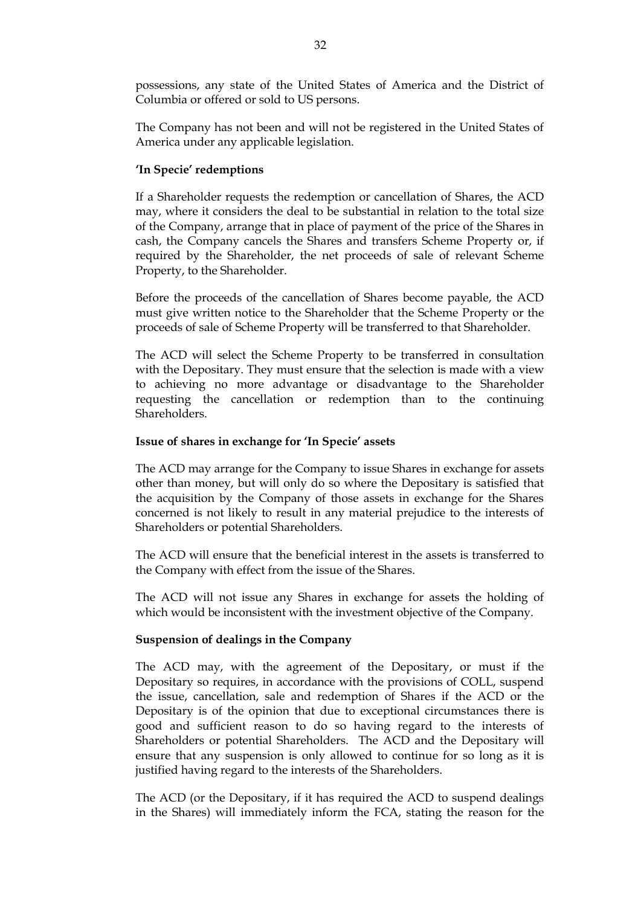possessions, any state of the United States of America and the District of Columbia or offered or sold to US persons.

The Company has not been and will not be registered in the United States of America under any applicable legislation.

#### **'In Specie' redemptions**

If a Shareholder requests the redemption or cancellation of Shares, the ACD may, where it considers the deal to be substantial in relation to the total size of the Company, arrange that in place of payment of the price of the Shares in cash, the Company cancels the Shares and transfers Scheme Property or, if required by the Shareholder, the net proceeds of sale of relevant Scheme Property, to the Shareholder.

Before the proceeds of the cancellation of Shares become payable, the ACD must give written notice to the Shareholder that the Scheme Property or the proceeds of sale of Scheme Property will be transferred to that Shareholder.

The ACD will select the Scheme Property to be transferred in consultation with the Depositary. They must ensure that the selection is made with a view to achieving no more advantage or disadvantage to the Shareholder requesting the cancellation or redemption than to the continuing Shareholders.

#### **Issue of shares in exchange for 'In Specie' assets**

The ACD may arrange for the Company to issue Shares in exchange for assets other than money, but will only do so where the Depositary is satisfied that the acquisition by the Company of those assets in exchange for the Shares concerned is not likely to result in any material prejudice to the interests of Shareholders or potential Shareholders.

The ACD will ensure that the beneficial interest in the assets is transferred to the Company with effect from the issue of the Shares.

The ACD will not issue any Shares in exchange for assets the holding of which would be inconsistent with the investment objective of the Company.

#### **Suspension of dealings in the Company**

The ACD may, with the agreement of the Depositary, or must if the Depositary so requires, in accordance with the provisions of COLL, suspend the issue, cancellation, sale and redemption of Shares if the ACD or the Depositary is of the opinion that due to exceptional circumstances there is good and sufficient reason to do so having regard to the interests of Shareholders or potential Shareholders. The ACD and the Depositary will ensure that any suspension is only allowed to continue for so long as it is justified having regard to the interests of the Shareholders.

The ACD (or the Depositary, if it has required the ACD to suspend dealings in the Shares) will immediately inform the FCA, stating the reason for the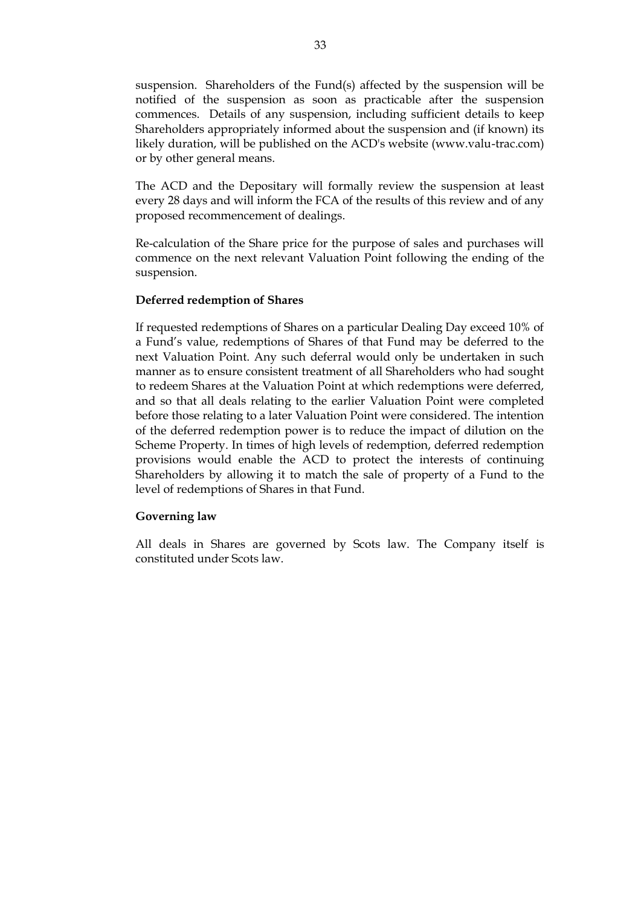suspension. Shareholders of the Fund(s) affected by the suspension will be notified of the suspension as soon as practicable after the suspension commences. Details of any suspension, including sufficient details to keep Shareholders appropriately informed about the suspension and (if known) its likely duration, will be published on the ACD's website (www.valu-trac.com) or by other general means.

The ACD and the Depositary will formally review the suspension at least every 28 days and will inform the FCA of the results of this review and of any proposed recommencement of dealings.

Re-calculation of the Share price for the purpose of sales and purchases will commence on the next relevant Valuation Point following the ending of the suspension.

#### **Deferred redemption of Shares**

If requested redemptions of Shares on a particular Dealing Day exceed 10% of a Fund's value, redemptions of Shares of that Fund may be deferred to the next Valuation Point. Any such deferral would only be undertaken in such manner as to ensure consistent treatment of all Shareholders who had sought to redeem Shares at the Valuation Point at which redemptions were deferred, and so that all deals relating to the earlier Valuation Point were completed before those relating to a later Valuation Point were considered. The intention of the deferred redemption power is to reduce the impact of dilution on the Scheme Property. In times of high levels of redemption, deferred redemption provisions would enable the ACD to protect the interests of continuing Shareholders by allowing it to match the sale of property of a Fund to the level of redemptions of Shares in that Fund.

#### **Governing law**

All deals in Shares are governed by Scots law. The Company itself is constituted under Scots law.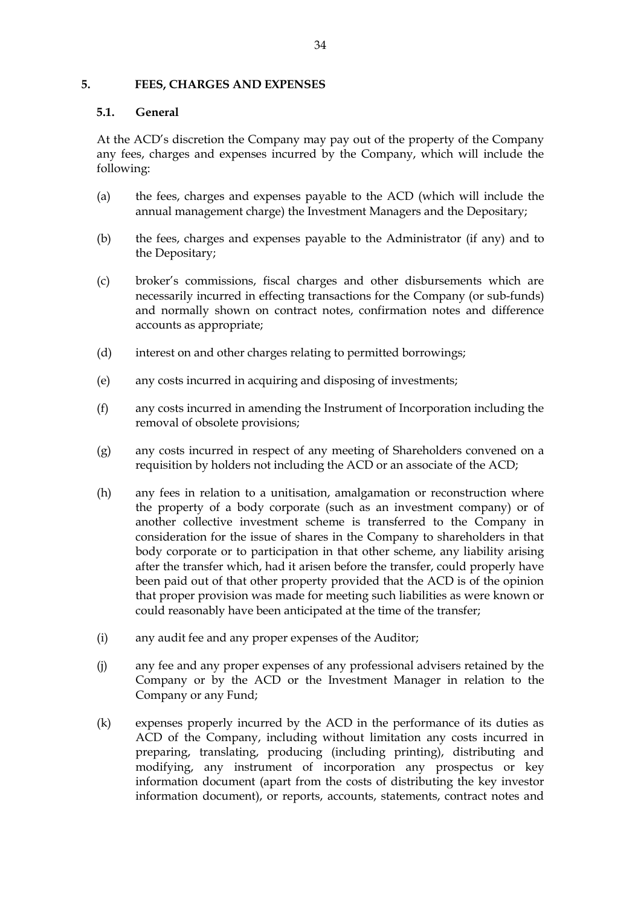#### **5. FEES, CHARGES AND EXPENSES**

### **5.1. General**

At the ACD's discretion the Company may pay out of the property of the Company any fees, charges and expenses incurred by the Company, which will include the following:

- (a) the fees, charges and expenses payable to the ACD (which will include the annual management charge) the Investment Managers and the Depositary;
- (b) the fees, charges and expenses payable to the Administrator (if any) and to the Depositary;
- (c) broker's commissions, fiscal charges and other disbursements which are necessarily incurred in effecting transactions for the Company (or sub-funds) and normally shown on contract notes, confirmation notes and difference accounts as appropriate;
- (d) interest on and other charges relating to permitted borrowings;
- (e) any costs incurred in acquiring and disposing of investments;
- (f) any costs incurred in amending the Instrument of Incorporation including the removal of obsolete provisions;
- (g) any costs incurred in respect of any meeting of Shareholders convened on a requisition by holders not including the ACD or an associate of the ACD;
- (h) any fees in relation to a unitisation, amalgamation or reconstruction where the property of a body corporate (such as an investment company) or of another collective investment scheme is transferred to the Company in consideration for the issue of shares in the Company to shareholders in that body corporate or to participation in that other scheme, any liability arising after the transfer which, had it arisen before the transfer, could properly have been paid out of that other property provided that the ACD is of the opinion that proper provision was made for meeting such liabilities as were known or could reasonably have been anticipated at the time of the transfer;
- (i) any audit fee and any proper expenses of the Auditor;
- (j) any fee and any proper expenses of any professional advisers retained by the Company or by the ACD or the Investment Manager in relation to the Company or any Fund;
- (k) expenses properly incurred by the ACD in the performance of its duties as ACD of the Company, including without limitation any costs incurred in preparing, translating, producing (including printing), distributing and modifying, any instrument of incorporation any prospectus or key information document (apart from the costs of distributing the key investor information document), or reports, accounts, statements, contract notes and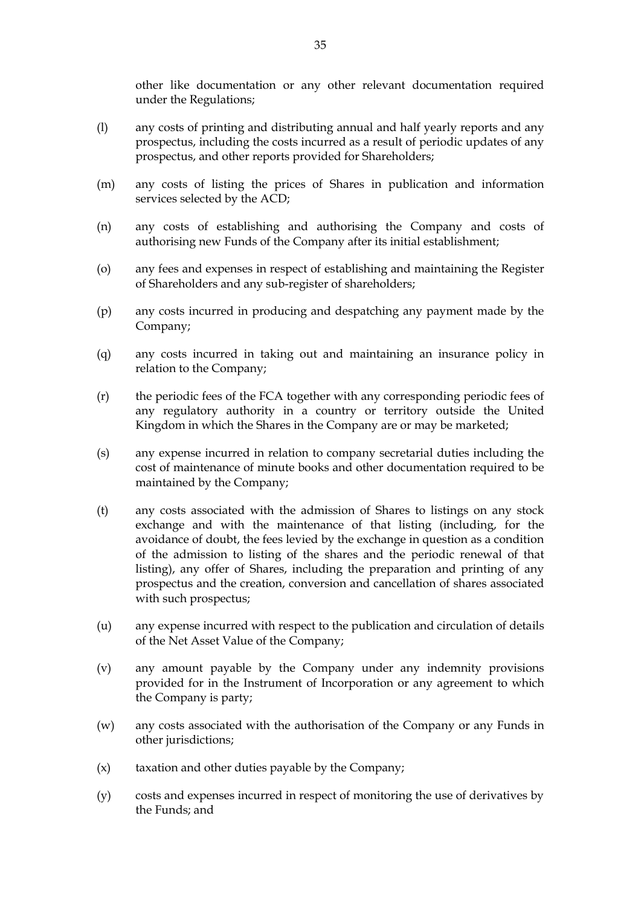other like documentation or any other relevant documentation required under the Regulations;

- (l) any costs of printing and distributing annual and half yearly reports and any prospectus, including the costs incurred as a result of periodic updates of any prospectus, and other reports provided for Shareholders;
- (m) any costs of listing the prices of Shares in publication and information services selected by the ACD;
- (n) any costs of establishing and authorising the Company and costs of authorising new Funds of the Company after its initial establishment;
- (o) any fees and expenses in respect of establishing and maintaining the Register of Shareholders and any sub-register of shareholders;
- (p) any costs incurred in producing and despatching any payment made by the Company;
- (q) any costs incurred in taking out and maintaining an insurance policy in relation to the Company;
- (r) the periodic fees of the FCA together with any corresponding periodic fees of any regulatory authority in a country or territory outside the United Kingdom in which the Shares in the Company are or may be marketed;
- (s) any expense incurred in relation to company secretarial duties including the cost of maintenance of minute books and other documentation required to be maintained by the Company;
- (t) any costs associated with the admission of Shares to listings on any stock exchange and with the maintenance of that listing (including, for the avoidance of doubt, the fees levied by the exchange in question as a condition of the admission to listing of the shares and the periodic renewal of that listing), any offer of Shares, including the preparation and printing of any prospectus and the creation, conversion and cancellation of shares associated with such prospectus;
- (u) any expense incurred with respect to the publication and circulation of details of the Net Asset Value of the Company;
- (v) any amount payable by the Company under any indemnity provisions provided for in the Instrument of Incorporation or any agreement to which the Company is party;
- (w) any costs associated with the authorisation of the Company or any Funds in other jurisdictions;
- (x) taxation and other duties payable by the Company;
- (y) costs and expenses incurred in respect of monitoring the use of derivatives by the Funds; and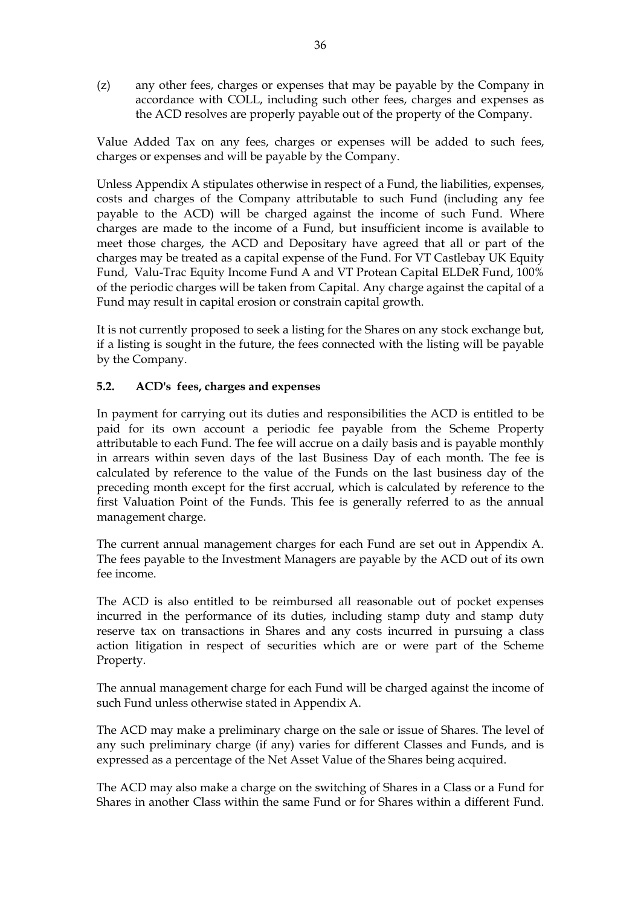(z) any other fees, charges or expenses that may be payable by the Company in accordance with COLL, including such other fees, charges and expenses as the ACD resolves are properly payable out of the property of the Company.

Value Added Tax on any fees, charges or expenses will be added to such fees, charges or expenses and will be payable by the Company.

Unless Appendix A stipulates otherwise in respect of a Fund, the liabilities, expenses, costs and charges of the Company attributable to such Fund (including any fee payable to the ACD) will be charged against the income of such Fund. Where charges are made to the income of a Fund, but insufficient income is available to meet those charges, the ACD and Depositary have agreed that all or part of the charges may be treated as a capital expense of the Fund. For VT Castlebay UK Equity Fund, Valu-Trac Equity Income Fund A and VT Protean Capital ELDeR Fund, 100% of the periodic charges will be taken from Capital. Any charge against the capital of a Fund may result in capital erosion or constrain capital growth.

It is not currently proposed to seek a listing for the Shares on any stock exchange but, if a listing is sought in the future, the fees connected with the listing will be payable by the Company.

#### **5.2. ACD's fees, charges and expenses**

In payment for carrying out its duties and responsibilities the ACD is entitled to be paid for its own account a periodic fee payable from the Scheme Property attributable to each Fund. The fee will accrue on a daily basis and is payable monthly in arrears within seven days of the last Business Day of each month. The fee is calculated by reference to the value of the Funds on the last business day of the preceding month except for the first accrual, which is calculated by reference to the first Valuation Point of the Funds. This fee is generally referred to as the annual management charge.

The current annual management charges for each Fund are set out in Appendix A. The fees payable to the Investment Managers are payable by the ACD out of its own fee income.

The ACD is also entitled to be reimbursed all reasonable out of pocket expenses incurred in the performance of its duties, including stamp duty and stamp duty reserve tax on transactions in Shares and any costs incurred in pursuing a class action litigation in respect of securities which are or were part of the Scheme Property.

The annual management charge for each Fund will be charged against the income of such Fund unless otherwise stated in Appendix A.

The ACD may make a preliminary charge on the sale or issue of Shares. The level of any such preliminary charge (if any) varies for different Classes and Funds, and is expressed as a percentage of the Net Asset Value of the Shares being acquired.

The ACD may also make a charge on the switching of Shares in a Class or a Fund for Shares in another Class within the same Fund or for Shares within a different Fund.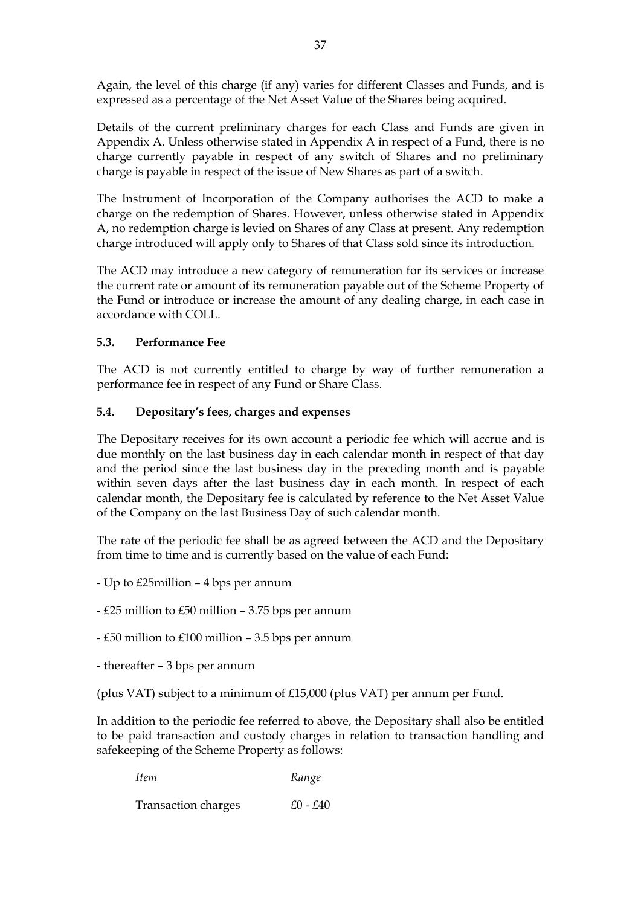Again, the level of this charge (if any) varies for different Classes and Funds, and is expressed as a percentage of the Net Asset Value of the Shares being acquired.

Details of the current preliminary charges for each Class and Funds are given in Appendix A. Unless otherwise stated in Appendix A in respect of a Fund, there is no charge currently payable in respect of any switch of Shares and no preliminary charge is payable in respect of the issue of New Shares as part of a switch.

The Instrument of Incorporation of the Company authorises the ACD to make a charge on the redemption of Shares. However, unless otherwise stated in Appendix A, no redemption charge is levied on Shares of any Class at present. Any redemption charge introduced will apply only to Shares of that Class sold since its introduction.

The ACD may introduce a new category of remuneration for its services or increase the current rate or amount of its remuneration payable out of the Scheme Property of the Fund or introduce or increase the amount of any dealing charge, in each case in accordance with COLL.

## **5.3. Performance Fee**

The ACD is not currently entitled to charge by way of further remuneration a performance fee in respect of any Fund or Share Class.

### **5.4. Depositary's fees, charges and expenses**

The Depositary receives for its own account a periodic fee which will accrue and is due monthly on the last business day in each calendar month in respect of that day and the period since the last business day in the preceding month and is payable within seven days after the last business day in each month. In respect of each calendar month, the Depositary fee is calculated by reference to the Net Asset Value of the Company on the last Business Day of such calendar month.

The rate of the periodic fee shall be as agreed between the ACD and the Depositary from time to time and is currently based on the value of each Fund:

- Up to £25million 4 bps per annum
- £25 million to £50 million 3.75 bps per annum
- £50 million to £100 million 3.5 bps per annum
- thereafter 3 bps per annum

(plus VAT) subject to a minimum of £15,000 (plus VAT) per annum per Fund.

In addition to the periodic fee referred to above, the Depositary shall also be entitled to be paid transaction and custody charges in relation to transaction handling and safekeeping of the Scheme Property as follows:

| <i>Item</i>         | Range    |  |
|---------------------|----------|--|
| Transaction charges | £0 - £40 |  |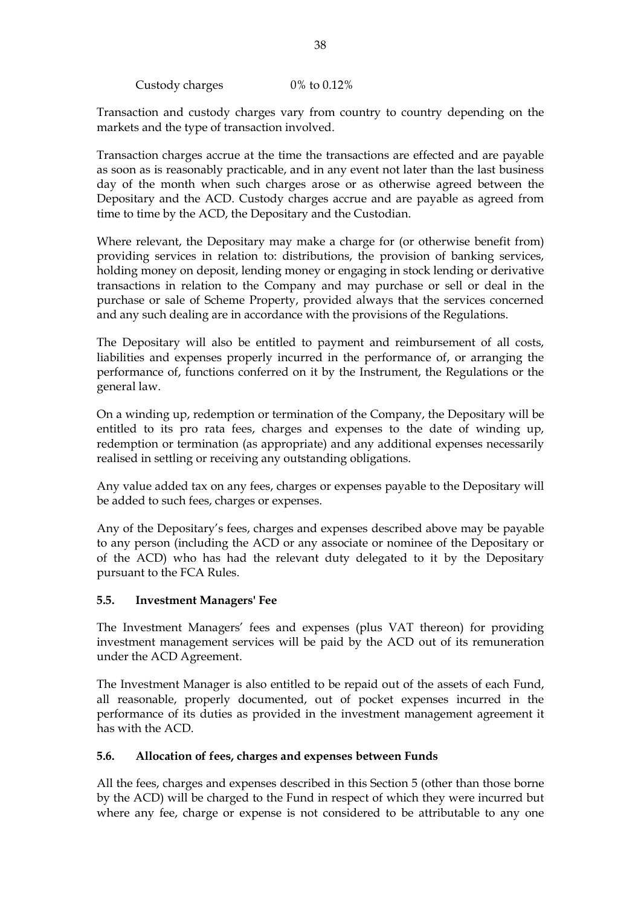Custody charges 0% to 0.12%

Transaction and custody charges vary from country to country depending on the markets and the type of transaction involved.

Transaction charges accrue at the time the transactions are effected and are payable as soon as is reasonably practicable, and in any event not later than the last business day of the month when such charges arose or as otherwise agreed between the Depositary and the ACD. Custody charges accrue and are payable as agreed from time to time by the ACD, the Depositary and the Custodian.

Where relevant, the Depositary may make a charge for (or otherwise benefit from) providing services in relation to: distributions, the provision of banking services, holding money on deposit, lending money or engaging in stock lending or derivative transactions in relation to the Company and may purchase or sell or deal in the purchase or sale of Scheme Property, provided always that the services concerned and any such dealing are in accordance with the provisions of the Regulations.

The Depositary will also be entitled to payment and reimbursement of all costs, liabilities and expenses properly incurred in the performance of, or arranging the performance of, functions conferred on it by the Instrument, the Regulations or the general law.

On a winding up, redemption or termination of the Company, the Depositary will be entitled to its pro rata fees, charges and expenses to the date of winding up, redemption or termination (as appropriate) and any additional expenses necessarily realised in settling or receiving any outstanding obligations.

Any value added tax on any fees, charges or expenses payable to the Depositary will be added to such fees, charges or expenses.

Any of the Depositary's fees, charges and expenses described above may be payable to any person (including the ACD or any associate or nominee of the Depositary or of the ACD) who has had the relevant duty delegated to it by the Depositary pursuant to the FCA Rules.

### **5.5. Investment Managers' Fee**

The Investment Managers' fees and expenses (plus VAT thereon) for providing investment management services will be paid by the ACD out of its remuneration under the ACD Agreement.

The Investment Manager is also entitled to be repaid out of the assets of each Fund, all reasonable, properly documented, out of pocket expenses incurred in the performance of its duties as provided in the investment management agreement it has with the ACD.

#### **5.6. Allocation of fees, charges and expenses between Funds**

All the fees, charges and expenses described in this Section 5 (other than those borne by the ACD) will be charged to the Fund in respect of which they were incurred but where any fee, charge or expense is not considered to be attributable to any one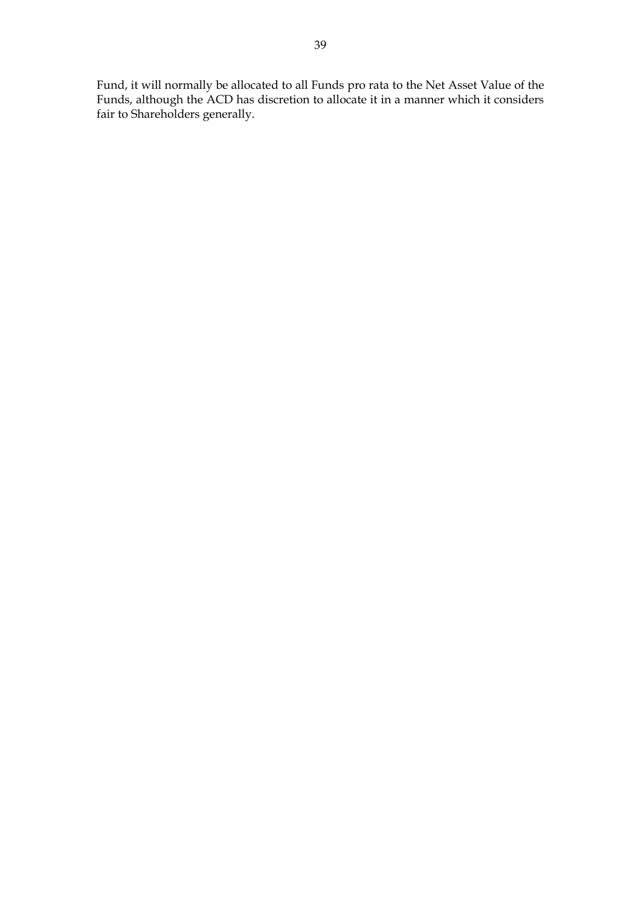Fund, it will normally be allocated to all Funds pro rata to the Net Asset Value of the Funds, although the ACD has discretion to allocate it in a manner which it considers fair to Shareholders generally.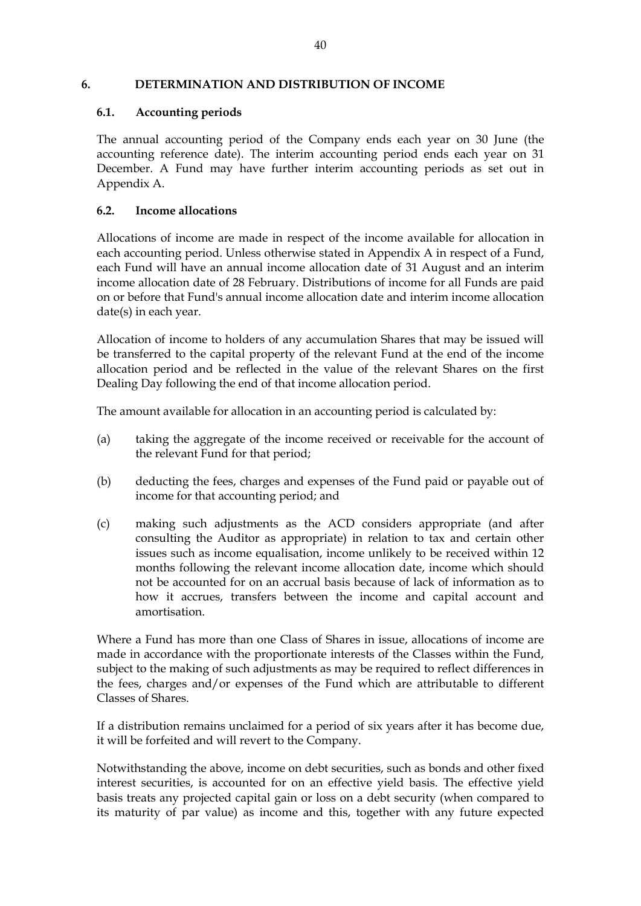#### **6. DETERMINATION AND DISTRIBUTION OF INCOME**

#### **6.1. Accounting periods**

The annual accounting period of the Company ends each year on 30 June (the accounting reference date). The interim accounting period ends each year on 31 December. A Fund may have further interim accounting periods as set out in Appendix A.

#### **6.2. Income allocations**

Allocations of income are made in respect of the income available for allocation in each accounting period. Unless otherwise stated in Appendix A in respect of a Fund, each Fund will have an annual income allocation date of 31 August and an interim income allocation date of 28 February. Distributions of income for all Funds are paid on or before that Fund's annual income allocation date and interim income allocation date(s) in each year.

Allocation of income to holders of any accumulation Shares that may be issued will be transferred to the capital property of the relevant Fund at the end of the income allocation period and be reflected in the value of the relevant Shares on the first Dealing Day following the end of that income allocation period.

The amount available for allocation in an accounting period is calculated by:

- (a) taking the aggregate of the income received or receivable for the account of the relevant Fund for that period;
- (b) deducting the fees, charges and expenses of the Fund paid or payable out of income for that accounting period; and
- (c) making such adjustments as the ACD considers appropriate (and after consulting the Auditor as appropriate) in relation to tax and certain other issues such as income equalisation, income unlikely to be received within 12 months following the relevant income allocation date, income which should not be accounted for on an accrual basis because of lack of information as to how it accrues, transfers between the income and capital account and amortisation.

Where a Fund has more than one Class of Shares in issue, allocations of income are made in accordance with the proportionate interests of the Classes within the Fund, subject to the making of such adjustments as may be required to reflect differences in the fees, charges and/or expenses of the Fund which are attributable to different Classes of Shares.

If a distribution remains unclaimed for a period of six years after it has become due, it will be forfeited and will revert to the Company.

Notwithstanding the above, income on debt securities, such as bonds and other fixed interest securities, is accounted for on an effective yield basis. The effective yield basis treats any projected capital gain or loss on a debt security (when compared to its maturity of par value) as income and this, together with any future expected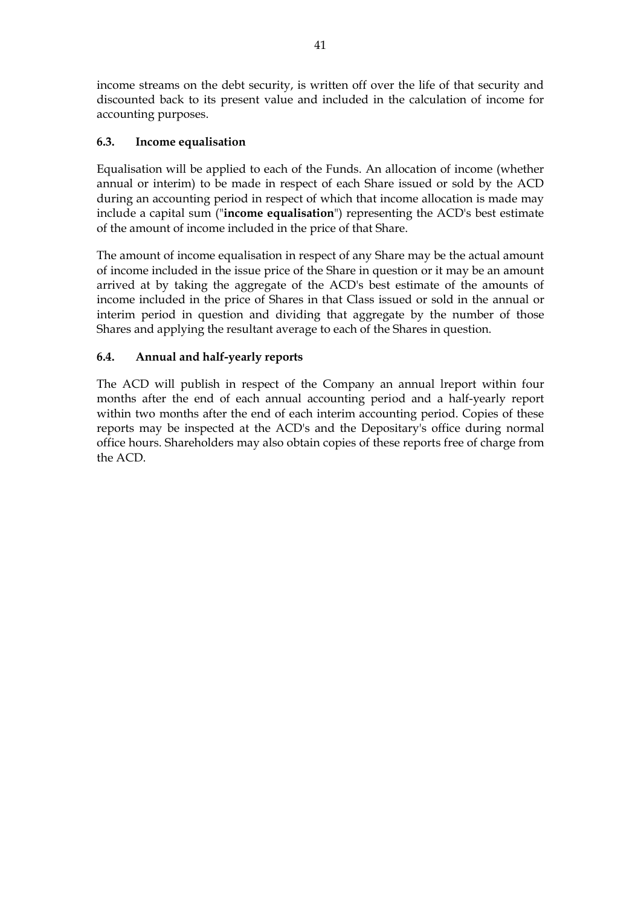income streams on the debt security, is written off over the life of that security and discounted back to its present value and included in the calculation of income for accounting purposes.

# **6.3. Income equalisation**

Equalisation will be applied to each of the Funds. An allocation of income (whether annual or interim) to be made in respect of each Share issued or sold by the ACD during an accounting period in respect of which that income allocation is made may include a capital sum ("**income equalisation**") representing the ACD's best estimate of the amount of income included in the price of that Share.

The amount of income equalisation in respect of any Share may be the actual amount of income included in the issue price of the Share in question or it may be an amount arrived at by taking the aggregate of the ACD's best estimate of the amounts of income included in the price of Shares in that Class issued or sold in the annual or interim period in question and dividing that aggregate by the number of those Shares and applying the resultant average to each of the Shares in question.

## **6.4. Annual and half-yearly reports**

The ACD will publish in respect of the Company an annual lreport within four months after the end of each annual accounting period and a half-yearly report within two months after the end of each interim accounting period. Copies of these reports may be inspected at the ACD's and the Depositary's office during normal office hours. Shareholders may also obtain copies of these reports free of charge from the ACD.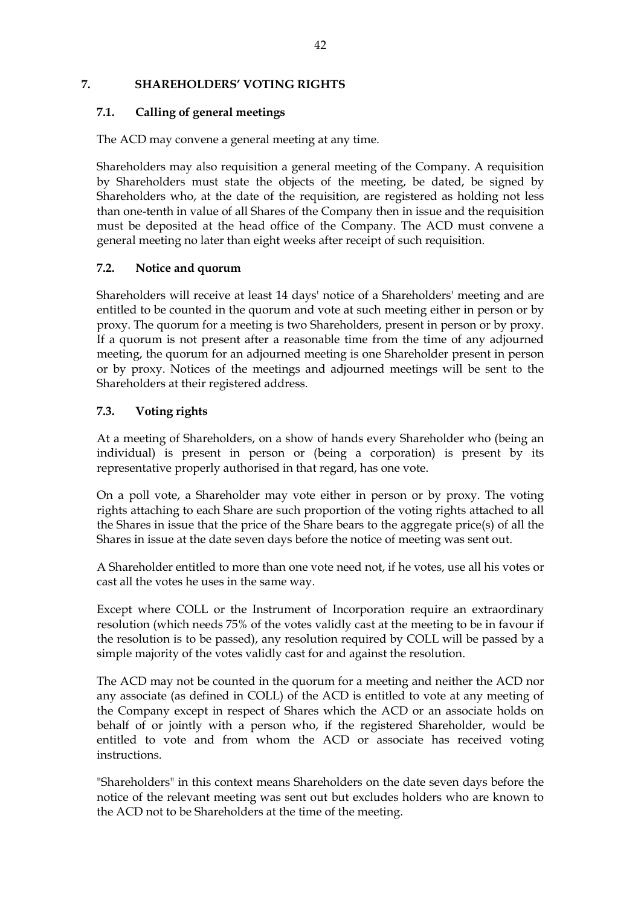### **7. SHAREHOLDERS' VOTING RIGHTS**

### **7.1. Calling of general meetings**

The ACD may convene a general meeting at any time.

Shareholders may also requisition a general meeting of the Company. A requisition by Shareholders must state the objects of the meeting, be dated, be signed by Shareholders who, at the date of the requisition, are registered as holding not less than one-tenth in value of all Shares of the Company then in issue and the requisition must be deposited at the head office of the Company. The ACD must convene a general meeting no later than eight weeks after receipt of such requisition.

## **7.2. Notice and quorum**

Shareholders will receive at least 14 days' notice of a Shareholders' meeting and are entitled to be counted in the quorum and vote at such meeting either in person or by proxy. The quorum for a meeting is two Shareholders, present in person or by proxy. If a quorum is not present after a reasonable time from the time of any adjourned meeting, the quorum for an adjourned meeting is one Shareholder present in person or by proxy. Notices of the meetings and adjourned meetings will be sent to the Shareholders at their registered address.

## **7.3. Voting rights**

At a meeting of Shareholders, on a show of hands every Shareholder who (being an individual) is present in person or (being a corporation) is present by its representative properly authorised in that regard, has one vote.

On a poll vote, a Shareholder may vote either in person or by proxy. The voting rights attaching to each Share are such proportion of the voting rights attached to all the Shares in issue that the price of the Share bears to the aggregate price(s) of all the Shares in issue at the date seven days before the notice of meeting was sent out.

A Shareholder entitled to more than one vote need not, if he votes, use all his votes or cast all the votes he uses in the same way.

Except where COLL or the Instrument of Incorporation require an extraordinary resolution (which needs 75% of the votes validly cast at the meeting to be in favour if the resolution is to be passed), any resolution required by COLL will be passed by a simple majority of the votes validly cast for and against the resolution.

The ACD may not be counted in the quorum for a meeting and neither the ACD nor any associate (as defined in COLL) of the ACD is entitled to vote at any meeting of the Company except in respect of Shares which the ACD or an associate holds on behalf of or jointly with a person who, if the registered Shareholder, would be entitled to vote and from whom the ACD or associate has received voting instructions.

"Shareholders" in this context means Shareholders on the date seven days before the notice of the relevant meeting was sent out but excludes holders who are known to the ACD not to be Shareholders at the time of the meeting.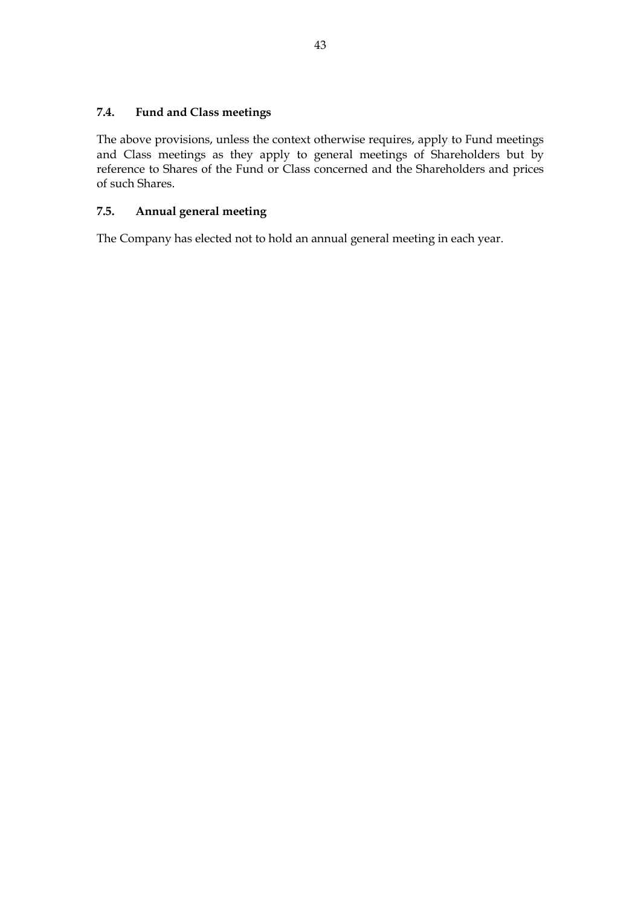## **7.4. Fund and Class meetings**

The above provisions, unless the context otherwise requires, apply to Fund meetings and Class meetings as they apply to general meetings of Shareholders but by reference to Shares of the Fund or Class concerned and the Shareholders and prices of such Shares.

## **7.5. Annual general meeting**

The Company has elected not to hold an annual general meeting in each year.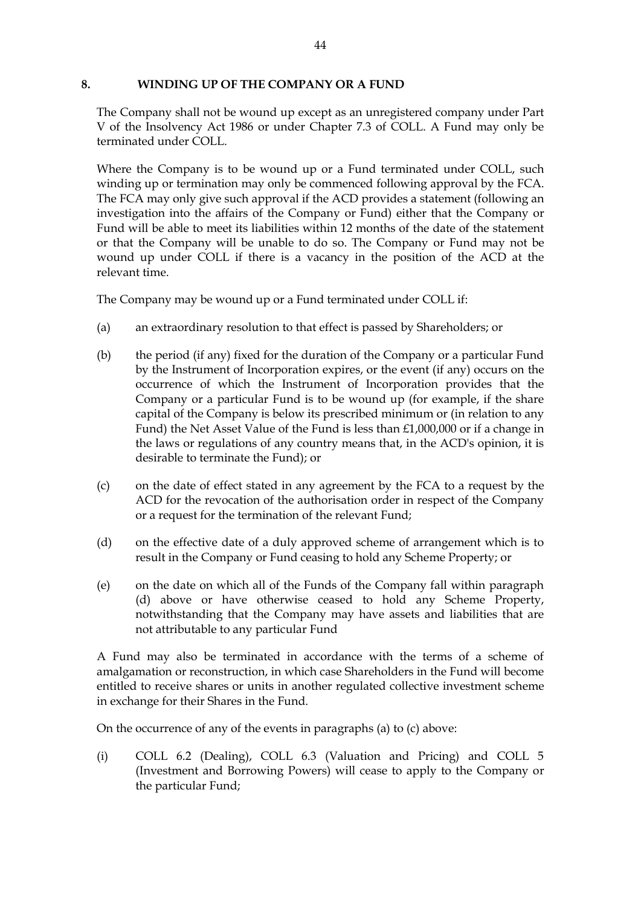#### **8. WINDING UP OF THE COMPANY OR A FUND**

The Company shall not be wound up except as an unregistered company under Part V of the Insolvency Act 1986 or under Chapter 7.3 of COLL. A Fund may only be terminated under COLL.

Where the Company is to be wound up or a Fund terminated under COLL, such winding up or termination may only be commenced following approval by the FCA. The FCA may only give such approval if the ACD provides a statement (following an investigation into the affairs of the Company or Fund) either that the Company or Fund will be able to meet its liabilities within 12 months of the date of the statement or that the Company will be unable to do so. The Company or Fund may not be wound up under COLL if there is a vacancy in the position of the ACD at the relevant time.

The Company may be wound up or a Fund terminated under COLL if:

- (a) an extraordinary resolution to that effect is passed by Shareholders; or
- (b) the period (if any) fixed for the duration of the Company or a particular Fund by the Instrument of Incorporation expires, or the event (if any) occurs on the occurrence of which the Instrument of Incorporation provides that the Company or a particular Fund is to be wound up (for example, if the share capital of the Company is below its prescribed minimum or (in relation to any Fund) the Net Asset Value of the Fund is less than £1,000,000 or if a change in the laws or regulations of any country means that, in the ACD's opinion, it is desirable to terminate the Fund); or
- (c) on the date of effect stated in any agreement by the FCA to a request by the ACD for the revocation of the authorisation order in respect of the Company or a request for the termination of the relevant Fund;
- (d) on the effective date of a duly approved scheme of arrangement which is to result in the Company or Fund ceasing to hold any Scheme Property; or
- (e) on the date on which all of the Funds of the Company fall within paragraph (d) above or have otherwise ceased to hold any Scheme Property, notwithstanding that the Company may have assets and liabilities that are not attributable to any particular Fund

A Fund may also be terminated in accordance with the terms of a scheme of amalgamation or reconstruction, in which case Shareholders in the Fund will become entitled to receive shares or units in another regulated collective investment scheme in exchange for their Shares in the Fund.

On the occurrence of any of the events in paragraphs (a) to (c) above:

(i) COLL 6.2 (Dealing), COLL 6.3 (Valuation and Pricing) and COLL 5 (Investment and Borrowing Powers) will cease to apply to the Company or the particular Fund;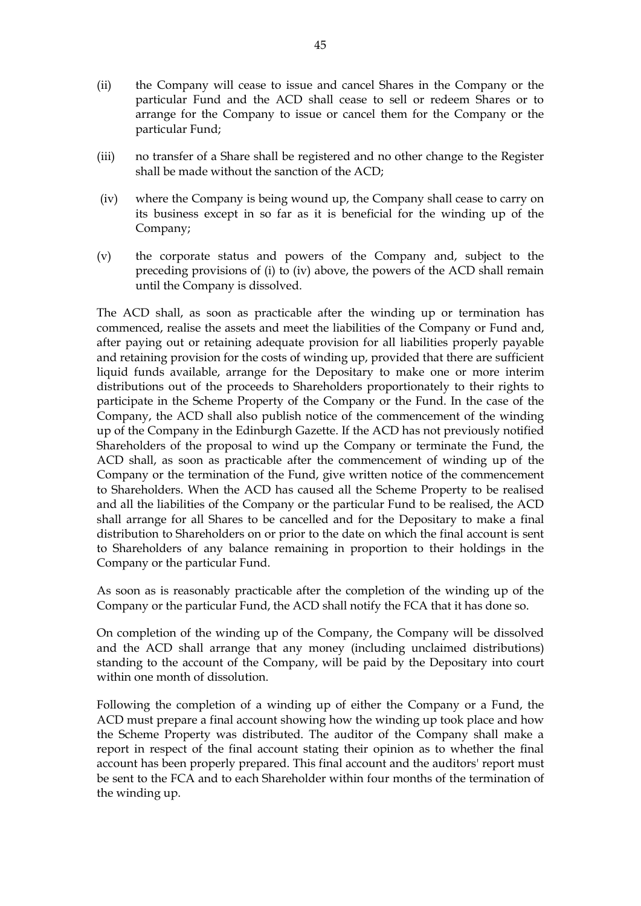- (ii) the Company will cease to issue and cancel Shares in the Company or the particular Fund and the ACD shall cease to sell or redeem Shares or to arrange for the Company to issue or cancel them for the Company or the particular Fund;
- (iii) no transfer of a Share shall be registered and no other change to the Register shall be made without the sanction of the ACD;
- (iv) where the Company is being wound up, the Company shall cease to carry on its business except in so far as it is beneficial for the winding up of the Company;
- (v) the corporate status and powers of the Company and, subject to the preceding provisions of (i) to (iv) above, the powers of the ACD shall remain until the Company is dissolved.

The ACD shall, as soon as practicable after the winding up or termination has commenced, realise the assets and meet the liabilities of the Company or Fund and, after paying out or retaining adequate provision for all liabilities properly payable and retaining provision for the costs of winding up, provided that there are sufficient liquid funds available, arrange for the Depositary to make one or more interim distributions out of the proceeds to Shareholders proportionately to their rights to participate in the Scheme Property of the Company or the Fund. In the case of the Company, the ACD shall also publish notice of the commencement of the winding up of the Company in the Edinburgh Gazette. If the ACD has not previously notified Shareholders of the proposal to wind up the Company or terminate the Fund, the ACD shall, as soon as practicable after the commencement of winding up of the Company or the termination of the Fund, give written notice of the commencement to Shareholders. When the ACD has caused all the Scheme Property to be realised and all the liabilities of the Company or the particular Fund to be realised, the ACD shall arrange for all Shares to be cancelled and for the Depositary to make a final distribution to Shareholders on or prior to the date on which the final account is sent to Shareholders of any balance remaining in proportion to their holdings in the Company or the particular Fund.

As soon as is reasonably practicable after the completion of the winding up of the Company or the particular Fund, the ACD shall notify the FCA that it has done so.

On completion of the winding up of the Company, the Company will be dissolved and the ACD shall arrange that any money (including unclaimed distributions) standing to the account of the Company, will be paid by the Depositary into court within one month of dissolution.

Following the completion of a winding up of either the Company or a Fund, the ACD must prepare a final account showing how the winding up took place and how the Scheme Property was distributed. The auditor of the Company shall make a report in respect of the final account stating their opinion as to whether the final account has been properly prepared. This final account and the auditors' report must be sent to the FCA and to each Shareholder within four months of the termination of the winding up.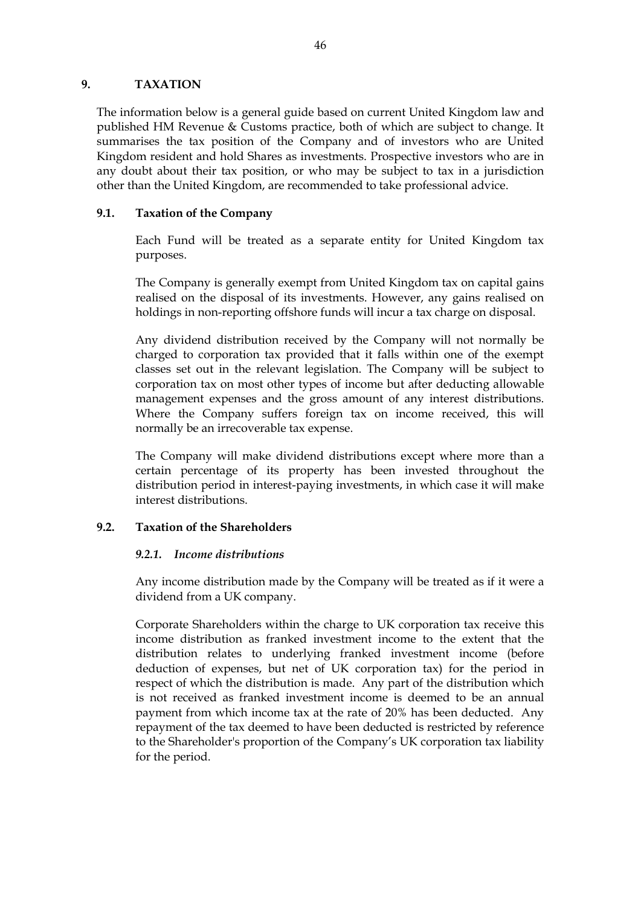#### **9. TAXATION**

The information below is a general guide based on current United Kingdom law and published HM Revenue & Customs practice, both of which are subject to change. It summarises the tax position of the Company and of investors who are United Kingdom resident and hold Shares as investments. Prospective investors who are in any doubt about their tax position, or who may be subject to tax in a jurisdiction other than the United Kingdom, are recommended to take professional advice.

#### **9.1. Taxation of the Company**

Each Fund will be treated as a separate entity for United Kingdom tax purposes.

The Company is generally exempt from United Kingdom tax on capital gains realised on the disposal of its investments. However, any gains realised on holdings in non-reporting offshore funds will incur a tax charge on disposal.

Any dividend distribution received by the Company will not normally be charged to corporation tax provided that it falls within one of the exempt classes set out in the relevant legislation. The Company will be subject to corporation tax on most other types of income but after deducting allowable management expenses and the gross amount of any interest distributions. Where the Company suffers foreign tax on income received, this will normally be an irrecoverable tax expense.

The Company will make dividend distributions except where more than a certain percentage of its property has been invested throughout the distribution period in interest-paying investments, in which case it will make interest distributions.

### **9.2. Taxation of the Shareholders**

#### *9.2.1. Income distributions*

Any income distribution made by the Company will be treated as if it were a dividend from a UK company.

Corporate Shareholders within the charge to UK corporation tax receive this income distribution as franked investment income to the extent that the distribution relates to underlying franked investment income (before deduction of expenses, but net of UK corporation tax) for the period in respect of which the distribution is made. Any part of the distribution which is not received as franked investment income is deemed to be an annual payment from which income tax at the rate of 20% has been deducted. Any repayment of the tax deemed to have been deducted is restricted by reference to the Shareholder's proportion of the Company's UK corporation tax liability for the period.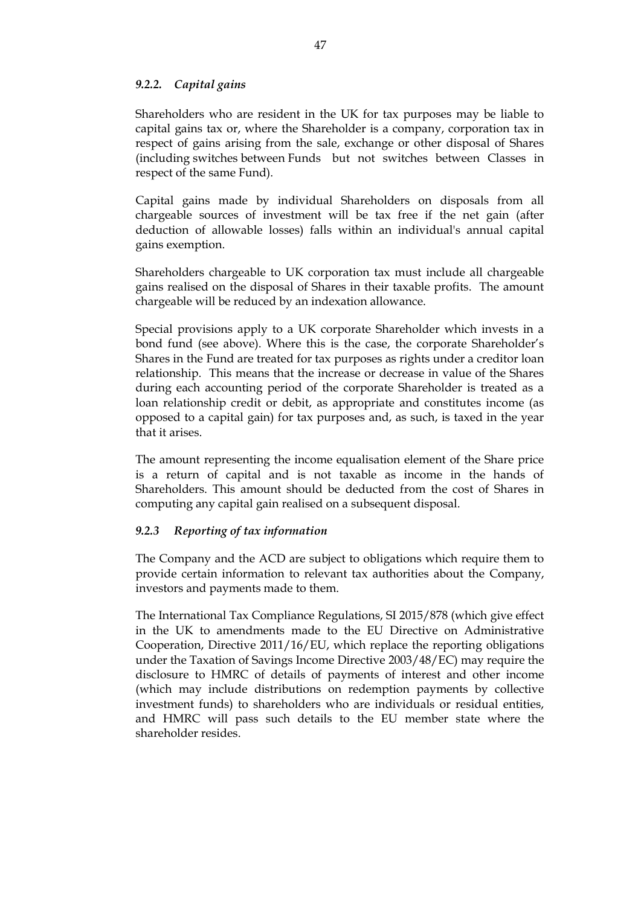#### *9.2.2. Capital gains*

Shareholders who are resident in the UK for tax purposes may be liable to capital gains tax or, where the Shareholder is a company, corporation tax in respect of gains arising from the sale, exchange or other disposal of Shares (including switches between Funds but not switches between Classes in respect of the same Fund).

Capital gains made by individual Shareholders on disposals from all chargeable sources of investment will be tax free if the net gain (after deduction of allowable losses) falls within an individual's annual capital gains exemption.

Shareholders chargeable to UK corporation tax must include all chargeable gains realised on the disposal of Shares in their taxable profits. The amount chargeable will be reduced by an indexation allowance.

Special provisions apply to a UK corporate Shareholder which invests in a bond fund (see above). Where this is the case, the corporate Shareholder's Shares in the Fund are treated for tax purposes as rights under a creditor loan relationship. This means that the increase or decrease in value of the Shares during each accounting period of the corporate Shareholder is treated as a loan relationship credit or debit, as appropriate and constitutes income (as opposed to a capital gain) for tax purposes and, as such, is taxed in the year that it arises.

The amount representing the income equalisation element of the Share price is a return of capital and is not taxable as income in the hands of Shareholders. This amount should be deducted from the cost of Shares in computing any capital gain realised on a subsequent disposal.

#### *9.2.3 Reporting of tax information*

The Company and the ACD are subject to obligations which require them to provide certain information to relevant tax authorities about the Company, investors and payments made to them.

The International Tax Compliance Regulations, SI 2015/878 (which give effect in the UK to amendments made to the EU Directive on Administrative Cooperation, Directive 2011/16/EU, which replace the reporting obligations under the Taxation of Savings Income Directive 2003/48/EC) may require the disclosure to HMRC of details of payments of interest and other income (which may include distributions on redemption payments by collective investment funds) to shareholders who are individuals or residual entities, and HMRC will pass such details to the EU member state where the shareholder resides.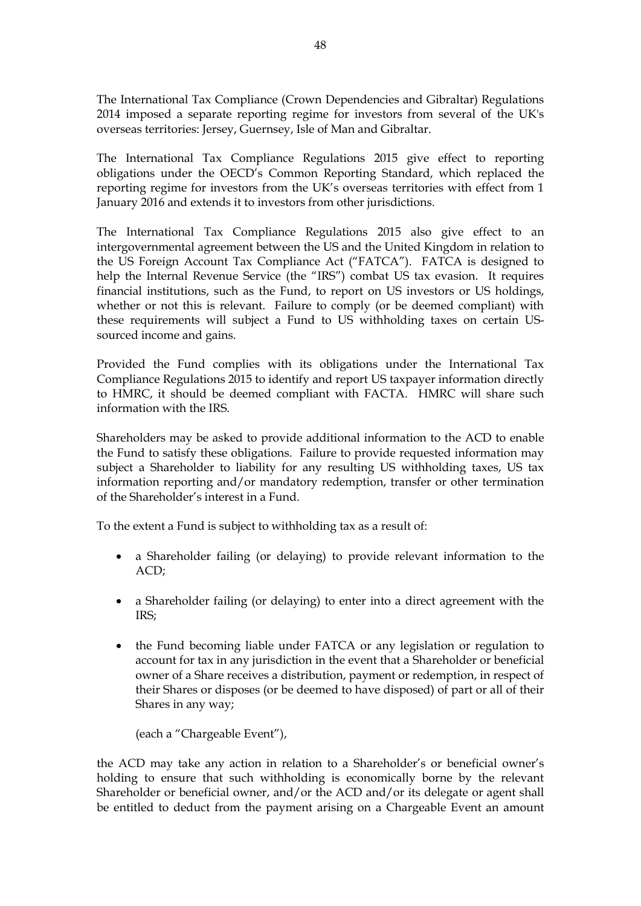The International Tax Compliance (Crown Dependencies and Gibraltar) Regulations 2014 imposed a separate reporting regime for investors from several of the UK's overseas territories: Jersey, Guernsey, Isle of Man and Gibraltar.

The International Tax Compliance Regulations 2015 give effect to reporting obligations under the OECD's Common Reporting Standard, which replaced the reporting regime for investors from the UK's overseas territories with effect from 1 January 2016 and extends it to investors from other jurisdictions.

The International Tax Compliance Regulations 2015 also give effect to an intergovernmental agreement between the US and the United Kingdom in relation to the US Foreign Account Tax Compliance Act ("FATCA"). FATCA is designed to help the Internal Revenue Service (the "IRS") combat US tax evasion. It requires financial institutions, such as the Fund, to report on US investors or US holdings, whether or not this is relevant. Failure to comply (or be deemed compliant) with these requirements will subject a Fund to US withholding taxes on certain USsourced income and gains.

Provided the Fund complies with its obligations under the International Tax Compliance Regulations 2015 to identify and report US taxpayer information directly to HMRC, it should be deemed compliant with FACTA. HMRC will share such information with the IRS.

Shareholders may be asked to provide additional information to the ACD to enable the Fund to satisfy these obligations. Failure to provide requested information may subject a Shareholder to liability for any resulting US withholding taxes, US tax information reporting and/or mandatory redemption, transfer or other termination of the Shareholder's interest in a Fund.

To the extent a Fund is subject to withholding tax as a result of:

- a Shareholder failing (or delaying) to provide relevant information to the ACD;
- a Shareholder failing (or delaying) to enter into a direct agreement with the IRS;
- the Fund becoming liable under FATCA or any legislation or regulation to account for tax in any jurisdiction in the event that a Shareholder or beneficial owner of a Share receives a distribution, payment or redemption, in respect of their Shares or disposes (or be deemed to have disposed) of part or all of their Shares in any way;

(each a "Chargeable Event"),

the ACD may take any action in relation to a Shareholder's or beneficial owner's holding to ensure that such withholding is economically borne by the relevant Shareholder or beneficial owner, and/or the ACD and/or its delegate or agent shall be entitled to deduct from the payment arising on a Chargeable Event an amount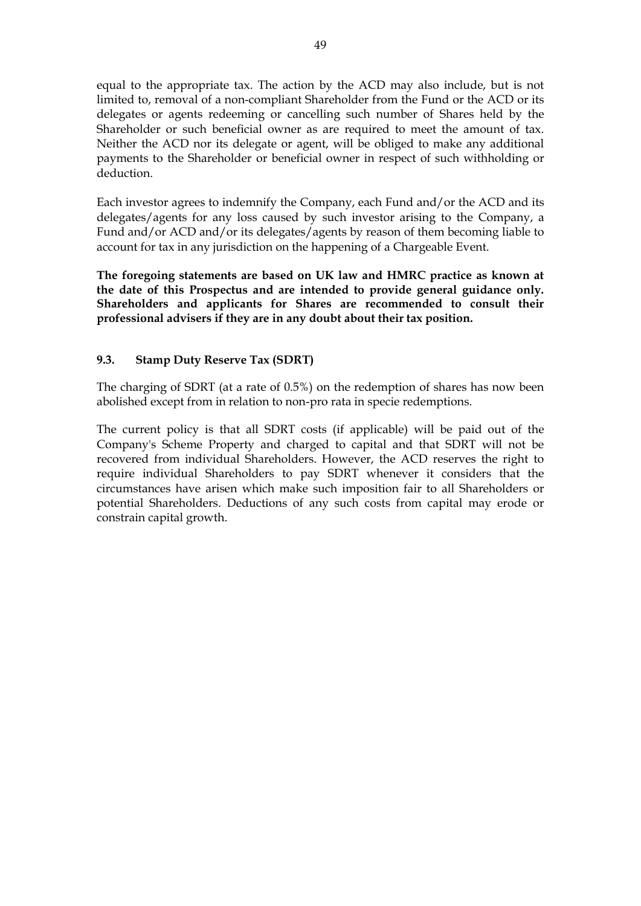equal to the appropriate tax. The action by the ACD may also include, but is not limited to, removal of a non-compliant Shareholder from the Fund or the ACD or its delegates or agents redeeming or cancelling such number of Shares held by the Shareholder or such beneficial owner as are required to meet the amount of tax. Neither the ACD nor its delegate or agent, will be obliged to make any additional payments to the Shareholder or beneficial owner in respect of such withholding or deduction.

Each investor agrees to indemnify the Company, each Fund and/or the ACD and its delegates/agents for any loss caused by such investor arising to the Company, a Fund and/or ACD and/or its delegates/agents by reason of them becoming liable to account for tax in any jurisdiction on the happening of a Chargeable Event.

**The foregoing statements are based on UK law and HMRC practice as known at the date of this Prospectus and are intended to provide general guidance only. Shareholders and applicants for Shares are recommended to consult their professional advisers if they are in any doubt about their tax position.**

## **9.3. Stamp Duty Reserve Tax (SDRT)**

The charging of SDRT (at a rate of 0.5%) on the redemption of shares has now been abolished except from in relation to non-pro rata in specie redemptions.

The current policy is that all SDRT costs (if applicable) will be paid out of the Company's Scheme Property and charged to capital and that SDRT will not be recovered from individual Shareholders. However, the ACD reserves the right to require individual Shareholders to pay SDRT whenever it considers that the circumstances have arisen which make such imposition fair to all Shareholders or potential Shareholders. Deductions of any such costs from capital may erode or constrain capital growth.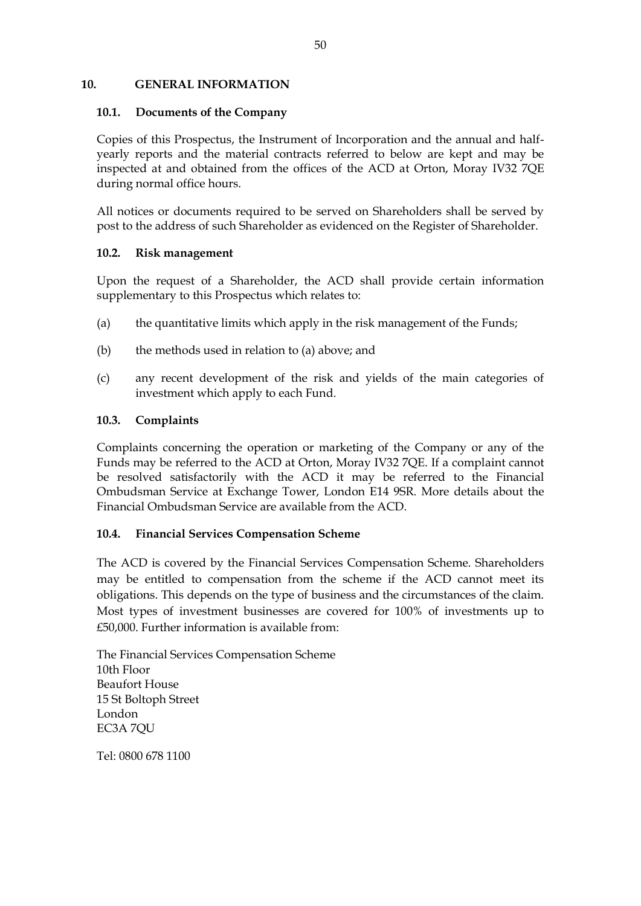#### **10. GENERAL INFORMATION**

#### **10.1. Documents of the Company**

Copies of this Prospectus, the Instrument of Incorporation and the annual and halfyearly reports and the material contracts referred to below are kept and may be inspected at and obtained from the offices of the ACD at Orton, Moray IV32 7QE during normal office hours.

All notices or documents required to be served on Shareholders shall be served by post to the address of such Shareholder as evidenced on the Register of Shareholder.

#### **10.2. Risk management**

Upon the request of a Shareholder, the ACD shall provide certain information supplementary to this Prospectus which relates to:

- (a) the quantitative limits which apply in the risk management of the Funds;
- (b) the methods used in relation to (a) above; and
- (c) any recent development of the risk and yields of the main categories of investment which apply to each Fund.

#### **10.3. Complaints**

Complaints concerning the operation or marketing of the Company or any of the Funds may be referred to the ACD at Orton, Moray IV32 7QE. If a complaint cannot be resolved satisfactorily with the ACD it may be referred to the Financial Ombudsman Service at Exchange Tower, London E14 9SR. More details about the Financial Ombudsman Service are available from the ACD.

### **10.4. Financial Services Compensation Scheme**

The ACD is covered by the Financial Services Compensation Scheme. Shareholders may be entitled to compensation from the scheme if the ACD cannot meet its obligations. This depends on the type of business and the circumstances of the claim. Most types of investment businesses are covered for 100% of investments up to £50,000. Further information is available from:

The Financial Services Compensation Scheme 10th Floor Beaufort House 15 St Boltoph Street London EC3A 7QU

Tel: 0800 678 1100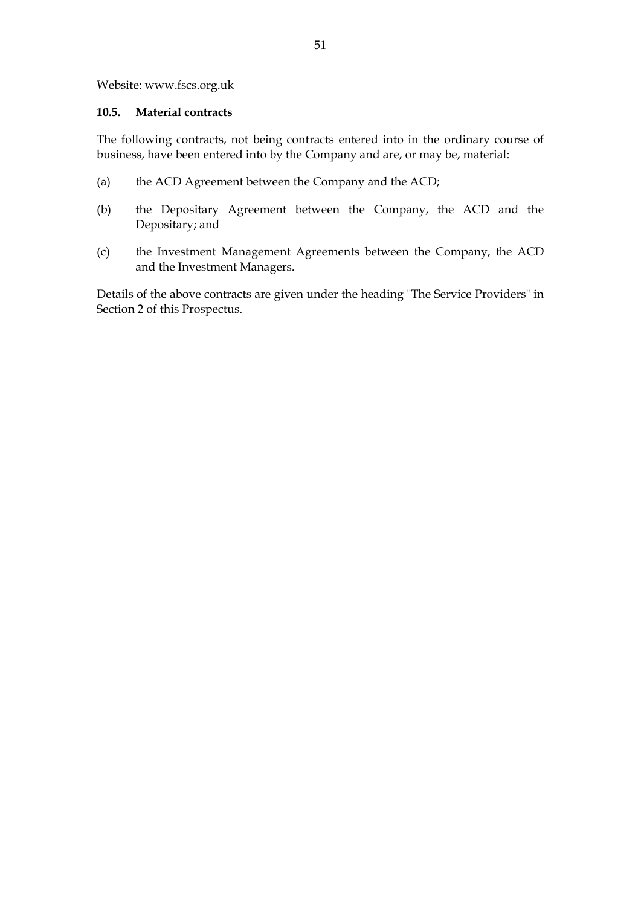Website: www.fscs.org.uk

#### **10.5. Material contracts**

The following contracts, not being contracts entered into in the ordinary course of business, have been entered into by the Company and are, or may be, material:

- (a) the ACD Agreement between the Company and the ACD;
- (b) the Depositary Agreement between the Company, the ACD and the Depositary; and
- (c) the Investment Management Agreements between the Company, the ACD and the Investment Managers.

Details of the above contracts are given under the heading "The Service Providers" in Section 2 of this Prospectus.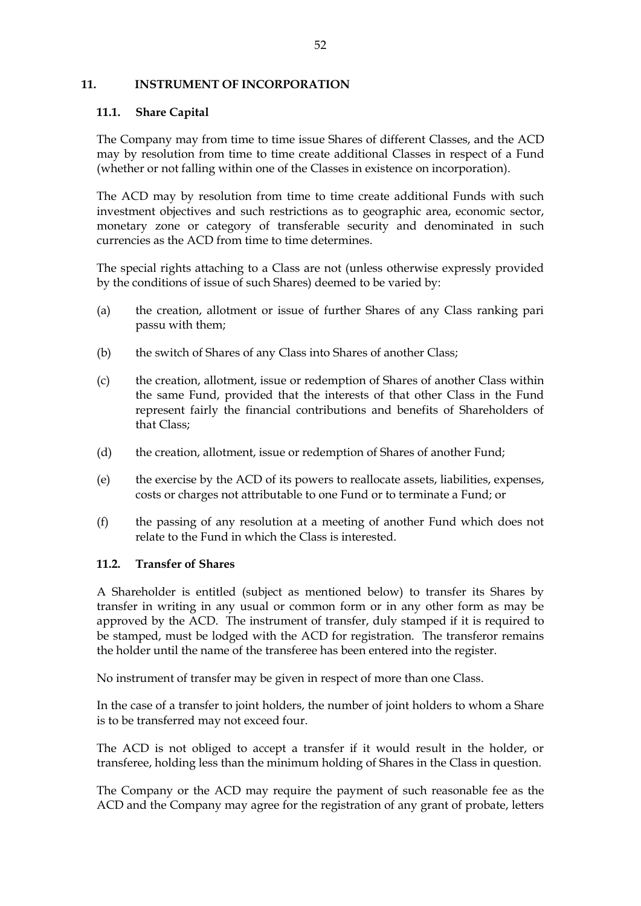#### **11. INSTRUMENT OF INCORPORATION**

### **11.1. Share Capital**

The Company may from time to time issue Shares of different Classes, and the ACD may by resolution from time to time create additional Classes in respect of a Fund (whether or not falling within one of the Classes in existence on incorporation).

The ACD may by resolution from time to time create additional Funds with such investment objectives and such restrictions as to geographic area, economic sector, monetary zone or category of transferable security and denominated in such currencies as the ACD from time to time determines.

The special rights attaching to a Class are not (unless otherwise expressly provided by the conditions of issue of such Shares) deemed to be varied by:

- (a) the creation, allotment or issue of further Shares of any Class ranking pari passu with them;
- (b) the switch of Shares of any Class into Shares of another Class;
- (c) the creation, allotment, issue or redemption of Shares of another Class within the same Fund, provided that the interests of that other Class in the Fund represent fairly the financial contributions and benefits of Shareholders of that Class;
- (d) the creation, allotment, issue or redemption of Shares of another Fund;
- (e) the exercise by the ACD of its powers to reallocate assets, liabilities, expenses, costs or charges not attributable to one Fund or to terminate a Fund; or
- (f) the passing of any resolution at a meeting of another Fund which does not relate to the Fund in which the Class is interested.

#### **11.2. Transfer of Shares**

A Shareholder is entitled (subject as mentioned below) to transfer its Shares by transfer in writing in any usual or common form or in any other form as may be approved by the ACD. The instrument of transfer, duly stamped if it is required to be stamped, must be lodged with the ACD for registration. The transferor remains the holder until the name of the transferee has been entered into the register.

No instrument of transfer may be given in respect of more than one Class.

In the case of a transfer to joint holders, the number of joint holders to whom a Share is to be transferred may not exceed four.

The ACD is not obliged to accept a transfer if it would result in the holder, or transferee, holding less than the minimum holding of Shares in the Class in question.

The Company or the ACD may require the payment of such reasonable fee as the ACD and the Company may agree for the registration of any grant of probate, letters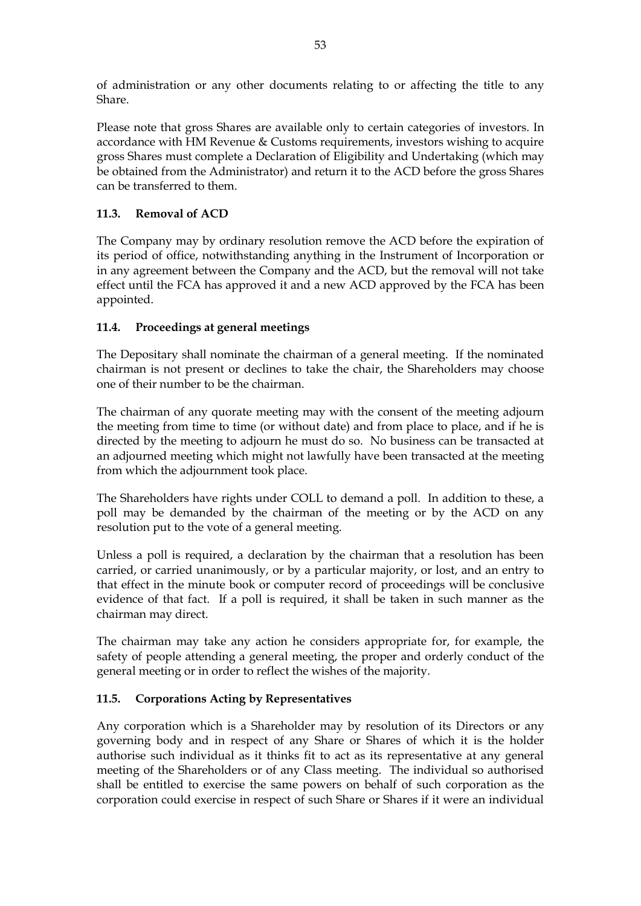of administration or any other documents relating to or affecting the title to any Share.

Please note that gross Shares are available only to certain categories of investors. In accordance with HM Revenue & Customs requirements, investors wishing to acquire gross Shares must complete a Declaration of Eligibility and Undertaking (which may be obtained from the Administrator) and return it to the ACD before the gross Shares can be transferred to them.

# **11.3. Removal of ACD**

The Company may by ordinary resolution remove the ACD before the expiration of its period of office, notwithstanding anything in the Instrument of Incorporation or in any agreement between the Company and the ACD, but the removal will not take effect until the FCA has approved it and a new ACD approved by the FCA has been appointed.

## **11.4. Proceedings at general meetings**

The Depositary shall nominate the chairman of a general meeting. If the nominated chairman is not present or declines to take the chair, the Shareholders may choose one of their number to be the chairman.

The chairman of any quorate meeting may with the consent of the meeting adjourn the meeting from time to time (or without date) and from place to place, and if he is directed by the meeting to adjourn he must do so. No business can be transacted at an adjourned meeting which might not lawfully have been transacted at the meeting from which the adjournment took place.

The Shareholders have rights under COLL to demand a poll. In addition to these, a poll may be demanded by the chairman of the meeting or by the ACD on any resolution put to the vote of a general meeting.

Unless a poll is required, a declaration by the chairman that a resolution has been carried, or carried unanimously, or by a particular majority, or lost, and an entry to that effect in the minute book or computer record of proceedings will be conclusive evidence of that fact. If a poll is required, it shall be taken in such manner as the chairman may direct.

The chairman may take any action he considers appropriate for, for example, the safety of people attending a general meeting, the proper and orderly conduct of the general meeting or in order to reflect the wishes of the majority.

### **11.5. Corporations Acting by Representatives**

Any corporation which is a Shareholder may by resolution of its Directors or any governing body and in respect of any Share or Shares of which it is the holder authorise such individual as it thinks fit to act as its representative at any general meeting of the Shareholders or of any Class meeting. The individual so authorised shall be entitled to exercise the same powers on behalf of such corporation as the corporation could exercise in respect of such Share or Shares if it were an individual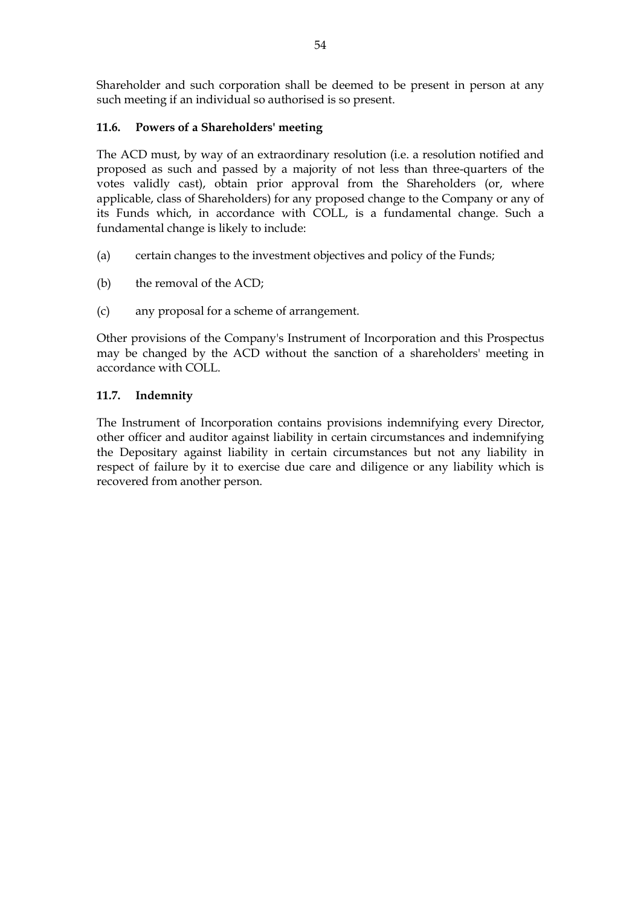Shareholder and such corporation shall be deemed to be present in person at any such meeting if an individual so authorised is so present.

## **11.6. Powers of a Shareholders' meeting**

The ACD must, by way of an extraordinary resolution (i.e. a resolution notified and proposed as such and passed by a majority of not less than three-quarters of the votes validly cast), obtain prior approval from the Shareholders (or, where applicable, class of Shareholders) for any proposed change to the Company or any of its Funds which, in accordance with COLL, is a fundamental change. Such a fundamental change is likely to include:

- (a) certain changes to the investment objectives and policy of the Funds;
- (b) the removal of the ACD;
- (c) any proposal for a scheme of arrangement.

Other provisions of the Company's Instrument of Incorporation and this Prospectus may be changed by the ACD without the sanction of a shareholders' meeting in accordance with COLL.

## **11.7. Indemnity**

The Instrument of Incorporation contains provisions indemnifying every Director, other officer and auditor against liability in certain circumstances and indemnifying the Depositary against liability in certain circumstances but not any liability in respect of failure by it to exercise due care and diligence or any liability which is recovered from another person.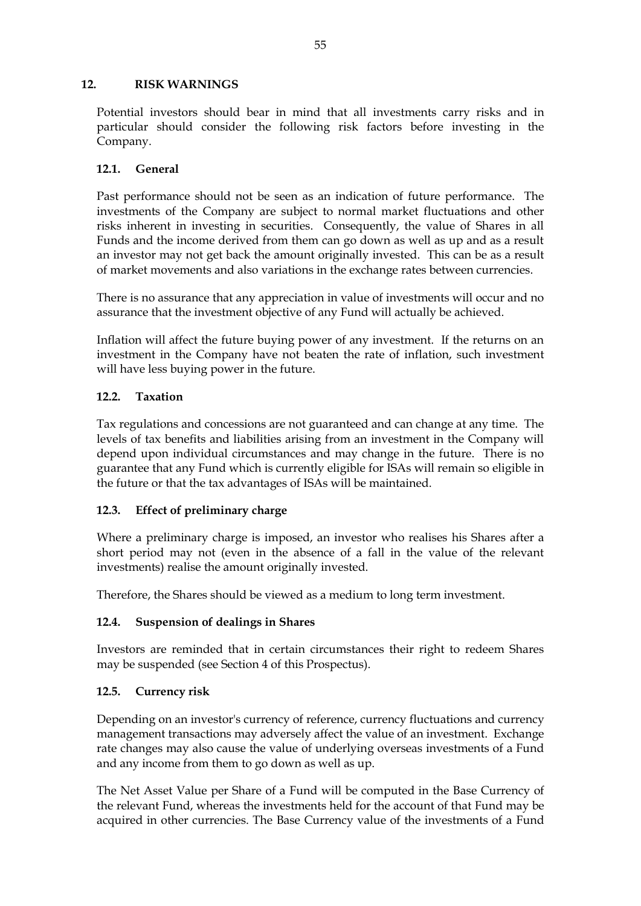## **12. RISK WARNINGS**

Potential investors should bear in mind that all investments carry risks and in particular should consider the following risk factors before investing in the Company.

## **12.1. General**

Past performance should not be seen as an indication of future performance. The investments of the Company are subject to normal market fluctuations and other risks inherent in investing in securities. Consequently, the value of Shares in all Funds and the income derived from them can go down as well as up and as a result an investor may not get back the amount originally invested. This can be as a result of market movements and also variations in the exchange rates between currencies.

There is no assurance that any appreciation in value of investments will occur and no assurance that the investment objective of any Fund will actually be achieved.

Inflation will affect the future buying power of any investment. If the returns on an investment in the Company have not beaten the rate of inflation, such investment will have less buying power in the future.

## **12.2. Taxation**

Tax regulations and concessions are not guaranteed and can change at any time. The levels of tax benefits and liabilities arising from an investment in the Company will depend upon individual circumstances and may change in the future. There is no guarantee that any Fund which is currently eligible for ISAs will remain so eligible in the future or that the tax advantages of ISAs will be maintained.

### **12.3. Effect of preliminary charge**

Where a preliminary charge is imposed, an investor who realises his Shares after a short period may not (even in the absence of a fall in the value of the relevant investments) realise the amount originally invested.

Therefore, the Shares should be viewed as a medium to long term investment.

### **12.4. Suspension of dealings in Shares**

Investors are reminded that in certain circumstances their right to redeem Shares may be suspended (see Section 4 of this Prospectus).

### **12.5. Currency risk**

Depending on an investor's currency of reference, currency fluctuations and currency management transactions may adversely affect the value of an investment. Exchange rate changes may also cause the value of underlying overseas investments of a Fund and any income from them to go down as well as up.

The Net Asset Value per Share of a Fund will be computed in the Base Currency of the relevant Fund, whereas the investments held for the account of that Fund may be acquired in other currencies. The Base Currency value of the investments of a Fund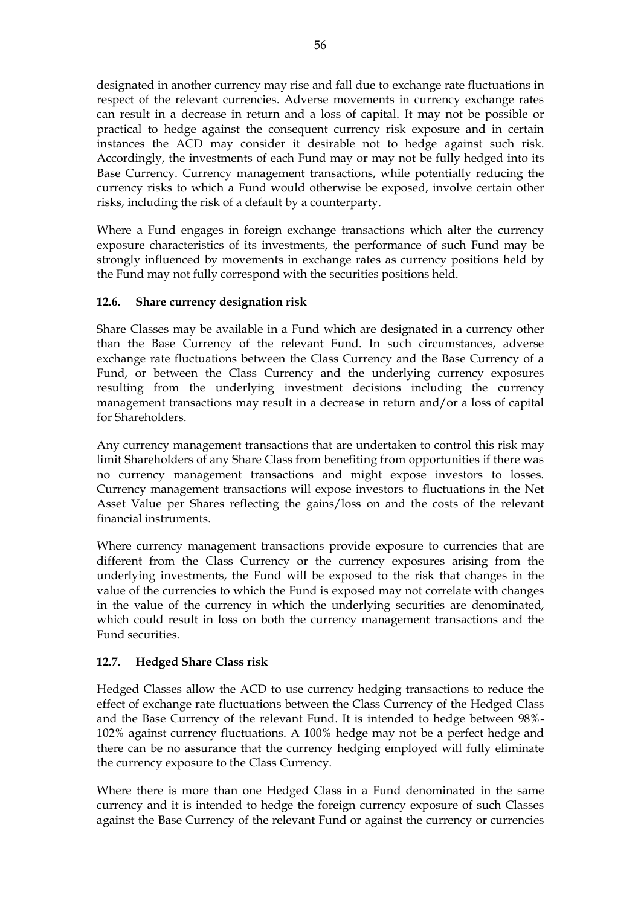designated in another currency may rise and fall due to exchange rate fluctuations in respect of the relevant currencies. Adverse movements in currency exchange rates can result in a decrease in return and a loss of capital. It may not be possible or practical to hedge against the consequent currency risk exposure and in certain instances the ACD may consider it desirable not to hedge against such risk. Accordingly, the investments of each Fund may or may not be fully hedged into its Base Currency. Currency management transactions, while potentially reducing the currency risks to which a Fund would otherwise be exposed, involve certain other risks, including the risk of a default by a counterparty.

Where a Fund engages in foreign exchange transactions which alter the currency exposure characteristics of its investments, the performance of such Fund may be strongly influenced by movements in exchange rates as currency positions held by the Fund may not fully correspond with the securities positions held.

### **12.6. Share currency designation risk**

Share Classes may be available in a Fund which are designated in a currency other than the Base Currency of the relevant Fund. In such circumstances, adverse exchange rate fluctuations between the Class Currency and the Base Currency of a Fund, or between the Class Currency and the underlying currency exposures resulting from the underlying investment decisions including the currency management transactions may result in a decrease in return and/or a loss of capital for Shareholders.

Any currency management transactions that are undertaken to control this risk may limit Shareholders of any Share Class from benefiting from opportunities if there was no currency management transactions and might expose investors to losses. Currency management transactions will expose investors to fluctuations in the Net Asset Value per Shares reflecting the gains/loss on and the costs of the relevant financial instruments.

Where currency management transactions provide exposure to currencies that are different from the Class Currency or the currency exposures arising from the underlying investments, the Fund will be exposed to the risk that changes in the value of the currencies to which the Fund is exposed may not correlate with changes in the value of the currency in which the underlying securities are denominated, which could result in loss on both the currency management transactions and the Fund securities.

# **12.7. Hedged Share Class risk**

Hedged Classes allow the ACD to use currency hedging transactions to reduce the effect of exchange rate fluctuations between the Class Currency of the Hedged Class and the Base Currency of the relevant Fund. It is intended to hedge between 98%- 102% against currency fluctuations. A 100% hedge may not be a perfect hedge and there can be no assurance that the currency hedging employed will fully eliminate the currency exposure to the Class Currency.

Where there is more than one Hedged Class in a Fund denominated in the same currency and it is intended to hedge the foreign currency exposure of such Classes against the Base Currency of the relevant Fund or against the currency or currencies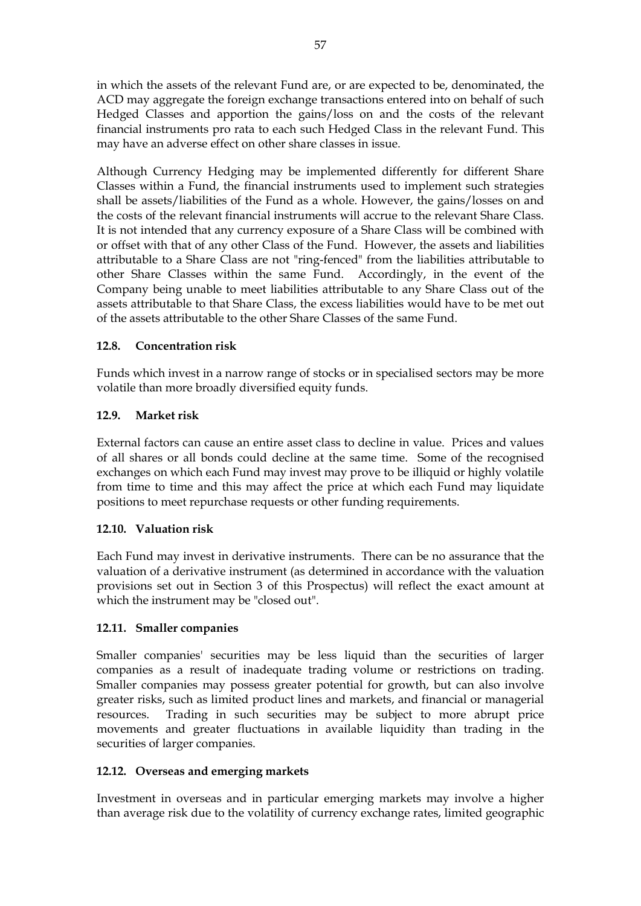in which the assets of the relevant Fund are, or are expected to be, denominated, the ACD may aggregate the foreign exchange transactions entered into on behalf of such Hedged Classes and apportion the gains/loss on and the costs of the relevant financial instruments pro rata to each such Hedged Class in the relevant Fund. This may have an adverse effect on other share classes in issue.

Although Currency Hedging may be implemented differently for different Share Classes within a Fund, the financial instruments used to implement such strategies shall be assets/liabilities of the Fund as a whole. However, the gains/losses on and the costs of the relevant financial instruments will accrue to the relevant Share Class. It is not intended that any currency exposure of a Share Class will be combined with or offset with that of any other Class of the Fund. However, the assets and liabilities attributable to a Share Class are not "ring-fenced" from the liabilities attributable to other Share Classes within the same Fund. Accordingly, in the event of the Company being unable to meet liabilities attributable to any Share Class out of the assets attributable to that Share Class, the excess liabilities would have to be met out of the assets attributable to the other Share Classes of the same Fund.

## **12.8. Concentration risk**

Funds which invest in a narrow range of stocks or in specialised sectors may be more volatile than more broadly diversified equity funds.

## **12.9. Market risk**

External factors can cause an entire asset class to decline in value. Prices and values of all shares or all bonds could decline at the same time. Some of the recognised exchanges on which each Fund may invest may prove to be illiquid or highly volatile from time to time and this may affect the price at which each Fund may liquidate positions to meet repurchase requests or other funding requirements.

### **12.10. Valuation risk**

Each Fund may invest in derivative instruments. There can be no assurance that the valuation of a derivative instrument (as determined in accordance with the valuation provisions set out in Section 3 of this Prospectus) will reflect the exact amount at which the instrument may be "closed out".

### **12.11. Smaller companies**

Smaller companies' securities may be less liquid than the securities of larger companies as a result of inadequate trading volume or restrictions on trading. Smaller companies may possess greater potential for growth, but can also involve greater risks, such as limited product lines and markets, and financial or managerial resources. Trading in such securities may be subject to more abrupt price movements and greater fluctuations in available liquidity than trading in the securities of larger companies.

### **12.12. Overseas and emerging markets**

Investment in overseas and in particular emerging markets may involve a higher than average risk due to the volatility of currency exchange rates, limited geographic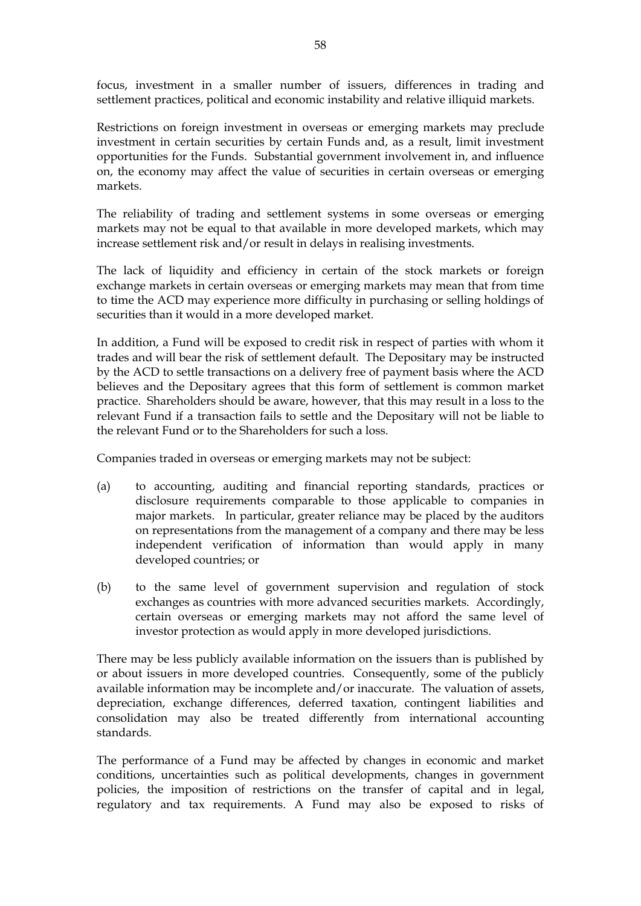focus, investment in a smaller number of issuers, differences in trading and settlement practices, political and economic instability and relative illiquid markets.

Restrictions on foreign investment in overseas or emerging markets may preclude investment in certain securities by certain Funds and, as a result, limit investment opportunities for the Funds. Substantial government involvement in, and influence on, the economy may affect the value of securities in certain overseas or emerging markets.

The reliability of trading and settlement systems in some overseas or emerging markets may not be equal to that available in more developed markets, which may increase settlement risk and/or result in delays in realising investments.

The lack of liquidity and efficiency in certain of the stock markets or foreign exchange markets in certain overseas or emerging markets may mean that from time to time the ACD may experience more difficulty in purchasing or selling holdings of securities than it would in a more developed market.

In addition, a Fund will be exposed to credit risk in respect of parties with whom it trades and will bear the risk of settlement default. The Depositary may be instructed by the ACD to settle transactions on a delivery free of payment basis where the ACD believes and the Depositary agrees that this form of settlement is common market practice. Shareholders should be aware, however, that this may result in a loss to the relevant Fund if a transaction fails to settle and the Depositary will not be liable to the relevant Fund or to the Shareholders for such a loss.

Companies traded in overseas or emerging markets may not be subject:

- (a) to accounting, auditing and financial reporting standards, practices or disclosure requirements comparable to those applicable to companies in major markets. In particular, greater reliance may be placed by the auditors on representations from the management of a company and there may be less independent verification of information than would apply in many developed countries; or
- (b) to the same level of government supervision and regulation of stock exchanges as countries with more advanced securities markets. Accordingly, certain overseas or emerging markets may not afford the same level of investor protection as would apply in more developed jurisdictions.

There may be less publicly available information on the issuers than is published by or about issuers in more developed countries. Consequently, some of the publicly available information may be incomplete and/or inaccurate. The valuation of assets, depreciation, exchange differences, deferred taxation, contingent liabilities and consolidation may also be treated differently from international accounting standards.

The performance of a Fund may be affected by changes in economic and market conditions, uncertainties such as political developments, changes in government policies, the imposition of restrictions on the transfer of capital and in legal, regulatory and tax requirements. A Fund may also be exposed to risks of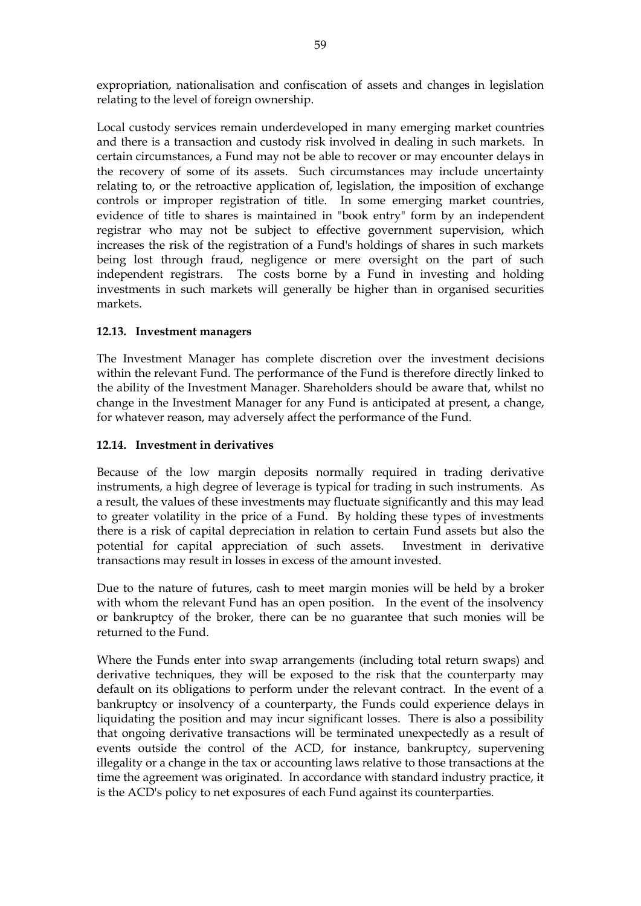expropriation, nationalisation and confiscation of assets and changes in legislation relating to the level of foreign ownership.

Local custody services remain underdeveloped in many emerging market countries and there is a transaction and custody risk involved in dealing in such markets. In certain circumstances, a Fund may not be able to recover or may encounter delays in the recovery of some of its assets. Such circumstances may include uncertainty relating to, or the retroactive application of, legislation, the imposition of exchange controls or improper registration of title. In some emerging market countries, evidence of title to shares is maintained in "book entry" form by an independent registrar who may not be subject to effective government supervision, which increases the risk of the registration of a Fund's holdings of shares in such markets being lost through fraud, negligence or mere oversight on the part of such independent registrars. The costs borne by a Fund in investing and holding investments in such markets will generally be higher than in organised securities markets.

### **12.13. Investment managers**

The Investment Manager has complete discretion over the investment decisions within the relevant Fund. The performance of the Fund is therefore directly linked to the ability of the Investment Manager. Shareholders should be aware that, whilst no change in the Investment Manager for any Fund is anticipated at present, a change, for whatever reason, may adversely affect the performance of the Fund.

### **12.14. Investment in derivatives**

Because of the low margin deposits normally required in trading derivative instruments, a high degree of leverage is typical for trading in such instruments. As a result, the values of these investments may fluctuate significantly and this may lead to greater volatility in the price of a Fund. By holding these types of investments there is a risk of capital depreciation in relation to certain Fund assets but also the potential for capital appreciation of such assets. Investment in derivative transactions may result in losses in excess of the amount invested.

Due to the nature of futures, cash to meet margin monies will be held by a broker with whom the relevant Fund has an open position. In the event of the insolvency or bankruptcy of the broker, there can be no guarantee that such monies will be returned to the Fund.

Where the Funds enter into swap arrangements (including total return swaps) and derivative techniques, they will be exposed to the risk that the counterparty may default on its obligations to perform under the relevant contract. In the event of a bankruptcy or insolvency of a counterparty, the Funds could experience delays in liquidating the position and may incur significant losses. There is also a possibility that ongoing derivative transactions will be terminated unexpectedly as a result of events outside the control of the ACD, for instance, bankruptcy, supervening illegality or a change in the tax or accounting laws relative to those transactions at the time the agreement was originated. In accordance with standard industry practice, it is the ACD's policy to net exposures of each Fund against its counterparties.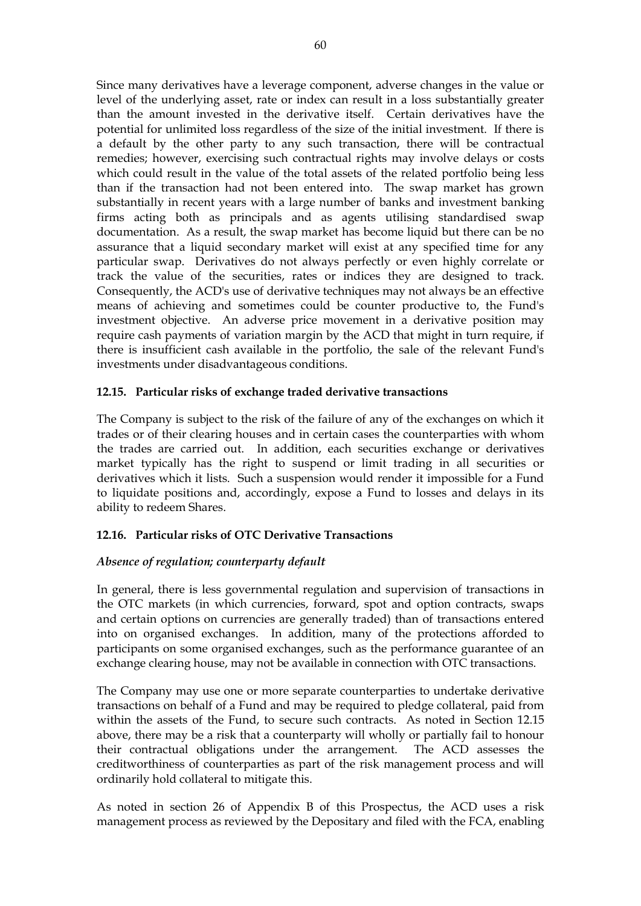Since many derivatives have a leverage component, adverse changes in the value or level of the underlying asset, rate or index can result in a loss substantially greater than the amount invested in the derivative itself. Certain derivatives have the potential for unlimited loss regardless of the size of the initial investment. If there is a default by the other party to any such transaction, there will be contractual remedies; however, exercising such contractual rights may involve delays or costs which could result in the value of the total assets of the related portfolio being less than if the transaction had not been entered into. The swap market has grown substantially in recent years with a large number of banks and investment banking firms acting both as principals and as agents utilising standardised swap documentation. As a result, the swap market has become liquid but there can be no assurance that a liquid secondary market will exist at any specified time for any particular swap. Derivatives do not always perfectly or even highly correlate or track the value of the securities, rates or indices they are designed to track. Consequently, the ACD's use of derivative techniques may not always be an effective means of achieving and sometimes could be counter productive to, the Fund's investment objective. An adverse price movement in a derivative position may require cash payments of variation margin by the ACD that might in turn require, if there is insufficient cash available in the portfolio, the sale of the relevant Fund's investments under disadvantageous conditions.

### **12.15. Particular risks of exchange traded derivative transactions**

The Company is subject to the risk of the failure of any of the exchanges on which it trades or of their clearing houses and in certain cases the counterparties with whom the trades are carried out. In addition, each securities exchange or derivatives market typically has the right to suspend or limit trading in all securities or derivatives which it lists. Such a suspension would render it impossible for a Fund to liquidate positions and, accordingly, expose a Fund to losses and delays in its ability to redeem Shares.

### **12.16. Particular risks of OTC Derivative Transactions**

### *Absence of regulation; counterparty default*

In general, there is less governmental regulation and supervision of transactions in the OTC markets (in which currencies, forward, spot and option contracts, swaps and certain options on currencies are generally traded) than of transactions entered into on organised exchanges. In addition, many of the protections afforded to participants on some organised exchanges, such as the performance guarantee of an exchange clearing house, may not be available in connection with OTC transactions.

The Company may use one or more separate counterparties to undertake derivative transactions on behalf of a Fund and may be required to pledge collateral, paid from within the assets of the Fund, to secure such contracts. As noted in Section 12.15 above, there may be a risk that a counterparty will wholly or partially fail to honour their contractual obligations under the arrangement. The ACD assesses the creditworthiness of counterparties as part of the risk management process and will ordinarily hold collateral to mitigate this.

As noted in section 26 of Appendix B of this Prospectus, the ACD uses a risk management process as reviewed by the Depositary and filed with the FCA, enabling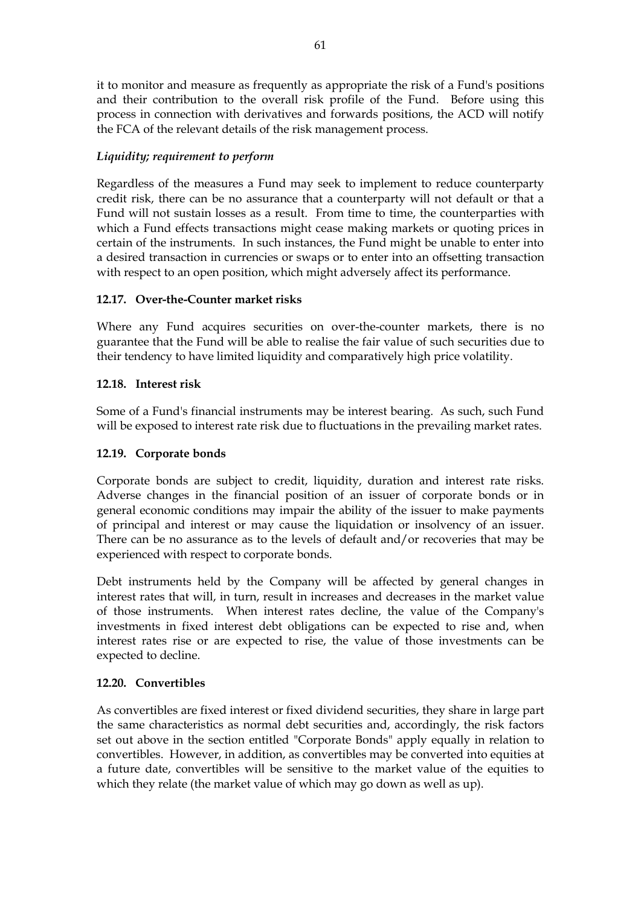it to monitor and measure as frequently as appropriate the risk of a Fund's positions and their contribution to the overall risk profile of the Fund. Before using this process in connection with derivatives and forwards positions, the ACD will notify the FCA of the relevant details of the risk management process.

## *Liquidity; requirement to perform*

Regardless of the measures a Fund may seek to implement to reduce counterparty credit risk, there can be no assurance that a counterparty will not default or that a Fund will not sustain losses as a result. From time to time, the counterparties with which a Fund effects transactions might cease making markets or quoting prices in certain of the instruments. In such instances, the Fund might be unable to enter into a desired transaction in currencies or swaps or to enter into an offsetting transaction with respect to an open position, which might adversely affect its performance.

### **12.17. Over-the-Counter market risks**

Where any Fund acquires securities on over-the-counter markets, there is no guarantee that the Fund will be able to realise the fair value of such securities due to their tendency to have limited liquidity and comparatively high price volatility.

## **12.18. Interest risk**

Some of a Fund's financial instruments may be interest bearing. As such, such Fund will be exposed to interest rate risk due to fluctuations in the prevailing market rates.

### **12.19. Corporate bonds**

Corporate bonds are subject to credit, liquidity, duration and interest rate risks. Adverse changes in the financial position of an issuer of corporate bonds or in general economic conditions may impair the ability of the issuer to make payments of principal and interest or may cause the liquidation or insolvency of an issuer. There can be no assurance as to the levels of default and/or recoveries that may be experienced with respect to corporate bonds.

Debt instruments held by the Company will be affected by general changes in interest rates that will, in turn, result in increases and decreases in the market value of those instruments. When interest rates decline, the value of the Company's investments in fixed interest debt obligations can be expected to rise and, when interest rates rise or are expected to rise, the value of those investments can be expected to decline.

### **12.20. Convertibles**

As convertibles are fixed interest or fixed dividend securities, they share in large part the same characteristics as normal debt securities and, accordingly, the risk factors set out above in the section entitled "Corporate Bonds" apply equally in relation to convertibles. However, in addition, as convertibles may be converted into equities at a future date, convertibles will be sensitive to the market value of the equities to which they relate (the market value of which may go down as well as up).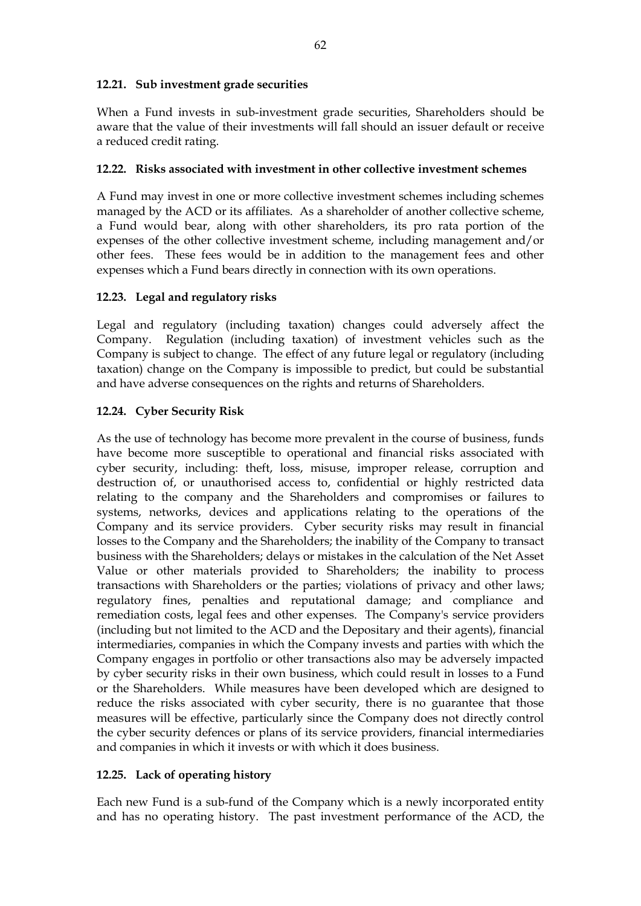### **12.21. Sub investment grade securities**

When a Fund invests in sub-investment grade securities, Shareholders should be aware that the value of their investments will fall should an issuer default or receive a reduced credit rating.

#### **12.22. Risks associated with investment in other collective investment schemes**

A Fund may invest in one or more collective investment schemes including schemes managed by the ACD or its affiliates. As a shareholder of another collective scheme, a Fund would bear, along with other shareholders, its pro rata portion of the expenses of the other collective investment scheme, including management and/or other fees. These fees would be in addition to the management fees and other expenses which a Fund bears directly in connection with its own operations.

### **12.23. Legal and regulatory risks**

Legal and regulatory (including taxation) changes could adversely affect the Company. Regulation (including taxation) of investment vehicles such as the Company is subject to change. The effect of any future legal or regulatory (including taxation) change on the Company is impossible to predict, but could be substantial and have adverse consequences on the rights and returns of Shareholders.

### **12.24. Cyber Security Risk**

As the use of technology has become more prevalent in the course of business, funds have become more susceptible to operational and financial risks associated with cyber security, including: theft, loss, misuse, improper release, corruption and destruction of, or unauthorised access to, confidential or highly restricted data relating to the company and the Shareholders and compromises or failures to systems, networks, devices and applications relating to the operations of the Company and its service providers. Cyber security risks may result in financial losses to the Company and the Shareholders; the inability of the Company to transact business with the Shareholders; delays or mistakes in the calculation of the Net Asset Value or other materials provided to Shareholders; the inability to process transactions with Shareholders or the parties; violations of privacy and other laws; regulatory fines, penalties and reputational damage; and compliance and remediation costs, legal fees and other expenses. The Company's service providers (including but not limited to the ACD and the Depositary and their agents), financial intermediaries, companies in which the Company invests and parties with which the Company engages in portfolio or other transactions also may be adversely impacted by cyber security risks in their own business, which could result in losses to a Fund or the Shareholders. While measures have been developed which are designed to reduce the risks associated with cyber security, there is no guarantee that those measures will be effective, particularly since the Company does not directly control the cyber security defences or plans of its service providers, financial intermediaries and companies in which it invests or with which it does business.

### **12.25. Lack of operating history**

Each new Fund is a sub-fund of the Company which is a newly incorporated entity and has no operating history. The past investment performance of the ACD, the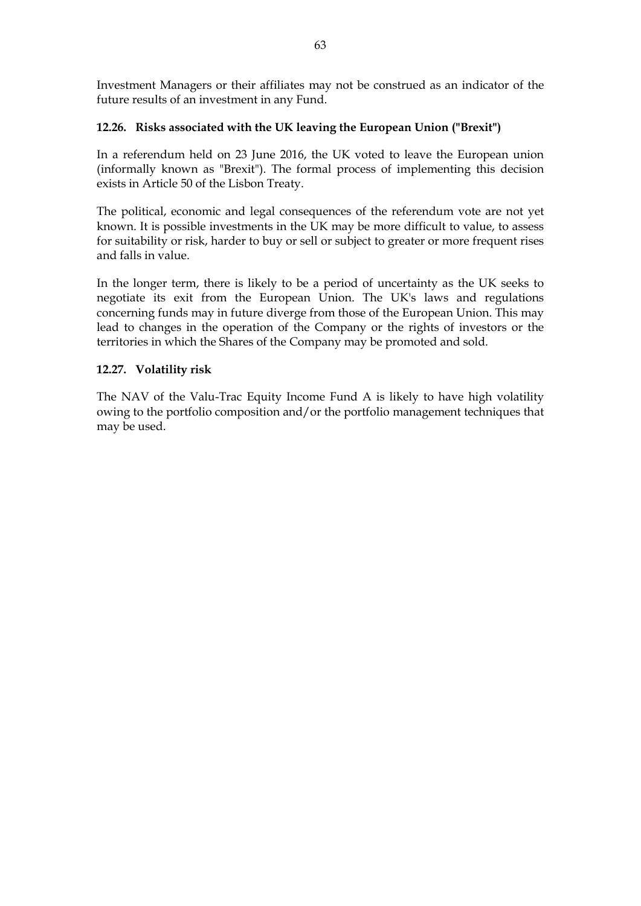Investment Managers or their affiliates may not be construed as an indicator of the future results of an investment in any Fund.

### **12.26. Risks associated with the UK leaving the European Union ("Brexit")**

In a referendum held on 23 June 2016, the UK voted to leave the European union (informally known as "Brexit"). The formal process of implementing this decision exists in Article 50 of the Lisbon Treaty.

The political, economic and legal consequences of the referendum vote are not yet known. It is possible investments in the UK may be more difficult to value, to assess for suitability or risk, harder to buy or sell or subject to greater or more frequent rises and falls in value.

In the longer term, there is likely to be a period of uncertainty as the UK seeks to negotiate its exit from the European Union. The UK's laws and regulations concerning funds may in future diverge from those of the European Union. This may lead to changes in the operation of the Company or the rights of investors or the territories in which the Shares of the Company may be promoted and sold.

#### **12.27. Volatility risk**

The NAV of the Valu-Trac Equity Income Fund A is likely to have high volatility owing to the portfolio composition and/or the portfolio management techniques that may be used.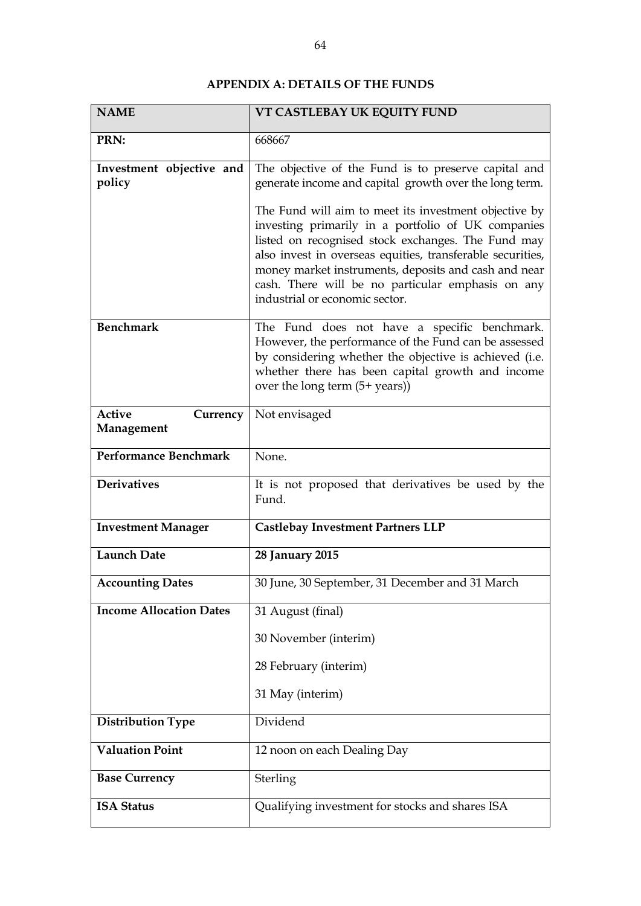# **APPENDIX A: DETAILS OF THE FUNDS**

| <b>NAME</b>                             | VT CASTLEBAY UK EQUITY FUND                                                                                                                                                                                                                                                                                                                                                    |  |
|-----------------------------------------|--------------------------------------------------------------------------------------------------------------------------------------------------------------------------------------------------------------------------------------------------------------------------------------------------------------------------------------------------------------------------------|--|
| PRN:                                    | 668667                                                                                                                                                                                                                                                                                                                                                                         |  |
| Investment objective and<br>policy      | The objective of the Fund is to preserve capital and<br>generate income and capital growth over the long term.                                                                                                                                                                                                                                                                 |  |
|                                         | The Fund will aim to meet its investment objective by<br>investing primarily in a portfolio of UK companies<br>listed on recognised stock exchanges. The Fund may<br>also invest in overseas equities, transferable securities,<br>money market instruments, deposits and cash and near<br>cash. There will be no particular emphasis on any<br>industrial or economic sector. |  |
| <b>Benchmark</b>                        | The Fund does not have a specific benchmark.<br>However, the performance of the Fund can be assessed<br>by considering whether the objective is achieved (i.e.<br>whether there has been capital growth and income<br>over the long term (5+ years))                                                                                                                           |  |
| <b>Active</b><br>Currency<br>Management | Not envisaged                                                                                                                                                                                                                                                                                                                                                                  |  |
| <b>Performance Benchmark</b>            | None.                                                                                                                                                                                                                                                                                                                                                                          |  |
| <b>Derivatives</b>                      | It is not proposed that derivatives be used by the<br>Fund.                                                                                                                                                                                                                                                                                                                    |  |
| <b>Investment Manager</b>               | <b>Castlebay Investment Partners LLP</b>                                                                                                                                                                                                                                                                                                                                       |  |
| <b>Launch Date</b>                      | 28 January 2015                                                                                                                                                                                                                                                                                                                                                                |  |
| <b>Accounting Dates</b>                 | 30 June, 30 September, 31 December and 31 March                                                                                                                                                                                                                                                                                                                                |  |
| <b>Income Allocation Dates</b>          | 31 August (final)                                                                                                                                                                                                                                                                                                                                                              |  |
|                                         | 30 November (interim)                                                                                                                                                                                                                                                                                                                                                          |  |
|                                         | 28 February (interim)                                                                                                                                                                                                                                                                                                                                                          |  |
|                                         | 31 May (interim)                                                                                                                                                                                                                                                                                                                                                               |  |
| <b>Distribution Type</b>                | Dividend                                                                                                                                                                                                                                                                                                                                                                       |  |
| <b>Valuation Point</b>                  | 12 noon on each Dealing Day                                                                                                                                                                                                                                                                                                                                                    |  |
| <b>Base Currency</b>                    | Sterling                                                                                                                                                                                                                                                                                                                                                                       |  |
| <b>ISA Status</b>                       | Qualifying investment for stocks and shares ISA                                                                                                                                                                                                                                                                                                                                |  |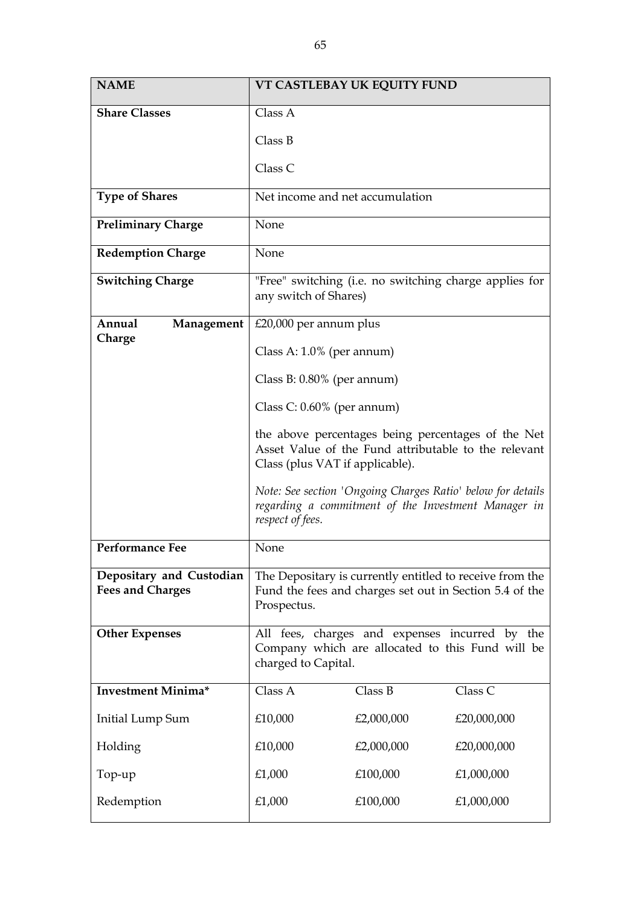| <b>NAME</b>                                         | VT CASTLEBAY UK EQUITY FUND                                                                                                                   |            |             |  |
|-----------------------------------------------------|-----------------------------------------------------------------------------------------------------------------------------------------------|------------|-------------|--|
| <b>Share Classes</b>                                | Class A                                                                                                                                       |            |             |  |
|                                                     | Class B                                                                                                                                       |            |             |  |
|                                                     | Class C                                                                                                                                       |            |             |  |
| <b>Type of Shares</b>                               | Net income and net accumulation                                                                                                               |            |             |  |
| <b>Preliminary Charge</b>                           | None                                                                                                                                          |            |             |  |
| <b>Redemption Charge</b>                            | None                                                                                                                                          |            |             |  |
| <b>Switching Charge</b>                             | "Free" switching (i.e. no switching charge applies for<br>any switch of Shares)                                                               |            |             |  |
| Annual<br>Management<br>Charge                      | $£20,000$ per annum plus                                                                                                                      |            |             |  |
|                                                     | Class A: $1.0\%$ (per annum)                                                                                                                  |            |             |  |
|                                                     | Class B: $0.80\%$ (per annum)                                                                                                                 |            |             |  |
|                                                     | Class C: $0.60\%$ (per annum)                                                                                                                 |            |             |  |
|                                                     | the above percentages being percentages of the Net<br>Asset Value of the Fund attributable to the relevant<br>Class (plus VAT if applicable). |            |             |  |
|                                                     | Note: See section 'Ongoing Charges Ratio' below for details<br>regarding a commitment of the Investment Manager in<br>respect of fees.        |            |             |  |
| <b>Performance Fee</b>                              | None                                                                                                                                          |            |             |  |
| Depositary and Custodian<br><b>Fees and Charges</b> | The Depositary is currently entitled to receive from the<br>Fund the fees and charges set out in Section 5.4 of the<br>Prospectus.            |            |             |  |
| <b>Other Expenses</b>                               | All fees, charges and expenses incurred by the<br>Company which are allocated to this Fund will be<br>charged to Capital.                     |            |             |  |
| <b>Investment Minima*</b>                           | Class A                                                                                                                                       | Class B    | Class C     |  |
| Initial Lump Sum                                    | £10,000                                                                                                                                       | £2,000,000 | £20,000,000 |  |
| Holding                                             | £10,000                                                                                                                                       | £2,000,000 | £20,000,000 |  |
| Top-up                                              | £1,000                                                                                                                                        | £100,000   | £1,000,000  |  |
| Redemption                                          | £1,000                                                                                                                                        | £100,000   | £1,000,000  |  |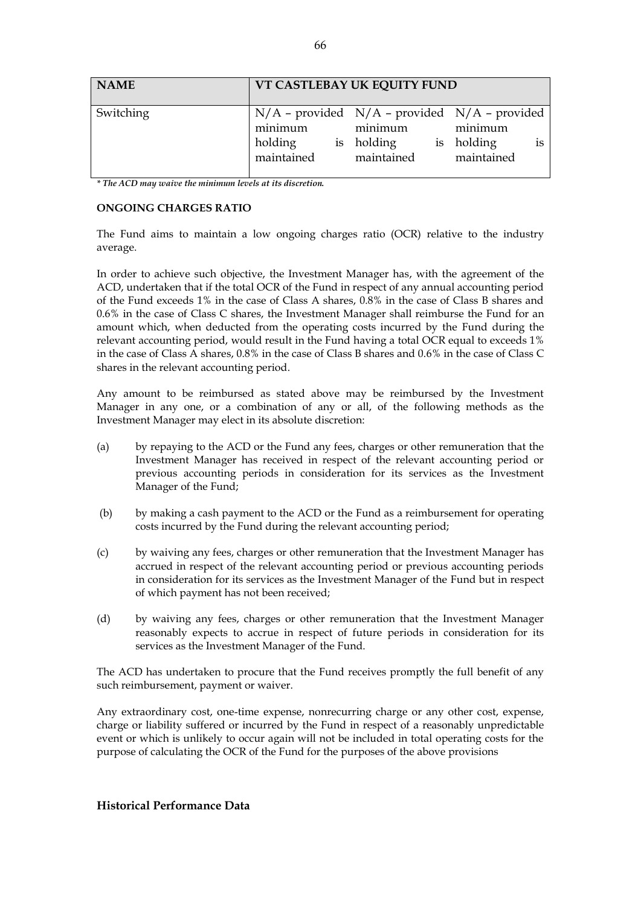| <b>NAME</b> | VT CASTLEBAY UK EQUITY FUND      |                                                                                                 |                                        |  |
|-------------|----------------------------------|-------------------------------------------------------------------------------------------------|----------------------------------------|--|
| Switching   | minimum<br>holding<br>maintained | $N/A$ – provided $N/A$ – provided $N/A$ – provided<br>minimum<br>is holding<br>is<br>maintained | minimum<br>holding<br>1S<br>maintained |  |

*\* The ACD may waive the minimum levels at its discretion.*

#### **ONGOING CHARGES RATIO**

The Fund aims to maintain a low ongoing charges ratio (OCR) relative to the industry average.

In order to achieve such objective, the Investment Manager has, with the agreement of the ACD, undertaken that if the total OCR of the Fund in respect of any annual accounting period of the Fund exceeds 1% in the case of Class A shares, 0.8% in the case of Class B shares and 0.6% in the case of Class C shares, the Investment Manager shall reimburse the Fund for an amount which, when deducted from the operating costs incurred by the Fund during the relevant accounting period, would result in the Fund having a total OCR equal to exceeds 1% in the case of Class A shares, 0.8% in the case of Class B shares and 0.6% in the case of Class C shares in the relevant accounting period.

Any amount to be reimbursed as stated above may be reimbursed by the Investment Manager in any one, or a combination of any or all, of the following methods as the Investment Manager may elect in its absolute discretion:

- (a) by repaying to the ACD or the Fund any fees, charges or other remuneration that the Investment Manager has received in respect of the relevant accounting period or previous accounting periods in consideration for its services as the Investment Manager of the Fund;
- (b) by making a cash payment to the ACD or the Fund as a reimbursement for operating costs incurred by the Fund during the relevant accounting period;
- (c) by waiving any fees, charges or other remuneration that the Investment Manager has accrued in respect of the relevant accounting period or previous accounting periods in consideration for its services as the Investment Manager of the Fund but in respect of which payment has not been received;
- (d) by waiving any fees, charges or other remuneration that the Investment Manager reasonably expects to accrue in respect of future periods in consideration for its services as the Investment Manager of the Fund.

The ACD has undertaken to procure that the Fund receives promptly the full benefit of any such reimbursement, payment or waiver.

Any extraordinary cost, one-time expense, nonrecurring charge or any other cost, expense, charge or liability suffered or incurred by the Fund in respect of a reasonably unpredictable event or which is unlikely to occur again will not be included in total operating costs for the purpose of calculating the OCR of the Fund for the purposes of the above provisions

#### **Historical Performance Data**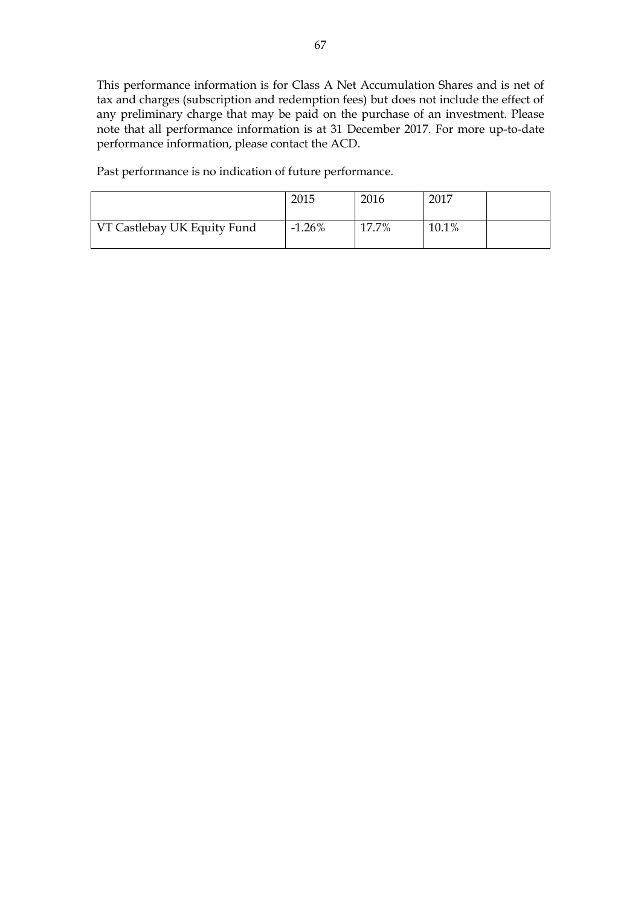This performance information is for Class A Net Accumulation Shares and is net of tax and charges (subscription and redemption fees) but does not include the effect of any preliminary charge that may be paid on the purchase of an investment. Please note that all performance information is at 31 December 2017. For more up-to-date performance information, please contact the ACD.

Past performance is no indication of future performance.

|                             | 2015     | 2016  | 2017  |  |
|-----------------------------|----------|-------|-------|--|
| VT Castlebay UK Equity Fund | $-1.26%$ | 17.7% | 10.1% |  |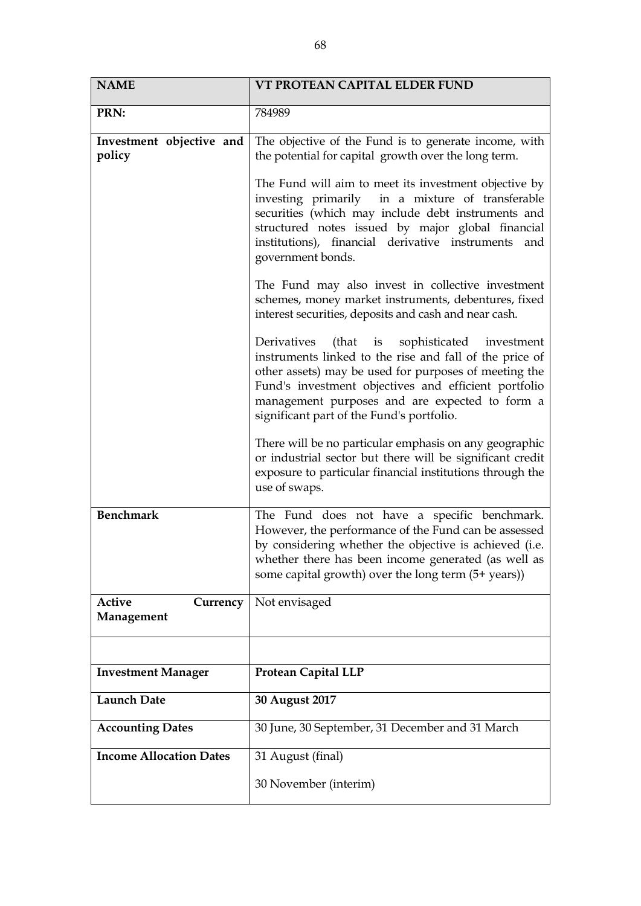| 784989                                                                                                                                                                                                                                                                                                                                                                                                                                                                                                                                                                                 |
|----------------------------------------------------------------------------------------------------------------------------------------------------------------------------------------------------------------------------------------------------------------------------------------------------------------------------------------------------------------------------------------------------------------------------------------------------------------------------------------------------------------------------------------------------------------------------------------|
| The objective of the Fund is to generate income, with<br>the potential for capital growth over the long term.<br>The Fund will aim to meet its investment objective by<br>investing primarily in a mixture of transferable<br>securities (which may include debt instruments and<br>structured notes issued by major global financial<br>institutions), financial derivative instruments and<br>government bonds.<br>The Fund may also invest in collective investment<br>schemes, money market instruments, debentures, fixed                                                         |
| interest securities, deposits and cash and near cash.<br>Derivatives (that is sophisticated investment<br>instruments linked to the rise and fall of the price of<br>other assets) may be used for purposes of meeting the<br>Fund's investment objectives and efficient portfolio<br>management purposes and are expected to form a<br>significant part of the Fund's portfolio.<br>There will be no particular emphasis on any geographic<br>or industrial sector but there will be significant credit<br>exposure to particular financial institutions through the<br>use of swaps. |
| The Fund does not have a specific benchmark.<br>However, the performance of the Fund can be assessed<br>by considering whether the objective is achieved (i.e.<br>whether there has been income generated (as well as<br>some capital growth) over the long term (5+ years))                                                                                                                                                                                                                                                                                                           |
| Not envisaged                                                                                                                                                                                                                                                                                                                                                                                                                                                                                                                                                                          |
| <b>Protean Capital LLP</b>                                                                                                                                                                                                                                                                                                                                                                                                                                                                                                                                                             |
| 30 August 2017                                                                                                                                                                                                                                                                                                                                                                                                                                                                                                                                                                         |
| 30 June, 30 September, 31 December and 31 March                                                                                                                                                                                                                                                                                                                                                                                                                                                                                                                                        |
| 31 August (final)<br>30 November (interim)                                                                                                                                                                                                                                                                                                                                                                                                                                                                                                                                             |
|                                                                                                                                                                                                                                                                                                                                                                                                                                                                                                                                                                                        |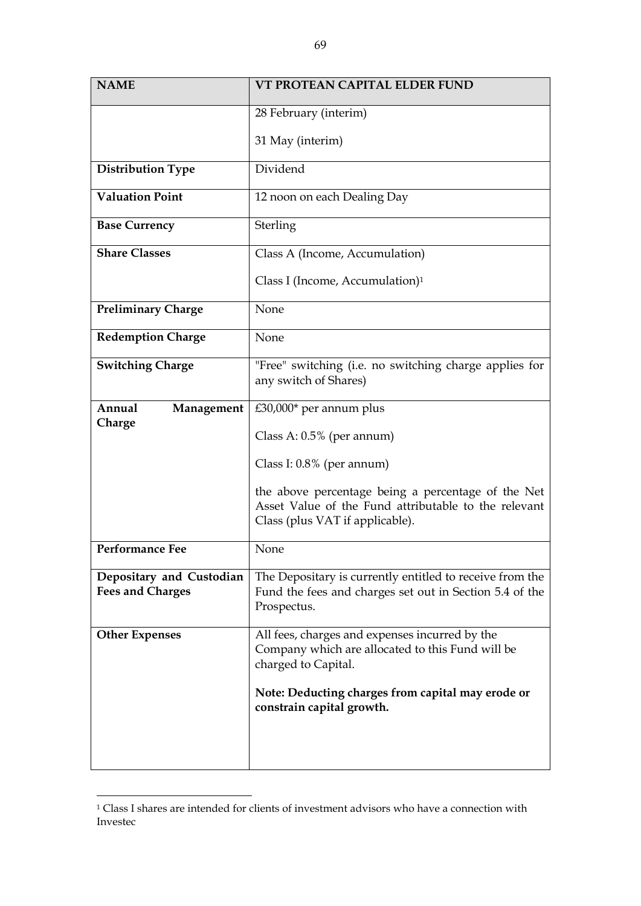| <b>NAME</b>                                         | VT PROTEAN CAPITAL ELDER FUND                                                                                                                 |
|-----------------------------------------------------|-----------------------------------------------------------------------------------------------------------------------------------------------|
|                                                     | 28 February (interim)                                                                                                                         |
|                                                     | 31 May (interim)                                                                                                                              |
| <b>Distribution Type</b>                            | Dividend                                                                                                                                      |
| Valuation Point                                     | 12 noon on each Dealing Day                                                                                                                   |
| <b>Base Currency</b>                                | Sterling                                                                                                                                      |
| <b>Share Classes</b>                                | Class A (Income, Accumulation)                                                                                                                |
|                                                     | Class I (Income, Accumulation) <sup>1</sup>                                                                                                   |
| <b>Preliminary Charge</b>                           | None                                                                                                                                          |
| <b>Redemption Charge</b>                            | None                                                                                                                                          |
| <b>Switching Charge</b>                             | "Free" switching (i.e. no switching charge applies for<br>any switch of Shares)                                                               |
| Annual<br>Management                                | $£30,000*$ per annum plus                                                                                                                     |
| Charge                                              | Class A: $0.5\%$ (per annum)                                                                                                                  |
|                                                     | Class I: $0.8\%$ (per annum)                                                                                                                  |
|                                                     | the above percentage being a percentage of the Net<br>Asset Value of the Fund attributable to the relevant<br>Class (plus VAT if applicable). |
| <b>Performance Fee</b>                              | None                                                                                                                                          |
| Depositary and Custodian<br><b>Fees and Charges</b> | The Depositary is currently entitled to receive from the<br>Fund the fees and charges set out in Section 5.4 of the<br>Prospectus.            |
| <b>Other Expenses</b>                               | All fees, charges and expenses incurred by the<br>Company which are allocated to this Fund will be<br>charged to Capital.                     |
|                                                     | Note: Deducting charges from capital may erode or<br>constrain capital growth.                                                                |
|                                                     |                                                                                                                                               |

<sup>1</sup> Class I shares are intended for clients of investment advisors who have a connection with Investec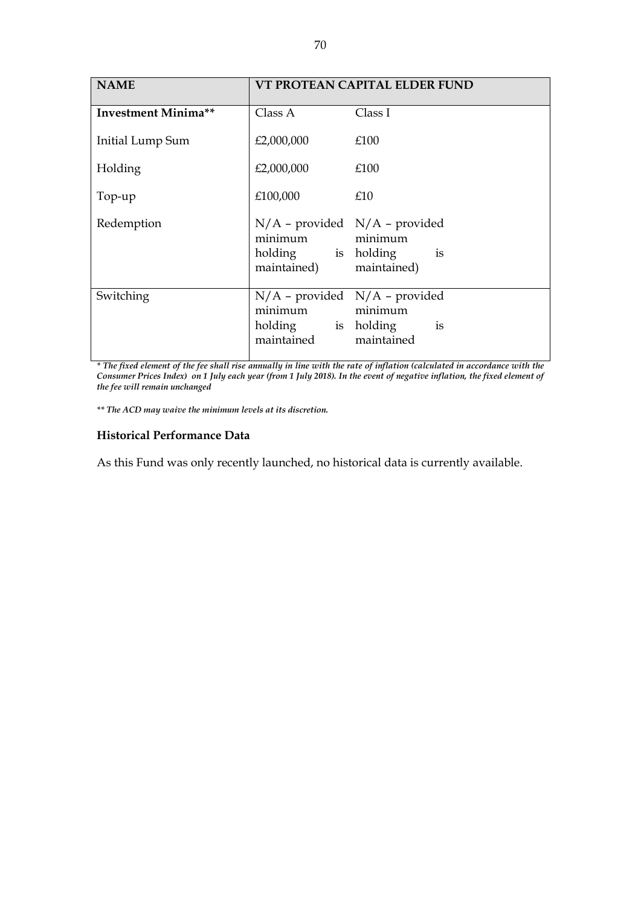| <b>NAME</b>                | VT PROTEAN CAPITAL ELDER FUND                                  |                                                                   |
|----------------------------|----------------------------------------------------------------|-------------------------------------------------------------------|
| <b>Investment Minima**</b> | Class A                                                        | Class I                                                           |
| Initial Lump Sum           | £2,000,000                                                     | £100                                                              |
| Holding                    | £2,000,000                                                     | £100                                                              |
| Top-up                     | £100,000                                                       | £10                                                               |
| Redemption                 | minimum<br>holding is holding<br>maintained)                   | $N/A$ – provided $N/A$ – provided<br>minimum<br>is<br>maintained) |
| Switching                  | minimum minimum<br>holding is holding<br>maintained maintained | $N/A$ - provided $N/A$ - provided<br>is                           |

*\* The fixed element of the fee shall rise annually in line with the rate of inflation (calculated in accordance with the Consumer Prices Index) on 1 July each year (from 1 July 2018). In the event of negative inflation, the fixed element of the fee will remain unchanged*

*\*\* The ACD may waive the minimum levels at its discretion.*

#### **Historical Performance Data**

As this Fund was only recently launched, no historical data is currently available.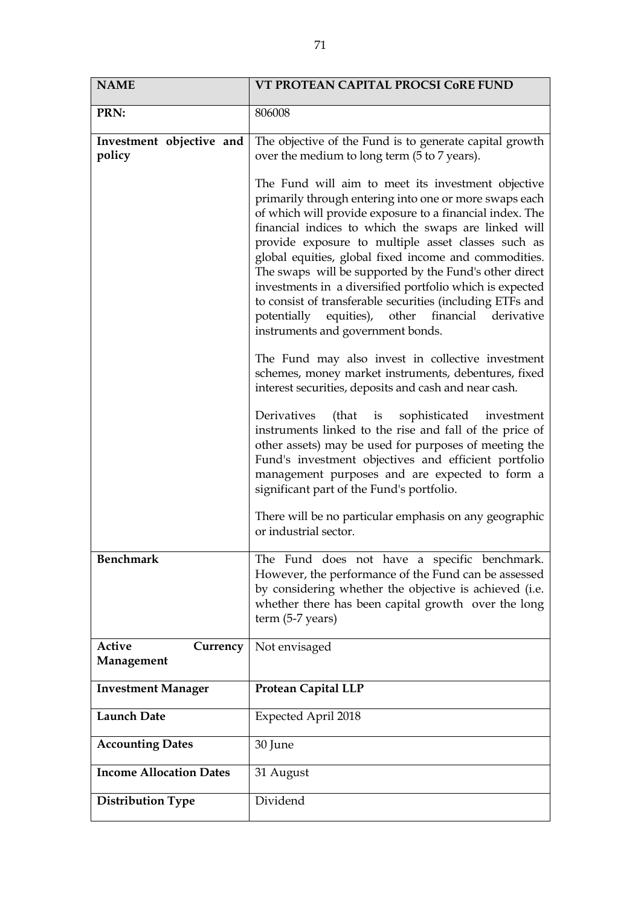| <b>NAME</b>                             | VT PROTEAN CAPITAL PROCSI CORE FUND                                                                                                                                                                                                                                                                                                                                                                                                                                                                                                                                                                                          |
|-----------------------------------------|------------------------------------------------------------------------------------------------------------------------------------------------------------------------------------------------------------------------------------------------------------------------------------------------------------------------------------------------------------------------------------------------------------------------------------------------------------------------------------------------------------------------------------------------------------------------------------------------------------------------------|
| PRN:                                    | 806008                                                                                                                                                                                                                                                                                                                                                                                                                                                                                                                                                                                                                       |
| Investment objective and<br>policy      | The objective of the Fund is to generate capital growth<br>over the medium to long term (5 to 7 years).                                                                                                                                                                                                                                                                                                                                                                                                                                                                                                                      |
|                                         | The Fund will aim to meet its investment objective<br>primarily through entering into one or more swaps each<br>of which will provide exposure to a financial index. The<br>financial indices to which the swaps are linked will<br>provide exposure to multiple asset classes such as<br>global equities, global fixed income and commodities.<br>The swaps will be supported by the Fund's other direct<br>investments in a diversified portfolio which is expected<br>to consist of transferable securities (including ETFs and<br>potentially equities), other financial derivative<br>instruments and government bonds. |
|                                         | The Fund may also invest in collective investment<br>schemes, money market instruments, debentures, fixed<br>interest securities, deposits and cash and near cash.                                                                                                                                                                                                                                                                                                                                                                                                                                                           |
|                                         | Derivatives (that is sophisticated investment<br>instruments linked to the rise and fall of the price of<br>other assets) may be used for purposes of meeting the<br>Fund's investment objectives and efficient portfolio<br>management purposes and are expected to form a<br>significant part of the Fund's portfolio.                                                                                                                                                                                                                                                                                                     |
|                                         | There will be no particular emphasis on any geographic<br>or industrial sector.                                                                                                                                                                                                                                                                                                                                                                                                                                                                                                                                              |
| <b>Benchmark</b>                        | The Fund does not have a specific benchmark.<br>However, the performance of the Fund can be assessed<br>by considering whether the objective is achieved (i.e.<br>whether there has been capital growth over the long<br>$term (5-7 years)$                                                                                                                                                                                                                                                                                                                                                                                  |
| <b>Active</b><br>Currency<br>Management | Not envisaged                                                                                                                                                                                                                                                                                                                                                                                                                                                                                                                                                                                                                |
| <b>Investment Manager</b>               | <b>Protean Capital LLP</b>                                                                                                                                                                                                                                                                                                                                                                                                                                                                                                                                                                                                   |
| <b>Launch Date</b>                      | Expected April 2018                                                                                                                                                                                                                                                                                                                                                                                                                                                                                                                                                                                                          |
| <b>Accounting Dates</b>                 | 30 June                                                                                                                                                                                                                                                                                                                                                                                                                                                                                                                                                                                                                      |
| <b>Income Allocation Dates</b>          | 31 August                                                                                                                                                                                                                                                                                                                                                                                                                                                                                                                                                                                                                    |
| <b>Distribution Type</b>                | Dividend                                                                                                                                                                                                                                                                                                                                                                                                                                                                                                                                                                                                                     |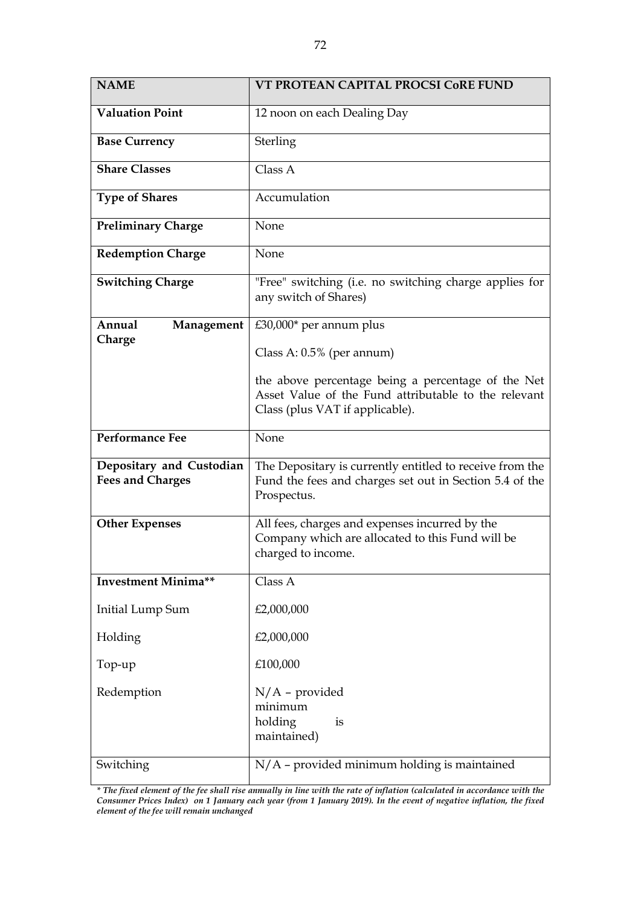| <b>NAME</b>                                         | VT PROTEAN CAPITAL PROCSI CoRE FUND                                                                                                           |
|-----------------------------------------------------|-----------------------------------------------------------------------------------------------------------------------------------------------|
| <b>Valuation Point</b>                              | 12 noon on each Dealing Day                                                                                                                   |
| <b>Base Currency</b>                                | Sterling                                                                                                                                      |
| <b>Share Classes</b>                                | Class A                                                                                                                                       |
| <b>Type of Shares</b>                               | Accumulation                                                                                                                                  |
| <b>Preliminary Charge</b>                           | None                                                                                                                                          |
| <b>Redemption Charge</b>                            | None                                                                                                                                          |
| <b>Switching Charge</b>                             | "Free" switching (i.e. no switching charge applies for<br>any switch of Shares)                                                               |
| Annual<br>Management<br>Charge                      | $£30,000*$ per annum plus                                                                                                                     |
|                                                     | Class A: $0.5\%$ (per annum)                                                                                                                  |
|                                                     | the above percentage being a percentage of the Net<br>Asset Value of the Fund attributable to the relevant<br>Class (plus VAT if applicable). |
| <b>Performance Fee</b>                              | None                                                                                                                                          |
| Depositary and Custodian<br><b>Fees and Charges</b> | The Depositary is currently entitled to receive from the<br>Fund the fees and charges set out in Section 5.4 of the<br>Prospectus.            |
| <b>Other Expenses</b>                               | All fees, charges and expenses incurred by the<br>Company which are allocated to this Fund will be<br>charged to income.                      |
| <b>Investment Minima**</b>                          | Class A                                                                                                                                       |
| <b>Initial Lump Sum</b>                             | £2,000,000                                                                                                                                    |
| Holding                                             | £2,000,000                                                                                                                                    |
| Top-up                                              | £100,000                                                                                                                                      |
| Redemption                                          | $N/A$ – provided<br>minimum<br>holding<br>is<br>maintained)                                                                                   |
| Switching                                           | N/A - provided minimum holding is maintained                                                                                                  |

*\* The fixed element of the fee shall rise annually in line with the rate of inflation (calculated in accordance with the Consumer Prices Index) on 1 January each year (from 1 January 2019). In the event of negative inflation, the fixed element of the fee will remain unchanged*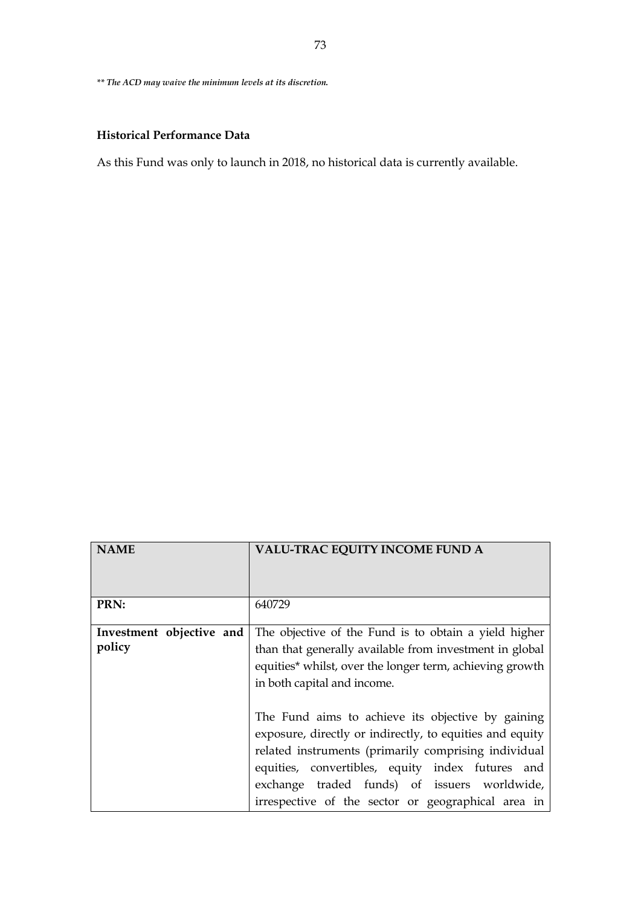*\*\* The ACD may waive the minimum levels at its discretion.*

# **Historical Performance Data**

As this Fund was only to launch in 2018, no historical data is currently available.

| <b>NAME</b>                        | <b>VALU-TRAC EQUITY INCOME FUND A</b>                                                                                                                                                                                                                                                                                           |
|------------------------------------|---------------------------------------------------------------------------------------------------------------------------------------------------------------------------------------------------------------------------------------------------------------------------------------------------------------------------------|
| PRN:                               | 640729                                                                                                                                                                                                                                                                                                                          |
| Investment objective and<br>policy | The objective of the Fund is to obtain a yield higher<br>than that generally available from investment in global<br>equities* whilst, over the longer term, achieving growth<br>in both capital and income.                                                                                                                     |
|                                    | The Fund aims to achieve its objective by gaining<br>exposure, directly or indirectly, to equities and equity<br>related instruments (primarily comprising individual<br>equities, convertibles, equity index futures and<br>exchange traded funds) of issuers worldwide,<br>irrespective of the sector or geographical area in |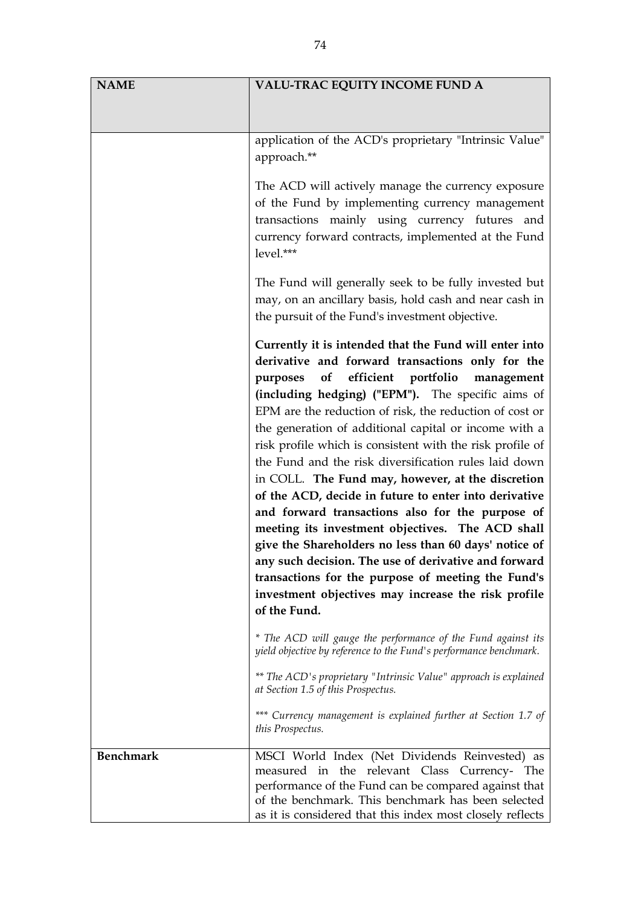| <b>NAME</b>      | VALU-TRAC EQUITY INCOME FUND A                                                                                                                                                                                                                                                                                                                                                                                                                                                                                                                                                                                                                                                                                                                                                                                                                                                                                                    |
|------------------|-----------------------------------------------------------------------------------------------------------------------------------------------------------------------------------------------------------------------------------------------------------------------------------------------------------------------------------------------------------------------------------------------------------------------------------------------------------------------------------------------------------------------------------------------------------------------------------------------------------------------------------------------------------------------------------------------------------------------------------------------------------------------------------------------------------------------------------------------------------------------------------------------------------------------------------|
|                  |                                                                                                                                                                                                                                                                                                                                                                                                                                                                                                                                                                                                                                                                                                                                                                                                                                                                                                                                   |
|                  |                                                                                                                                                                                                                                                                                                                                                                                                                                                                                                                                                                                                                                                                                                                                                                                                                                                                                                                                   |
|                  | application of the ACD's proprietary "Intrinsic Value"                                                                                                                                                                                                                                                                                                                                                                                                                                                                                                                                                                                                                                                                                                                                                                                                                                                                            |
|                  | approach.**                                                                                                                                                                                                                                                                                                                                                                                                                                                                                                                                                                                                                                                                                                                                                                                                                                                                                                                       |
|                  | The ACD will actively manage the currency exposure<br>of the Fund by implementing currency management<br>transactions mainly using currency futures and<br>currency forward contracts, implemented at the Fund<br>level.***                                                                                                                                                                                                                                                                                                                                                                                                                                                                                                                                                                                                                                                                                                       |
|                  | The Fund will generally seek to be fully invested but<br>may, on an ancillary basis, hold cash and near cash in<br>the pursuit of the Fund's investment objective.                                                                                                                                                                                                                                                                                                                                                                                                                                                                                                                                                                                                                                                                                                                                                                |
|                  | Currently it is intended that the Fund will enter into<br>derivative and forward transactions only for the<br>of efficient portfolio<br>purposes<br>management<br>(including hedging) ("EPM"). The specific aims of<br>EPM are the reduction of risk, the reduction of cost or<br>the generation of additional capital or income with a<br>risk profile which is consistent with the risk profile of<br>the Fund and the risk diversification rules laid down<br>in COLL. The Fund may, however, at the discretion<br>of the ACD, decide in future to enter into derivative<br>and forward transactions also for the purpose of<br>meeting its investment objectives. The ACD shall<br>give the Shareholders no less than 60 days' notice of<br>any such decision. The use of derivative and forward<br>transactions for the purpose of meeting the Fund's<br>investment objectives may increase the risk profile<br>of the Fund. |
|                  | * The ACD will gauge the performance of the Fund against its<br>yield objective by reference to the Fund's performance benchmark.                                                                                                                                                                                                                                                                                                                                                                                                                                                                                                                                                                                                                                                                                                                                                                                                 |
|                  | ** The ACD's proprietary "Intrinsic Value" approach is explained<br>at Section 1.5 of this Prospectus.                                                                                                                                                                                                                                                                                                                                                                                                                                                                                                                                                                                                                                                                                                                                                                                                                            |
|                  | *** Currency management is explained further at Section 1.7 of<br>this Prospectus.                                                                                                                                                                                                                                                                                                                                                                                                                                                                                                                                                                                                                                                                                                                                                                                                                                                |
| <b>Benchmark</b> | MSCI World Index (Net Dividends Reinvested) as<br>measured in the relevant Class Currency-<br>The<br>performance of the Fund can be compared against that<br>of the benchmark. This benchmark has been selected<br>as it is considered that this index most closely reflects                                                                                                                                                                                                                                                                                                                                                                                                                                                                                                                                                                                                                                                      |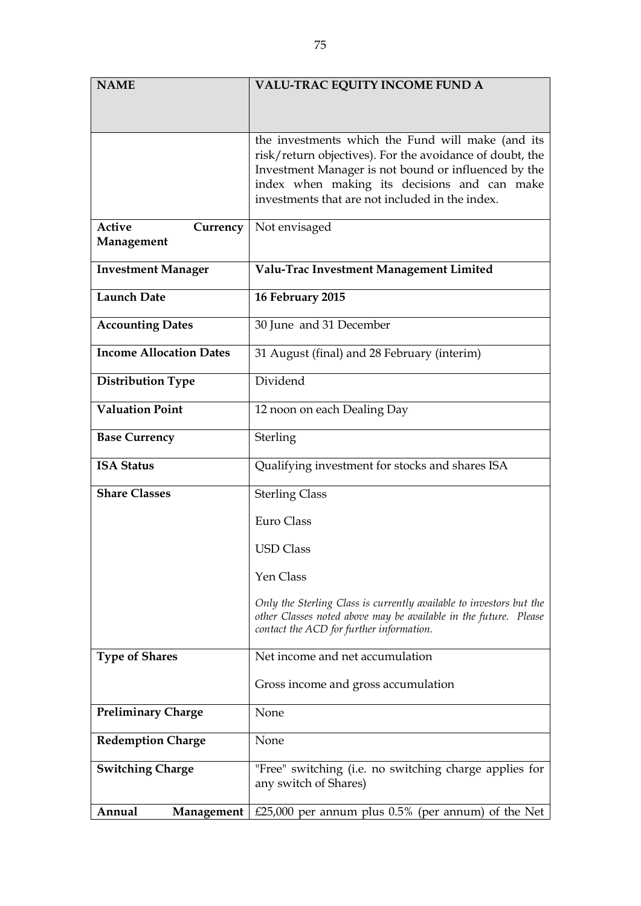| <b>NAME</b>                    | <b>VALU-TRAC EQUITY INCOME FUND A</b>                                                                                                                                                                                                                                    |
|--------------------------------|--------------------------------------------------------------------------------------------------------------------------------------------------------------------------------------------------------------------------------------------------------------------------|
|                                |                                                                                                                                                                                                                                                                          |
|                                |                                                                                                                                                                                                                                                                          |
|                                | the investments which the Fund will make (and its<br>risk/return objectives). For the avoidance of doubt, the<br>Investment Manager is not bound or influenced by the<br>index when making its decisions and can make<br>investments that are not included in the index. |
| Active<br>Currency             | Not envisaged                                                                                                                                                                                                                                                            |
| Management                     |                                                                                                                                                                                                                                                                          |
| <b>Investment Manager</b>      | Valu-Trac Investment Management Limited                                                                                                                                                                                                                                  |
| <b>Launch Date</b>             | 16 February 2015                                                                                                                                                                                                                                                         |
| <b>Accounting Dates</b>        | 30 June and 31 December                                                                                                                                                                                                                                                  |
| <b>Income Allocation Dates</b> | 31 August (final) and 28 February (interim)                                                                                                                                                                                                                              |
| <b>Distribution Type</b>       | Dividend                                                                                                                                                                                                                                                                 |
| <b>Valuation Point</b>         | 12 noon on each Dealing Day                                                                                                                                                                                                                                              |
| <b>Base Currency</b>           | Sterling                                                                                                                                                                                                                                                                 |
| <b>ISA Status</b>              | Qualifying investment for stocks and shares ISA                                                                                                                                                                                                                          |
| <b>Share Classes</b>           | <b>Sterling Class</b>                                                                                                                                                                                                                                                    |
|                                | Euro Class                                                                                                                                                                                                                                                               |
|                                | <b>USD Class</b>                                                                                                                                                                                                                                                         |
|                                | Yen Class                                                                                                                                                                                                                                                                |
|                                | Only the Sterling Class is currently available to investors but the<br>other Classes noted above may be available in the future. Please<br>contact the ACD for further information.                                                                                      |
| <b>Type of Shares</b>          | Net income and net accumulation                                                                                                                                                                                                                                          |
|                                | Gross income and gross accumulation                                                                                                                                                                                                                                      |
| <b>Preliminary Charge</b>      | None                                                                                                                                                                                                                                                                     |
| <b>Redemption Charge</b>       | None                                                                                                                                                                                                                                                                     |
| <b>Switching Charge</b>        | "Free" switching (i.e. no switching charge applies for<br>any switch of Shares)                                                                                                                                                                                          |
| Annual<br>Management           | £25,000 per annum plus $0.5%$ (per annum) of the Net                                                                                                                                                                                                                     |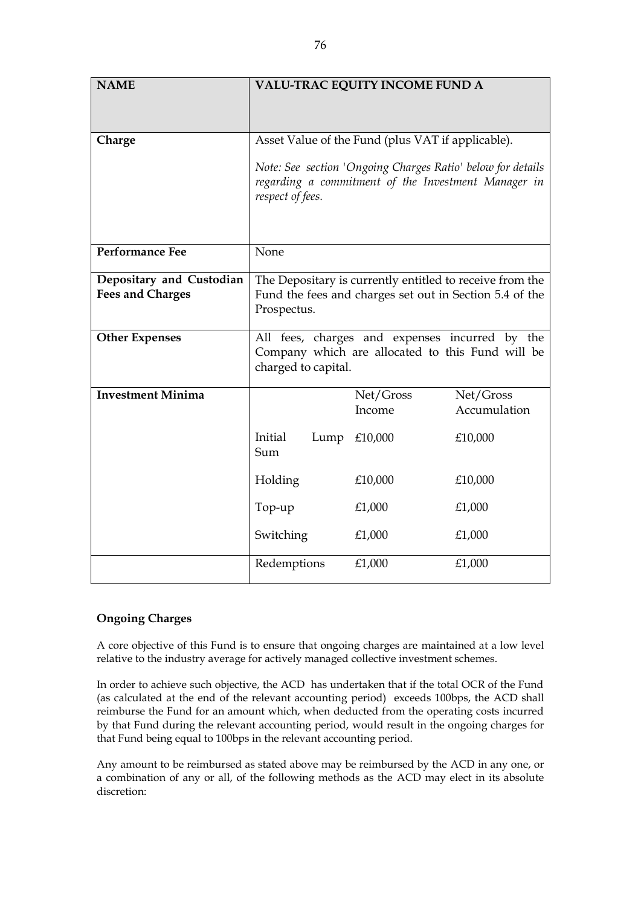| <b>NAME</b>              | <b>VALU-TRAC EQUITY INCOME FUND A</b>                                                                                                  |                                                                                                    |                           |
|--------------------------|----------------------------------------------------------------------------------------------------------------------------------------|----------------------------------------------------------------------------------------------------|---------------------------|
| Charge                   |                                                                                                                                        | Asset Value of the Fund (plus VAT if applicable).                                                  |                           |
|                          | Note: See section 'Ongoing Charges Ratio' below for details<br>regarding a commitment of the Investment Manager in<br>respect of fees. |                                                                                                    |                           |
| <b>Performance Fee</b>   | None                                                                                                                                   |                                                                                                    |                           |
| Depositary and Custodian | The Depositary is currently entitled to receive from the                                                                               |                                                                                                    |                           |
| <b>Fees and Charges</b>  | Prospectus.                                                                                                                            | Fund the fees and charges set out in Section 5.4 of the                                            |                           |
| <b>Other Expenses</b>    | charged to capital.                                                                                                                    | All fees, charges and expenses incurred by the<br>Company which are allocated to this Fund will be |                           |
| <b>Investment Minima</b> |                                                                                                                                        | Net/Gross<br>Income                                                                                | Net/Gross<br>Accumulation |
|                          | Initial<br>Lump<br>Sum                                                                                                                 | £10,000                                                                                            | £10,000                   |
|                          | Holding                                                                                                                                | £10,000                                                                                            | £10,000                   |
|                          | Top-up                                                                                                                                 | £1,000                                                                                             | £1,000                    |
|                          | Switching                                                                                                                              | £1,000                                                                                             | £1,000                    |
|                          | Redemptions                                                                                                                            | £1,000                                                                                             | £1,000                    |

## **Ongoing Charges**

A core objective of this Fund is to ensure that ongoing charges are maintained at a low level relative to the industry average for actively managed collective investment schemes.

In order to achieve such objective, the ACD has undertaken that if the total OCR of the Fund (as calculated at the end of the relevant accounting period) exceeds 100bps, the ACD shall reimburse the Fund for an amount which, when deducted from the operating costs incurred by that Fund during the relevant accounting period, would result in the ongoing charges for that Fund being equal to 100bps in the relevant accounting period.

Any amount to be reimbursed as stated above may be reimbursed by the ACD in any one, or a combination of any or all, of the following methods as the ACD may elect in its absolute discretion: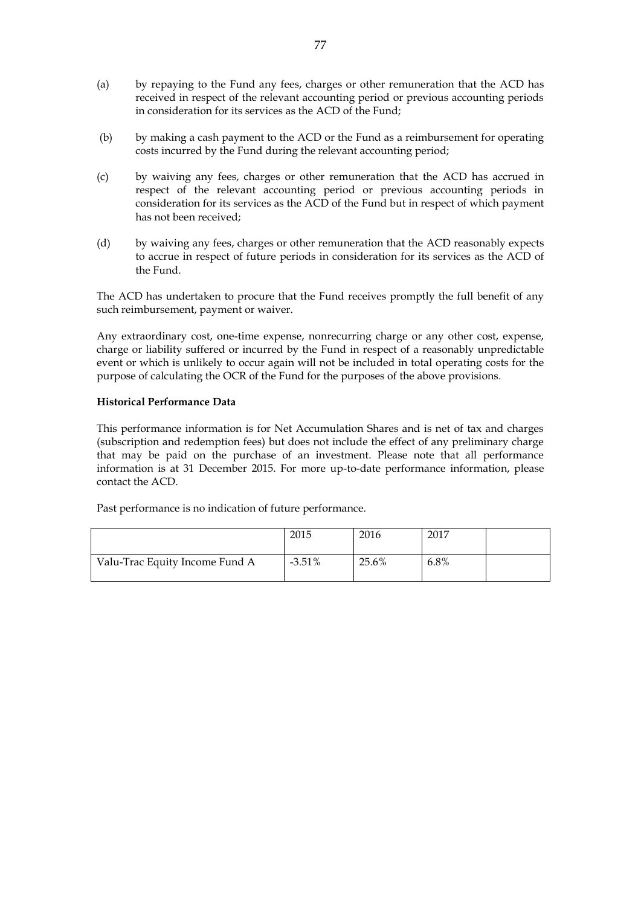- (a) by repaying to the Fund any fees, charges or other remuneration that the ACD has received in respect of the relevant accounting period or previous accounting periods in consideration for its services as the ACD of the Fund;
- (b) by making a cash payment to the ACD or the Fund as a reimbursement for operating costs incurred by the Fund during the relevant accounting period;
- (c) by waiving any fees, charges or other remuneration that the ACD has accrued in respect of the relevant accounting period or previous accounting periods in consideration for its services as the ACD of the Fund but in respect of which payment has not been received;
- (d) by waiving any fees, charges or other remuneration that the ACD reasonably expects to accrue in respect of future periods in consideration for its services as the ACD of the Fund.

The ACD has undertaken to procure that the Fund receives promptly the full benefit of any such reimbursement, payment or waiver.

Any extraordinary cost, one-time expense, nonrecurring charge or any other cost, expense, charge or liability suffered or incurred by the Fund in respect of a reasonably unpredictable event or which is unlikely to occur again will not be included in total operating costs for the purpose of calculating the OCR of the Fund for the purposes of the above provisions.

#### **Historical Performance Data**

This performance information is for Net Accumulation Shares and is net of tax and charges (subscription and redemption fees) but does not include the effect of any preliminary charge that may be paid on the purchase of an investment. Please note that all performance information is at 31 December 2015. For more up-to-date performance information, please contact the ACD.

|                                | 2015      | 2016  | 2017 |  |
|--------------------------------|-----------|-------|------|--|
| Valu-Trac Equity Income Fund A | $-3.51\%$ | 25.6% | 6.8% |  |

Past performance is no indication of future performance.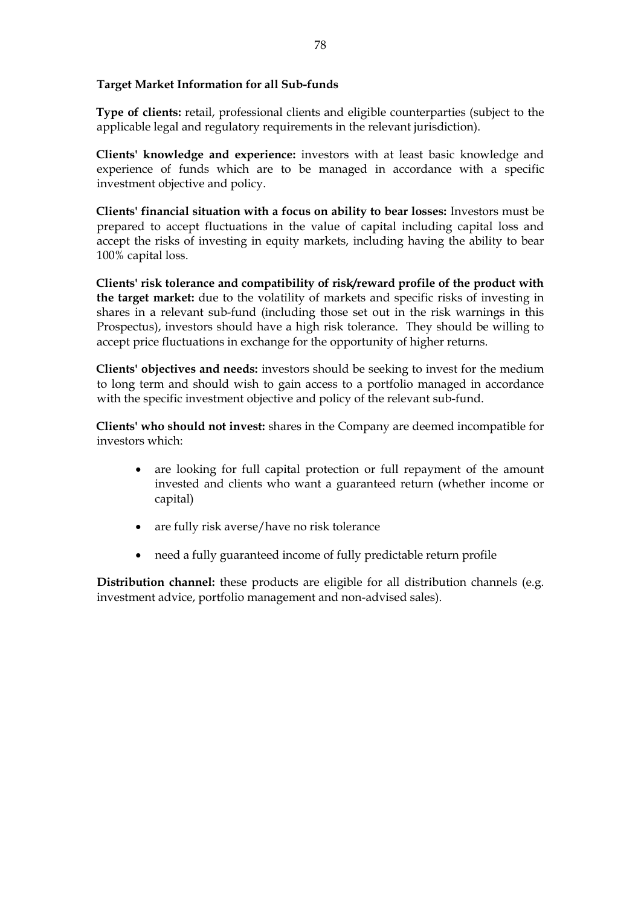## **Target Market Information for all Sub-funds**

**Type of clients:** retail, professional clients and eligible counterparties (subject to the applicable legal and regulatory requirements in the relevant jurisdiction).

**Clients' knowledge and experience:** investors with at least basic knowledge and experience of funds which are to be managed in accordance with a specific investment objective and policy.

**Clients' financial situation with a focus on ability to bear losses:** Investors must be prepared to accept fluctuations in the value of capital including capital loss and accept the risks of investing in equity markets, including having the ability to bear 100% capital loss.

**Clients' risk tolerance and compatibility of risk/reward profile of the product with the target market:** due to the volatility of markets and specific risks of investing in shares in a relevant sub-fund (including those set out in the risk warnings in this Prospectus), investors should have a high risk tolerance. They should be willing to accept price fluctuations in exchange for the opportunity of higher returns.

**Clients' objectives and needs:** investors should be seeking to invest for the medium to long term and should wish to gain access to a portfolio managed in accordance with the specific investment objective and policy of the relevant sub-fund.

**Clients' who should not invest:** shares in the Company are deemed incompatible for investors which:

- are looking for full capital protection or full repayment of the amount invested and clients who want a guaranteed return (whether income or capital)
- are fully risk averse/have no risk tolerance
- need a fully guaranteed income of fully predictable return profile

**Distribution channel:** these products are eligible for all distribution channels (e.g. investment advice, portfolio management and non-advised sales).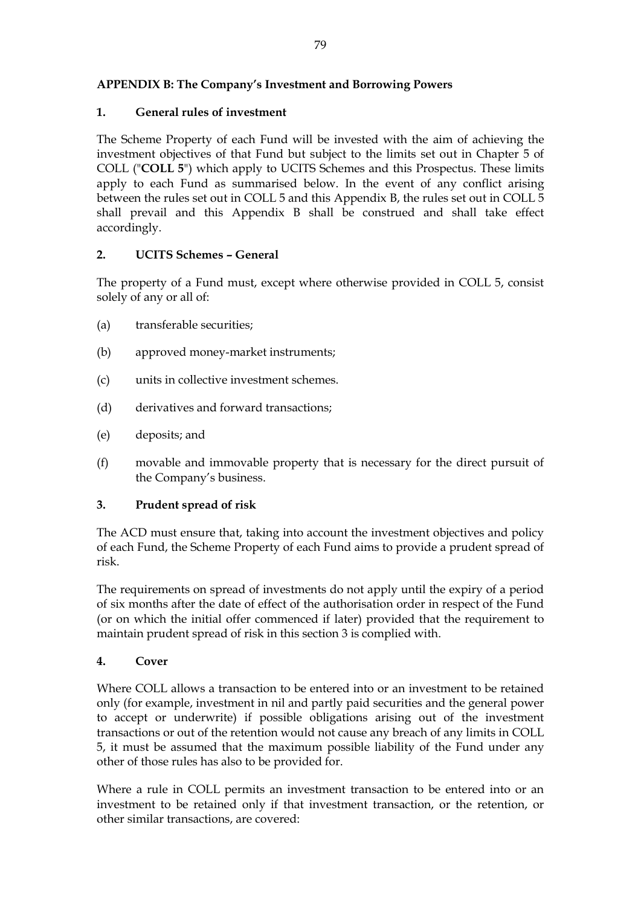# **APPENDIX B: The Company's Investment and Borrowing Powers**

## **1. General rules of investment**

The Scheme Property of each Fund will be invested with the aim of achieving the investment objectives of that Fund but subject to the limits set out in Chapter 5 of COLL ("**COLL 5**") which apply to UCITS Schemes and this Prospectus. These limits apply to each Fund as summarised below. In the event of any conflict arising between the rules set out in COLL 5 and this Appendix B, the rules set out in COLL 5 shall prevail and this Appendix B shall be construed and shall take effect accordingly.

## **2. UCITS Schemes – General**

The property of a Fund must, except where otherwise provided in COLL 5, consist solely of any or all of:

- (a) transferable securities;
- (b) approved money-market instruments;
- (c) units in collective investment schemes.
- (d) derivatives and forward transactions;
- (e) deposits; and
- (f) movable and immovable property that is necessary for the direct pursuit of the Company's business.

## **3. Prudent spread of risk**

The ACD must ensure that, taking into account the investment objectives and policy of each Fund, the Scheme Property of each Fund aims to provide a prudent spread of risk.

The requirements on spread of investments do not apply until the expiry of a period of six months after the date of effect of the authorisation order in respect of the Fund (or on which the initial offer commenced if later) provided that the requirement to maintain prudent spread of risk in this section 3 is complied with.

## **4. Cover**

Where COLL allows a transaction to be entered into or an investment to be retained only (for example, investment in nil and partly paid securities and the general power to accept or underwrite) if possible obligations arising out of the investment transactions or out of the retention would not cause any breach of any limits in COLL 5, it must be assumed that the maximum possible liability of the Fund under any other of those rules has also to be provided for.

Where a rule in COLL permits an investment transaction to be entered into or an investment to be retained only if that investment transaction, or the retention, or other similar transactions, are covered: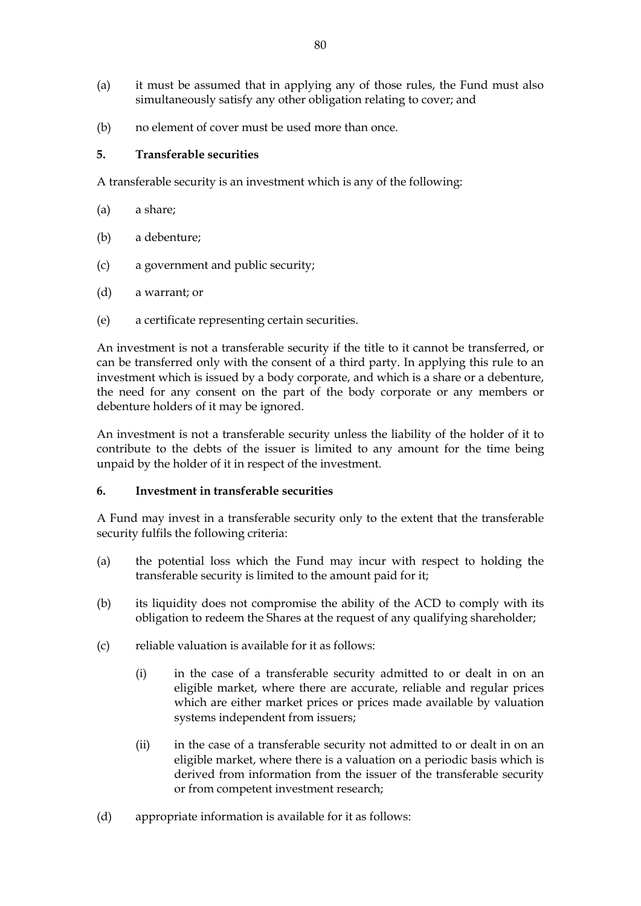- (a) it must be assumed that in applying any of those rules, the Fund must also simultaneously satisfy any other obligation relating to cover; and
- (b) no element of cover must be used more than once.

## **5. Transferable securities**

A transferable security is an investment which is any of the following:

- (a) a share;
- (b) a debenture;
- (c) a government and public security;
- (d) a warrant; or
- (e) a certificate representing certain securities.

An investment is not a transferable security if the title to it cannot be transferred, or can be transferred only with the consent of a third party. In applying this rule to an investment which is issued by a body corporate, and which is a share or a debenture, the need for any consent on the part of the body corporate or any members or debenture holders of it may be ignored.

An investment is not a transferable security unless the liability of the holder of it to contribute to the debts of the issuer is limited to any amount for the time being unpaid by the holder of it in respect of the investment.

## **6. Investment in transferable securities**

A Fund may invest in a transferable security only to the extent that the transferable security fulfils the following criteria:

- (a) the potential loss which the Fund may incur with respect to holding the transferable security is limited to the amount paid for it;
- (b) its liquidity does not compromise the ability of the ACD to comply with its obligation to redeem the Shares at the request of any qualifying shareholder;
- (c) reliable valuation is available for it as follows:
	- (i) in the case of a transferable security admitted to or dealt in on an eligible market, where there are accurate, reliable and regular prices which are either market prices or prices made available by valuation systems independent from issuers;
	- (ii) in the case of a transferable security not admitted to or dealt in on an eligible market, where there is a valuation on a periodic basis which is derived from information from the issuer of the transferable security or from competent investment research;
- (d) appropriate information is available for it as follows: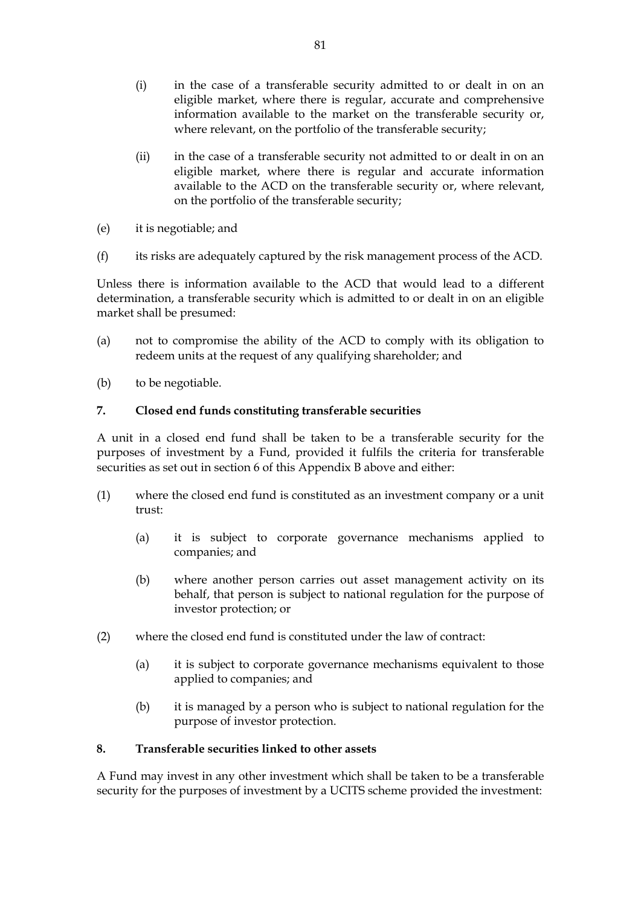- (i) in the case of a transferable security admitted to or dealt in on an eligible market, where there is regular, accurate and comprehensive information available to the market on the transferable security or, where relevant, on the portfolio of the transferable security;
- (ii) in the case of a transferable security not admitted to or dealt in on an eligible market, where there is regular and accurate information available to the ACD on the transferable security or, where relevant, on the portfolio of the transferable security;
- (e) it is negotiable; and
- (f) its risks are adequately captured by the risk management process of the ACD.

Unless there is information available to the ACD that would lead to a different determination, a transferable security which is admitted to or dealt in on an eligible market shall be presumed:

- (a) not to compromise the ability of the ACD to comply with its obligation to redeem units at the request of any qualifying shareholder; and
- (b) to be negotiable.

## **7. Closed end funds constituting transferable securities**

A unit in a closed end fund shall be taken to be a transferable security for the purposes of investment by a Fund, provided it fulfils the criteria for transferable securities as set out in section 6 of this Appendix B above and either:

- (1) where the closed end fund is constituted as an investment company or a unit trust:
	- (a) it is subject to corporate governance mechanisms applied to companies; and
	- (b) where another person carries out asset management activity on its behalf, that person is subject to national regulation for the purpose of investor protection; or
- (2) where the closed end fund is constituted under the law of contract:
	- (a) it is subject to corporate governance mechanisms equivalent to those applied to companies; and
	- (b) it is managed by a person who is subject to national regulation for the purpose of investor protection.

## **8. Transferable securities linked to other assets**

A Fund may invest in any other investment which shall be taken to be a transferable security for the purposes of investment by a UCITS scheme provided the investment: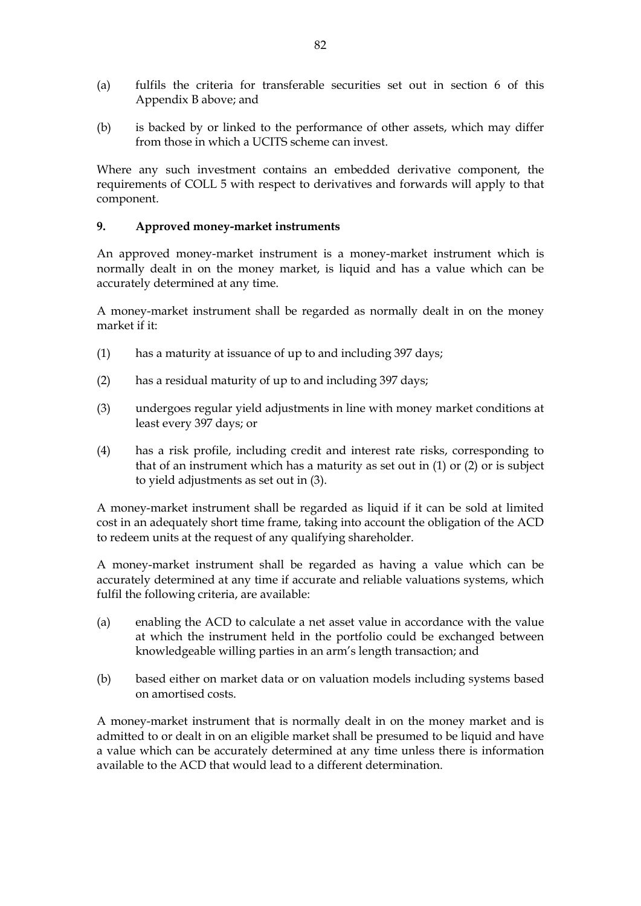- (a) fulfils the criteria for transferable securities set out in section 6 of this Appendix B above; and
- (b) is backed by or linked to the performance of other assets, which may differ from those in which a UCITS scheme can invest.

Where any such investment contains an embedded derivative component, the requirements of COLL 5 with respect to derivatives and forwards will apply to that component.

## **9. Approved money-market instruments**

An approved money-market instrument is a money-market instrument which is normally dealt in on the money market, is liquid and has a value which can be accurately determined at any time.

A money-market instrument shall be regarded as normally dealt in on the money market if it:

- (1) has a maturity at issuance of up to and including 397 days;
- (2) has a residual maturity of up to and including 397 days;
- (3) undergoes regular yield adjustments in line with money market conditions at least every 397 days; or
- (4) has a risk profile, including credit and interest rate risks, corresponding to that of an instrument which has a maturity as set out in (1) or (2) or is subject to yield adjustments as set out in (3).

A money-market instrument shall be regarded as liquid if it can be sold at limited cost in an adequately short time frame, taking into account the obligation of the ACD to redeem units at the request of any qualifying shareholder.

A money-market instrument shall be regarded as having a value which can be accurately determined at any time if accurate and reliable valuations systems, which fulfil the following criteria, are available:

- (a) enabling the ACD to calculate a net asset value in accordance with the value at which the instrument held in the portfolio could be exchanged between knowledgeable willing parties in an arm's length transaction; and
- (b) based either on market data or on valuation models including systems based on amortised costs.

A money-market instrument that is normally dealt in on the money market and is admitted to or dealt in on an eligible market shall be presumed to be liquid and have a value which can be accurately determined at any time unless there is information available to the ACD that would lead to a different determination.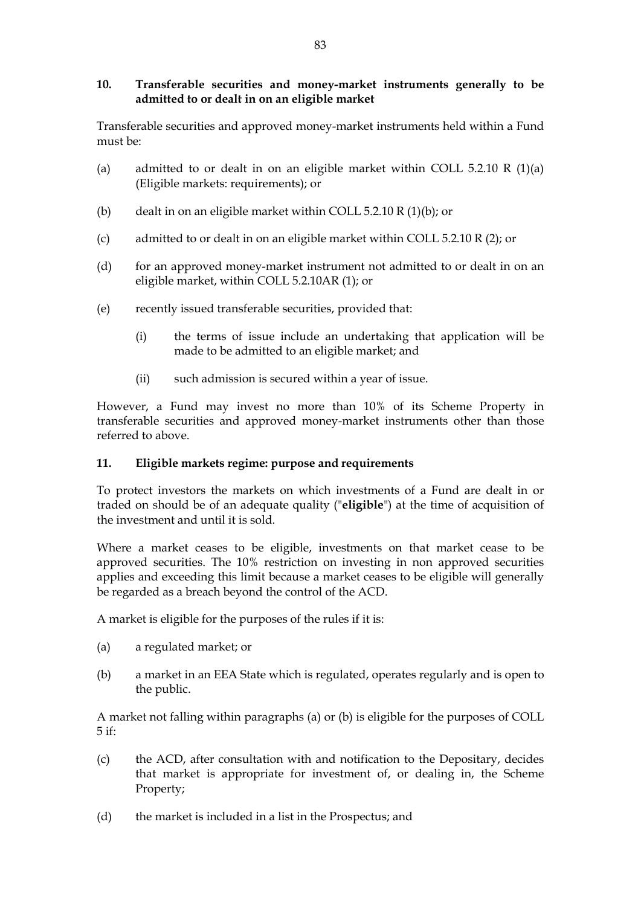## **10. Transferable securities and money-market instruments generally to be admitted to or dealt in on an eligible market**

Transferable securities and approved money-market instruments held within a Fund must be:

- (a) admitted to or dealt in on an eligible market within COLL 5.2.10 R  $(1)(a)$ (Eligible markets: requirements); or
- (b) dealt in on an eligible market within COLL 5.2.10 R  $(1)(b)$ ; or
- (c) admitted to or dealt in on an eligible market within COLL 5.2.10 R (2); or
- (d) for an approved money-market instrument not admitted to or dealt in on an eligible market, within COLL 5.2.10AR (1); or
- (e) recently issued transferable securities, provided that:
	- (i) the terms of issue include an undertaking that application will be made to be admitted to an eligible market; and
	- (ii) such admission is secured within a year of issue.

However, a Fund may invest no more than 10% of its Scheme Property in transferable securities and approved money-market instruments other than those referred to above.

## **11. Eligible markets regime: purpose and requirements**

To protect investors the markets on which investments of a Fund are dealt in or traded on should be of an adequate quality ("**eligible**") at the time of acquisition of the investment and until it is sold.

Where a market ceases to be eligible, investments on that market cease to be approved securities. The 10% restriction on investing in non approved securities applies and exceeding this limit because a market ceases to be eligible will generally be regarded as a breach beyond the control of the ACD.

A market is eligible for the purposes of the rules if it is:

- (a) a regulated market; or
- (b) a market in an EEA State which is regulated, operates regularly and is open to the public.

A market not falling within paragraphs (a) or (b) is eligible for the purposes of COLL 5 if:

- (c) the ACD, after consultation with and notification to the Depositary, decides that market is appropriate for investment of, or dealing in, the Scheme Property;
- (d) the market is included in a list in the Prospectus; and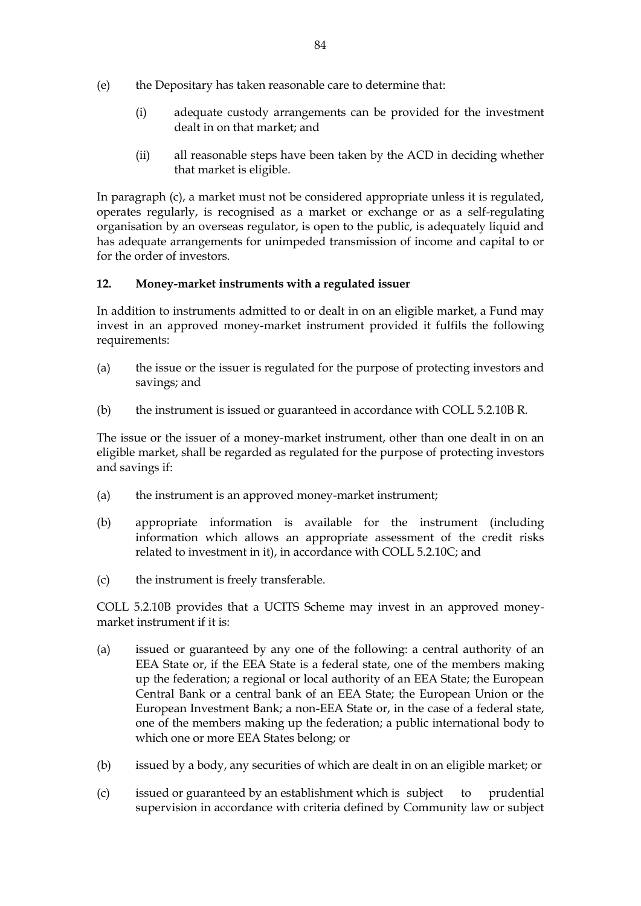- (e) the Depositary has taken reasonable care to determine that:
	- (i) adequate custody arrangements can be provided for the investment dealt in on that market; and
	- (ii) all reasonable steps have been taken by the ACD in deciding whether that market is eligible.

In paragraph (c), a market must not be considered appropriate unless it is regulated, operates regularly, is recognised as a market or exchange or as a self-regulating organisation by an overseas regulator, is open to the public, is adequately liquid and has adequate arrangements for unimpeded transmission of income and capital to or for the order of investors.

## **12. Money-market instruments with a regulated issuer**

In addition to instruments admitted to or dealt in on an eligible market, a Fund may invest in an approved money-market instrument provided it fulfils the following requirements:

- (a) the issue or the issuer is regulated for the purpose of protecting investors and savings; and
- (b) the instrument is issued or guaranteed in accordance with COLL 5.2.10B R.

The issue or the issuer of a money-market instrument, other than one dealt in on an eligible market, shall be regarded as regulated for the purpose of protecting investors and savings if:

- (a) the instrument is an approved money-market instrument;
- (b) appropriate information is available for the instrument (including information which allows an appropriate assessment of the credit risks related to investment in it), in accordance with COLL 5.2.10C; and
- (c) the instrument is freely transferable.

COLL 5.2.10B provides that a UCITS Scheme may invest in an approved moneymarket instrument if it is:

- (a) issued or guaranteed by any one of the following: a central authority of an EEA State or, if the EEA State is a federal state, one of the members making up the federation; a regional or local authority of an EEA State; the European Central Bank or a central bank of an EEA State; the European Union or the European Investment Bank; a non-EEA State or, in the case of a federal state, one of the members making up the federation; a public international body to which one or more EEA States belong; or
- (b) issued by a body, any securities of which are dealt in on an eligible market; or
- (c) issued or guaranteed by an establishment which is subject to prudential supervision in accordance with criteria defined by Community law or subject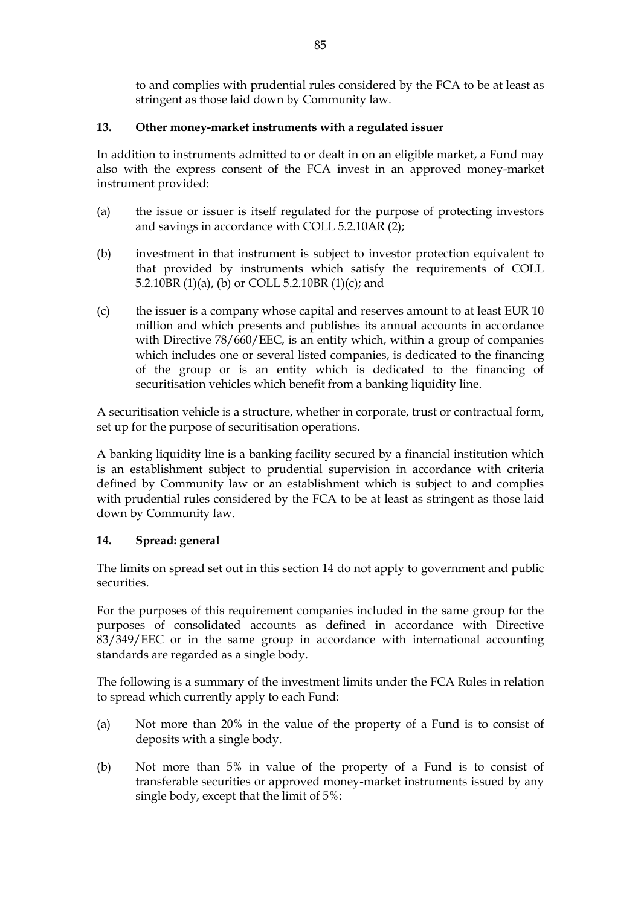to and complies with prudential rules considered by the FCA to be at least as stringent as those laid down by Community law.

## **13. Other money-market instruments with a regulated issuer**

In addition to instruments admitted to or dealt in on an eligible market, a Fund may also with the express consent of the FCA invest in an approved money-market instrument provided:

- (a) the issue or issuer is itself regulated for the purpose of protecting investors and savings in accordance with COLL 5.2.10AR (2);
- (b) investment in that instrument is subject to investor protection equivalent to that provided by instruments which satisfy the requirements of COLL 5.2.10BR (1)(a), (b) or COLL 5.2.10BR (1)(c); and
- (c) the issuer is a company whose capital and reserves amount to at least EUR 10 million and which presents and publishes its annual accounts in accordance with Directive 78/660/EEC, is an entity which, within a group of companies which includes one or several listed companies, is dedicated to the financing of the group or is an entity which is dedicated to the financing of securitisation vehicles which benefit from a banking liquidity line.

A securitisation vehicle is a structure, whether in corporate, trust or contractual form, set up for the purpose of securitisation operations.

A banking liquidity line is a banking facility secured by a financial institution which is an establishment subject to prudential supervision in accordance with criteria defined by Community law or an establishment which is subject to and complies with prudential rules considered by the FCA to be at least as stringent as those laid down by Community law.

## **14. Spread: general**

The limits on spread set out in this section 14 do not apply to government and public securities.

For the purposes of this requirement companies included in the same group for the purposes of consolidated accounts as defined in accordance with Directive 83/349/EEC or in the same group in accordance with international accounting standards are regarded as a single body.

The following is a summary of the investment limits under the FCA Rules in relation to spread which currently apply to each Fund:

- (a) Not more than 20% in the value of the property of a Fund is to consist of deposits with a single body.
- (b) Not more than 5% in value of the property of a Fund is to consist of transferable securities or approved money-market instruments issued by any single body, except that the limit of 5%: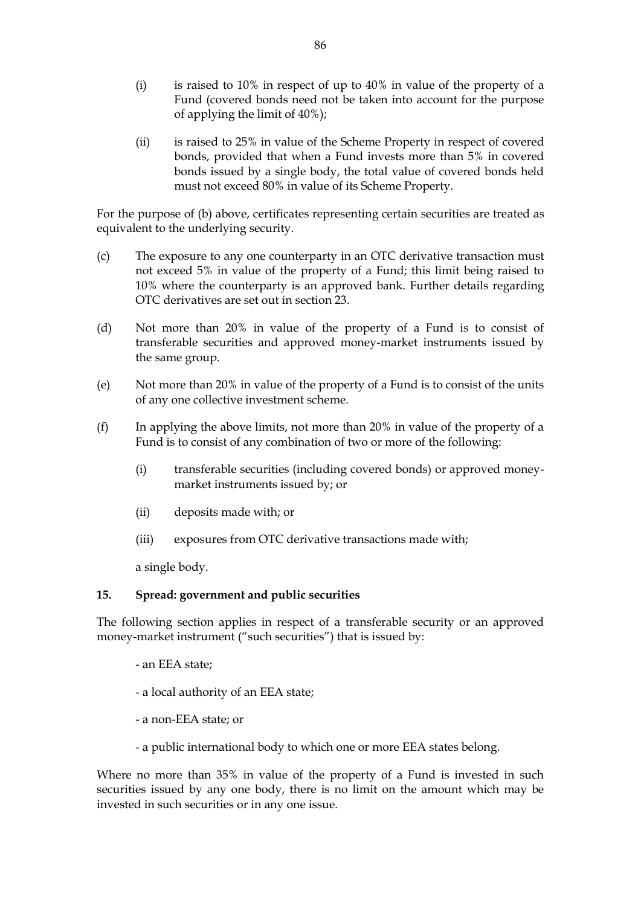- (i) is raised to 10% in respect of up to 40% in value of the property of a Fund (covered bonds need not be taken into account for the purpose of applying the limit of 40%);
- (ii) is raised to 25% in value of the Scheme Property in respect of covered bonds, provided that when a Fund invests more than 5% in covered bonds issued by a single body, the total value of covered bonds held must not exceed 80% in value of its Scheme Property.

For the purpose of (b) above, certificates representing certain securities are treated as equivalent to the underlying security.

- (c) The exposure to any one counterparty in an OTC derivative transaction must not exceed 5% in value of the property of a Fund; this limit being raised to 10% where the counterparty is an approved bank. Further details regarding OTC derivatives are set out in section 23.
- (d) Not more than 20% in value of the property of a Fund is to consist of transferable securities and approved money-market instruments issued by the same group.
- (e) Not more than 20% in value of the property of a Fund is to consist of the units of any one collective investment scheme.
- (f) In applying the above limits, not more than 20% in value of the property of a Fund is to consist of any combination of two or more of the following:
	- (i) transferable securities (including covered bonds) or approved moneymarket instruments issued by; or
	- (ii) deposits made with; or
	- (iii) exposures from OTC derivative transactions made with;

a single body.

## **15. Spread: government and public securities**

The following section applies in respect of a transferable security or an approved money-market instrument ("such securities") that is issued by:

- an EEA state;
- a local authority of an EEA state;
- a non-EEA state; or
- a public international body to which one or more EEA states belong.

Where no more than 35% in value of the property of a Fund is invested in such securities issued by any one body, there is no limit on the amount which may be invested in such securities or in any one issue.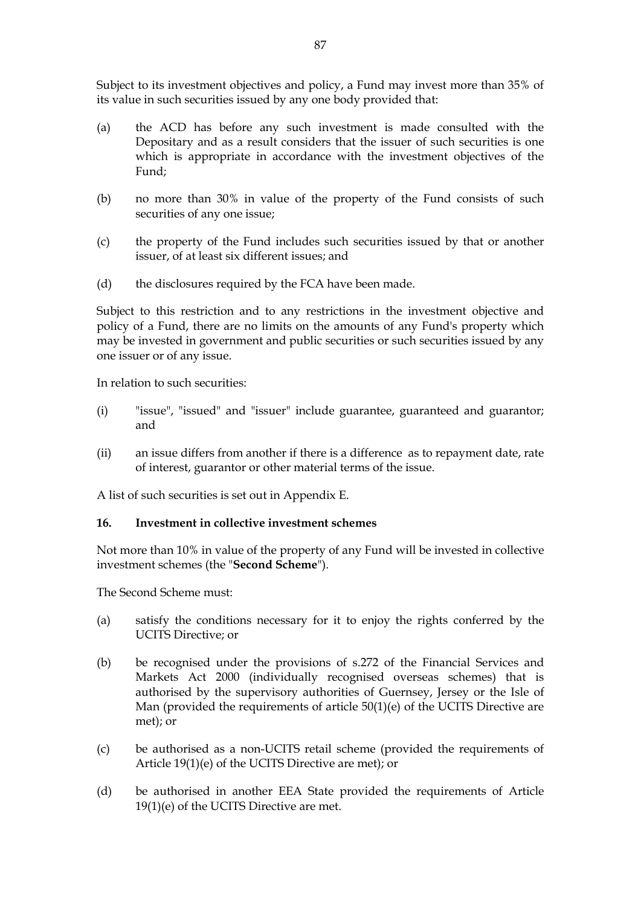Subject to its investment objectives and policy, a Fund may invest more than 35% of its value in such securities issued by any one body provided that:

- (a) the ACD has before any such investment is made consulted with the Depositary and as a result considers that the issuer of such securities is one which is appropriate in accordance with the investment objectives of the Fund;
- (b) no more than 30% in value of the property of the Fund consists of such securities of any one issue;
- (c) the property of the Fund includes such securities issued by that or another issuer, of at least six different issues; and
- (d) the disclosures required by the FCA have been made.

Subject to this restriction and to any restrictions in the investment objective and policy of a Fund, there are no limits on the amounts of any Fund's property which may be invested in government and public securities or such securities issued by any one issuer or of any issue.

In relation to such securities:

- (i) "issue", "issued" and "issuer" include guarantee, guaranteed and guarantor; and
- (ii) an issue differs from another if there is a difference as to repayment date, rate of interest, guarantor or other material terms of the issue.

A list of such securities is set out in Appendix E.

#### **16. Investment in collective investment schemes**

Not more than 10% in value of the property of any Fund will be invested in collective investment schemes (the "**Second Scheme**").

The Second Scheme must:

- (a) satisfy the conditions necessary for it to enjoy the rights conferred by the UCITS Directive; or
- (b) be recognised under the provisions of s.272 of the Financial Services and Markets Act 2000 (individually recognised overseas schemes) that is authorised by the supervisory authorities of Guernsey, Jersey or the Isle of Man (provided the requirements of article 50(1)(e) of the UCITS Directive are met); or
- (c) be authorised as a non-UCITS retail scheme (provided the requirements of Article 19(1)(e) of the UCITS Directive are met); or
- (d) be authorised in another EEA State provided the requirements of Article 19(1)(e) of the UCITS Directive are met.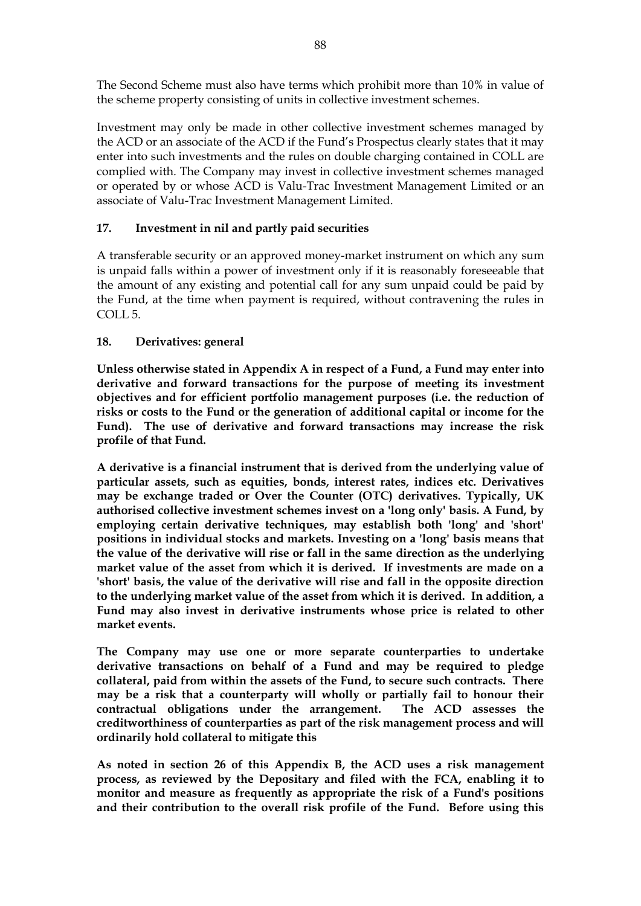The Second Scheme must also have terms which prohibit more than 10% in value of the scheme property consisting of units in collective investment schemes.

Investment may only be made in other collective investment schemes managed by the ACD or an associate of the ACD if the Fund's Prospectus clearly states that it may enter into such investments and the rules on double charging contained in COLL are complied with. The Company may invest in collective investment schemes managed or operated by or whose ACD is Valu-Trac Investment Management Limited or an associate of Valu-Trac Investment Management Limited.

## **17. Investment in nil and partly paid securities**

A transferable security or an approved money-market instrument on which any sum is unpaid falls within a power of investment only if it is reasonably foreseeable that the amount of any existing and potential call for any sum unpaid could be paid by the Fund, at the time when payment is required, without contravening the rules in COLL<sub>5</sub>.

## **18. Derivatives: general**

**Unless otherwise stated in Appendix A in respect of a Fund, a Fund may enter into derivative and forward transactions for the purpose of meeting its investment objectives and for efficient portfolio management purposes (i.e. the reduction of risks or costs to the Fund or the generation of additional capital or income for the Fund). The use of derivative and forward transactions may increase the risk profile of that Fund.**

**A derivative is a financial instrument that is derived from the underlying value of particular assets, such as equities, bonds, interest rates, indices etc. Derivatives may be exchange traded or Over the Counter (OTC) derivatives. Typically, UK authorised collective investment schemes invest on a 'long only' basis. A Fund, by employing certain derivative techniques, may establish both 'long' and 'short' positions in individual stocks and markets. Investing on a 'long' basis means that the value of the derivative will rise or fall in the same direction as the underlying market value of the asset from which it is derived. If investments are made on a 'short' basis, the value of the derivative will rise and fall in the opposite direction to the underlying market value of the asset from which it is derived. In addition, a Fund may also invest in derivative instruments whose price is related to other market events.**

**The Company may use one or more separate counterparties to undertake derivative transactions on behalf of a Fund and may be required to pledge collateral, paid from within the assets of the Fund, to secure such contracts. There may be a risk that a counterparty will wholly or partially fail to honour their contractual obligations under the arrangement. The ACD assesses the creditworthiness of counterparties as part of the risk management process and will ordinarily hold collateral to mitigate this**

**As noted in section 26 of this Appendix B, the ACD uses a risk management process, as reviewed by the Depositary and filed with the FCA, enabling it to monitor and measure as frequently as appropriate the risk of a Fund's positions and their contribution to the overall risk profile of the Fund. Before using this**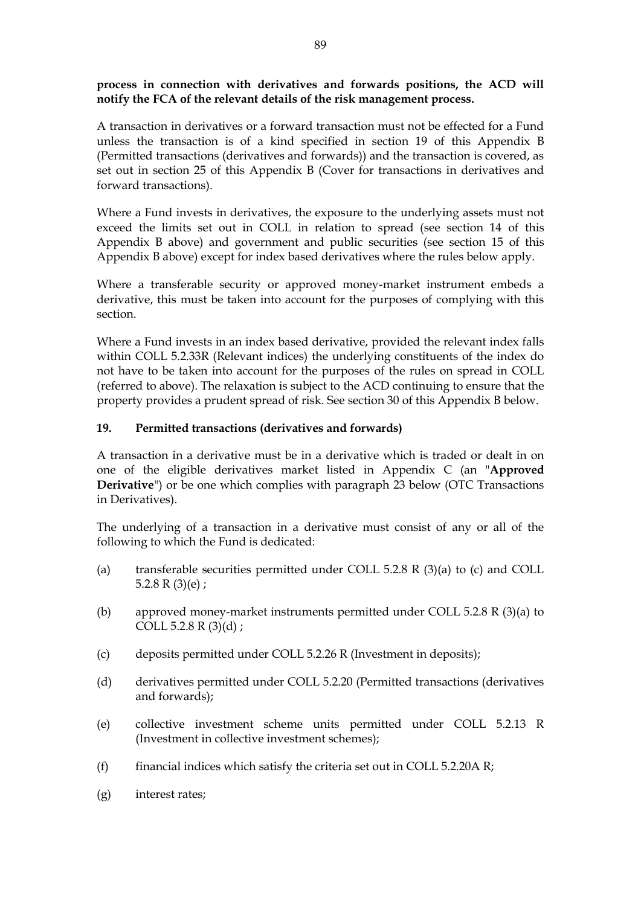## **process in connection with derivatives and forwards positions, the ACD will notify the FCA of the relevant details of the risk management process.**

A transaction in derivatives or a forward transaction must not be effected for a Fund unless the transaction is of a kind specified in section 19 of this Appendix B (Permitted transactions (derivatives and forwards)) and the transaction is covered, as set out in section 25 of this Appendix B (Cover for transactions in derivatives and forward transactions).

Where a Fund invests in derivatives, the exposure to the underlying assets must not exceed the limits set out in COLL in relation to spread (see section 14 of this Appendix B above) and government and public securities (see section 15 of this Appendix B above) except for index based derivatives where the rules below apply.

Where a transferable security or approved money-market instrument embeds a derivative, this must be taken into account for the purposes of complying with this section.

Where a Fund invests in an index based derivative, provided the relevant index falls within COLL 5.2.33R (Relevant indices) the underlying constituents of the index do not have to be taken into account for the purposes of the rules on spread in COLL (referred to above). The relaxation is subject to the ACD continuing to ensure that the property provides a prudent spread of risk. See section 30 of this Appendix B below.

## **19. Permitted transactions (derivatives and forwards)**

A transaction in a derivative must be in a derivative which is traded or dealt in on one of the eligible derivatives market listed in Appendix C (an "**Approved Derivative**") or be one which complies with paragraph 23 below (OTC Transactions in Derivatives).

The underlying of a transaction in a derivative must consist of any or all of the following to which the Fund is dedicated:

- (a) transferable securities permitted under COLL 5.2.8 R (3)(a) to (c) and COLL 5.2.8 R  $(3)(e)$ ;
- (b) approved money-market instruments permitted under COLL 5.2.8 R (3)(a) to COLL 5.2.8 R (3)(d) ;
- (c) deposits permitted under COLL 5.2.26 R (Investment in deposits);
- (d) derivatives permitted under COLL 5.2.20 (Permitted transactions (derivatives and forwards);
- (e) collective investment scheme units permitted under COLL 5.2.13 R (Investment in collective investment schemes);
- (f) financial indices which satisfy the criteria set out in COLL 5.2.20A R;
- (g) interest rates;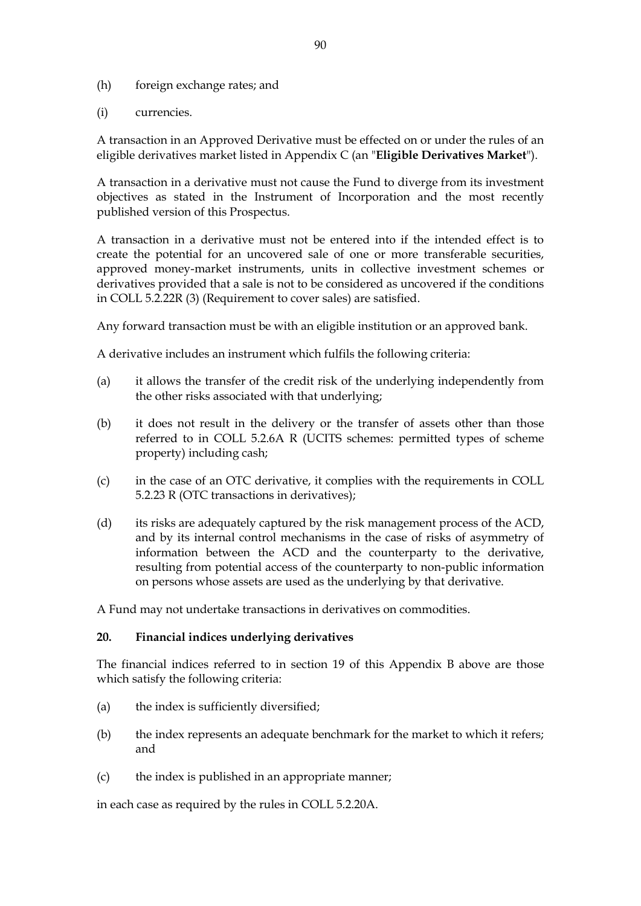- (h) foreign exchange rates; and
- (i) currencies.

A transaction in an Approved Derivative must be effected on or under the rules of an eligible derivatives market listed in Appendix C (an "**Eligible Derivatives Market**").

A transaction in a derivative must not cause the Fund to diverge from its investment objectives as stated in the Instrument of Incorporation and the most recently published version of this Prospectus.

A transaction in a derivative must not be entered into if the intended effect is to create the potential for an uncovered sale of one or more transferable securities, approved money-market instruments, units in collective investment schemes or derivatives provided that a sale is not to be considered as uncovered if the conditions in COLL 5.2.22R (3) (Requirement to cover sales) are satisfied.

Any forward transaction must be with an eligible institution or an approved bank.

A derivative includes an instrument which fulfils the following criteria:

- (a) it allows the transfer of the credit risk of the underlying independently from the other risks associated with that underlying;
- (b) it does not result in the delivery or the transfer of assets other than those referred to in COLL 5.2.6A R (UCITS schemes: permitted types of scheme property) including cash;
- (c) in the case of an OTC derivative, it complies with the requirements in COLL 5.2.23 R (OTC transactions in derivatives);
- (d) its risks are adequately captured by the risk management process of the ACD, and by its internal control mechanisms in the case of risks of asymmetry of information between the ACD and the counterparty to the derivative, resulting from potential access of the counterparty to non-public information on persons whose assets are used as the underlying by that derivative.

A Fund may not undertake transactions in derivatives on commodities.

#### **20. Financial indices underlying derivatives**

The financial indices referred to in section 19 of this Appendix B above are those which satisfy the following criteria:

- (a) the index is sufficiently diversified;
- (b) the index represents an adequate benchmark for the market to which it refers; and
- (c) the index is published in an appropriate manner;

in each case as required by the rules in COLL 5.2.20A.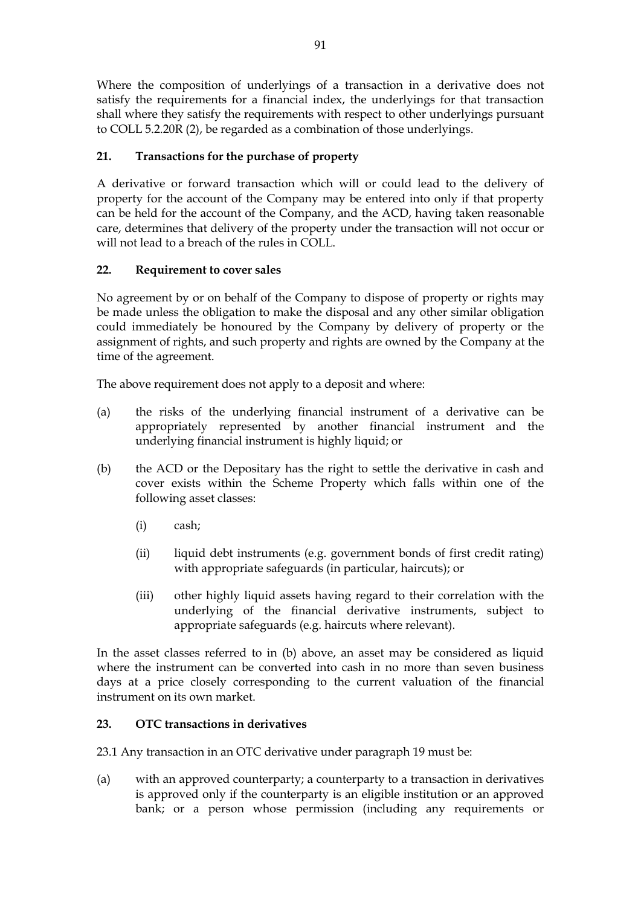Where the composition of underlyings of a transaction in a derivative does not satisfy the requirements for a financial index, the underlyings for that transaction shall where they satisfy the requirements with respect to other underlyings pursuant to COLL 5.2.20R (2), be regarded as a combination of those underlyings.

# **21. Transactions for the purchase of property**

A derivative or forward transaction which will or could lead to the delivery of property for the account of the Company may be entered into only if that property can be held for the account of the Company, and the ACD, having taken reasonable care, determines that delivery of the property under the transaction will not occur or will not lead to a breach of the rules in COLL.

# **22. Requirement to cover sales**

No agreement by or on behalf of the Company to dispose of property or rights may be made unless the obligation to make the disposal and any other similar obligation could immediately be honoured by the Company by delivery of property or the assignment of rights, and such property and rights are owned by the Company at the time of the agreement.

The above requirement does not apply to a deposit and where:

- (a) the risks of the underlying financial instrument of a derivative can be appropriately represented by another financial instrument and the underlying financial instrument is highly liquid; or
- (b) the ACD or the Depositary has the right to settle the derivative in cash and cover exists within the Scheme Property which falls within one of the following asset classes:
	- (i) cash;
	- (ii) liquid debt instruments (e.g. government bonds of first credit rating) with appropriate safeguards (in particular, haircuts); or
	- (iii) other highly liquid assets having regard to their correlation with the underlying of the financial derivative instruments, subject to appropriate safeguards (e.g. haircuts where relevant).

In the asset classes referred to in (b) above, an asset may be considered as liquid where the instrument can be converted into cash in no more than seven business days at a price closely corresponding to the current valuation of the financial instrument on its own market.

# **23. OTC transactions in derivatives**

23.1 Any transaction in an OTC derivative under paragraph 19 must be:

(a) with an approved counterparty; a counterparty to a transaction in derivatives is approved only if the counterparty is an eligible institution or an approved bank; or a person whose permission (including any requirements or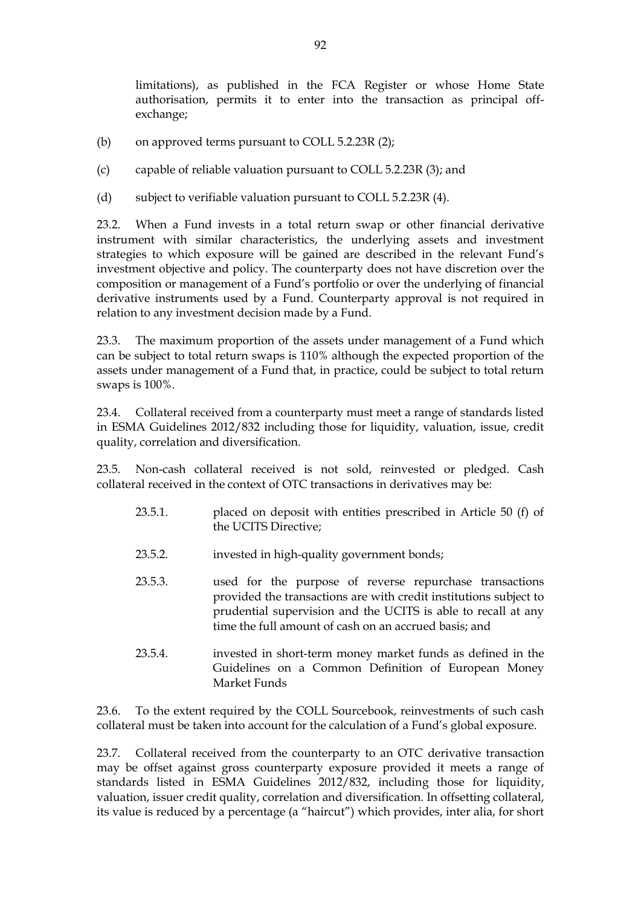limitations), as published in the FCA Register or whose Home State authorisation, permits it to enter into the transaction as principal offexchange;

- (b) on approved terms pursuant to COLL 5.2.23R (2);
- (c) capable of reliable valuation pursuant to COLL 5.2.23R (3); and
- (d) subject to verifiable valuation pursuant to COLL 5.2.23R (4).

23.2. When a Fund invests in a total return swap or other financial derivative instrument with similar characteristics, the underlying assets and investment strategies to which exposure will be gained are described in the relevant Fund's investment objective and policy. The counterparty does not have discretion over the composition or management of a Fund's portfolio or over the underlying of financial derivative instruments used by a Fund. Counterparty approval is not required in relation to any investment decision made by a Fund.

23.3. The maximum proportion of the assets under management of a Fund which can be subject to total return swaps is 110% although the expected proportion of the assets under management of a Fund that, in practice, could be subject to total return swaps is 100%.

23.4. Collateral received from a counterparty must meet a range of standards listed in ESMA Guidelines 2012/832 including those for liquidity, valuation, issue, credit quality, correlation and diversification.

23.5. Non-cash collateral received is not sold, reinvested or pledged. Cash collateral received in the context of OTC transactions in derivatives may be:

- 23.5.1. placed on deposit with entities prescribed in Article 50 (f) of the UCITS Directive;
- 23.5.2. invested in high-quality government bonds;
- 23.5.3. used for the purpose of reverse repurchase transactions provided the transactions are with credit institutions subject to prudential supervision and the UCITS is able to recall at any time the full amount of cash on an accrued basis; and
- 23.5.4. invested in short-term money market funds as defined in the Guidelines on a Common Definition of European Money Market Funds

23.6. To the extent required by the COLL Sourcebook, reinvestments of such cash collateral must be taken into account for the calculation of a Fund's global exposure.

23.7. Collateral received from the counterparty to an OTC derivative transaction may be offset against gross counterparty exposure provided it meets a range of standards listed in ESMA Guidelines 2012/832, including those for liquidity, valuation, issuer credit quality, correlation and diversification. In offsetting collateral, its value is reduced by a percentage (a "haircut") which provides, inter alia, for short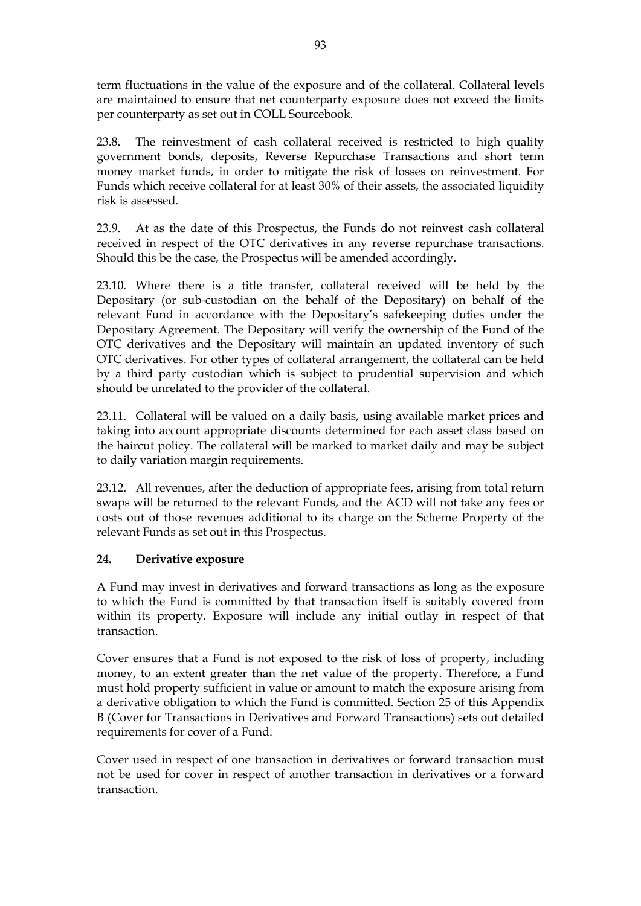term fluctuations in the value of the exposure and of the collateral. Collateral levels are maintained to ensure that net counterparty exposure does not exceed the limits per counterparty as set out in COLL Sourcebook.

23.8. The reinvestment of cash collateral received is restricted to high quality government bonds, deposits, Reverse Repurchase Transactions and short term money market funds, in order to mitigate the risk of losses on reinvestment. For Funds which receive collateral for at least 30% of their assets, the associated liquidity risk is assessed.

23.9. At as the date of this Prospectus, the Funds do not reinvest cash collateral received in respect of the OTC derivatives in any reverse repurchase transactions. Should this be the case, the Prospectus will be amended accordingly.

23.10. Where there is a title transfer, collateral received will be held by the Depositary (or sub-custodian on the behalf of the Depositary) on behalf of the relevant Fund in accordance with the Depositary's safekeeping duties under the Depositary Agreement. The Depositary will verify the ownership of the Fund of the OTC derivatives and the Depositary will maintain an updated inventory of such OTC derivatives. For other types of collateral arrangement, the collateral can be held by a third party custodian which is subject to prudential supervision and which should be unrelated to the provider of the collateral.

23.11. Collateral will be valued on a daily basis, using available market prices and taking into account appropriate discounts determined for each asset class based on the haircut policy. The collateral will be marked to market daily and may be subject to daily variation margin requirements.

23.12. All revenues, after the deduction of appropriate fees, arising from total return swaps will be returned to the relevant Funds, and the ACD will not take any fees or costs out of those revenues additional to its charge on the Scheme Property of the relevant Funds as set out in this Prospectus.

## **24. Derivative exposure**

A Fund may invest in derivatives and forward transactions as long as the exposure to which the Fund is committed by that transaction itself is suitably covered from within its property. Exposure will include any initial outlay in respect of that transaction.

Cover ensures that a Fund is not exposed to the risk of loss of property, including money, to an extent greater than the net value of the property. Therefore, a Fund must hold property sufficient in value or amount to match the exposure arising from a derivative obligation to which the Fund is committed. Section 25 of this Appendix B (Cover for Transactions in Derivatives and Forward Transactions) sets out detailed requirements for cover of a Fund.

Cover used in respect of one transaction in derivatives or forward transaction must not be used for cover in respect of another transaction in derivatives or a forward transaction.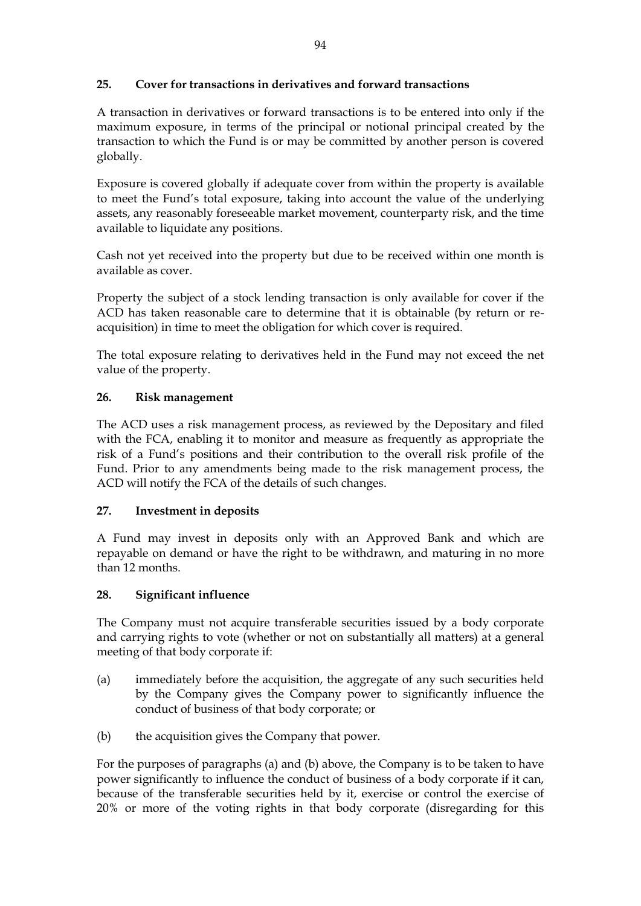## **25. Cover for transactions in derivatives and forward transactions**

A transaction in derivatives or forward transactions is to be entered into only if the maximum exposure, in terms of the principal or notional principal created by the transaction to which the Fund is or may be committed by another person is covered globally.

Exposure is covered globally if adequate cover from within the property is available to meet the Fund's total exposure, taking into account the value of the underlying assets, any reasonably foreseeable market movement, counterparty risk, and the time available to liquidate any positions.

Cash not yet received into the property but due to be received within one month is available as cover.

Property the subject of a stock lending transaction is only available for cover if the ACD has taken reasonable care to determine that it is obtainable (by return or reacquisition) in time to meet the obligation for which cover is required.

The total exposure relating to derivatives held in the Fund may not exceed the net value of the property.

## **26. Risk management**

The ACD uses a risk management process, as reviewed by the Depositary and filed with the FCA, enabling it to monitor and measure as frequently as appropriate the risk of a Fund's positions and their contribution to the overall risk profile of the Fund. Prior to any amendments being made to the risk management process, the ACD will notify the FCA of the details of such changes.

## **27. Investment in deposits**

A Fund may invest in deposits only with an Approved Bank and which are repayable on demand or have the right to be withdrawn, and maturing in no more than 12 months.

## **28. Significant influence**

The Company must not acquire transferable securities issued by a body corporate and carrying rights to vote (whether or not on substantially all matters) at a general meeting of that body corporate if:

- (a) immediately before the acquisition, the aggregate of any such securities held by the Company gives the Company power to significantly influence the conduct of business of that body corporate; or
- (b) the acquisition gives the Company that power.

For the purposes of paragraphs (a) and (b) above, the Company is to be taken to have power significantly to influence the conduct of business of a body corporate if it can, because of the transferable securities held by it, exercise or control the exercise of 20% or more of the voting rights in that body corporate (disregarding for this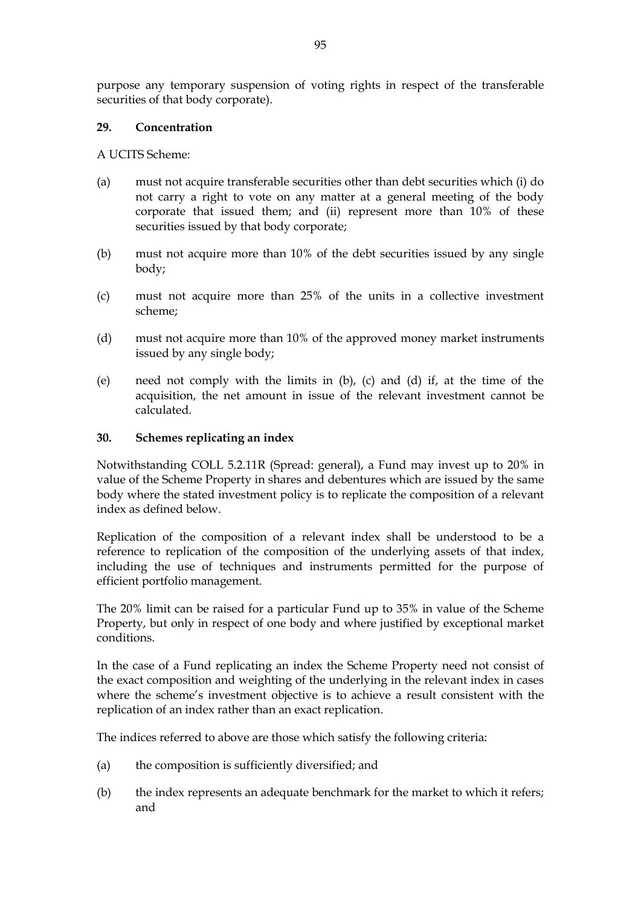purpose any temporary suspension of voting rights in respect of the transferable securities of that body corporate).

#### **29. Concentration**

A UCITS Scheme:

- (a) must not acquire transferable securities other than debt securities which (i) do not carry a right to vote on any matter at a general meeting of the body corporate that issued them; and (ii) represent more than 10% of these securities issued by that body corporate;
- (b) must not acquire more than 10% of the debt securities issued by any single body;
- (c) must not acquire more than 25% of the units in a collective investment scheme;
- (d) must not acquire more than 10% of the approved money market instruments issued by any single body;
- (e) need not comply with the limits in (b), (c) and (d) if, at the time of the acquisition, the net amount in issue of the relevant investment cannot be calculated.

#### **30. Schemes replicating an index**

Notwithstanding COLL 5.2.11R (Spread: general), a Fund may invest up to 20% in value of the Scheme Property in shares and debentures which are issued by the same body where the stated investment policy is to replicate the composition of a relevant index as defined below.

Replication of the composition of a relevant index shall be understood to be a reference to replication of the composition of the underlying assets of that index, including the use of techniques and instruments permitted for the purpose of efficient portfolio management.

The 20% limit can be raised for a particular Fund up to 35% in value of the Scheme Property, but only in respect of one body and where justified by exceptional market conditions.

In the case of a Fund replicating an index the Scheme Property need not consist of the exact composition and weighting of the underlying in the relevant index in cases where the scheme's investment objective is to achieve a result consistent with the replication of an index rather than an exact replication.

The indices referred to above are those which satisfy the following criteria:

- (a) the composition is sufficiently diversified; and
- (b) the index represents an adequate benchmark for the market to which it refers; and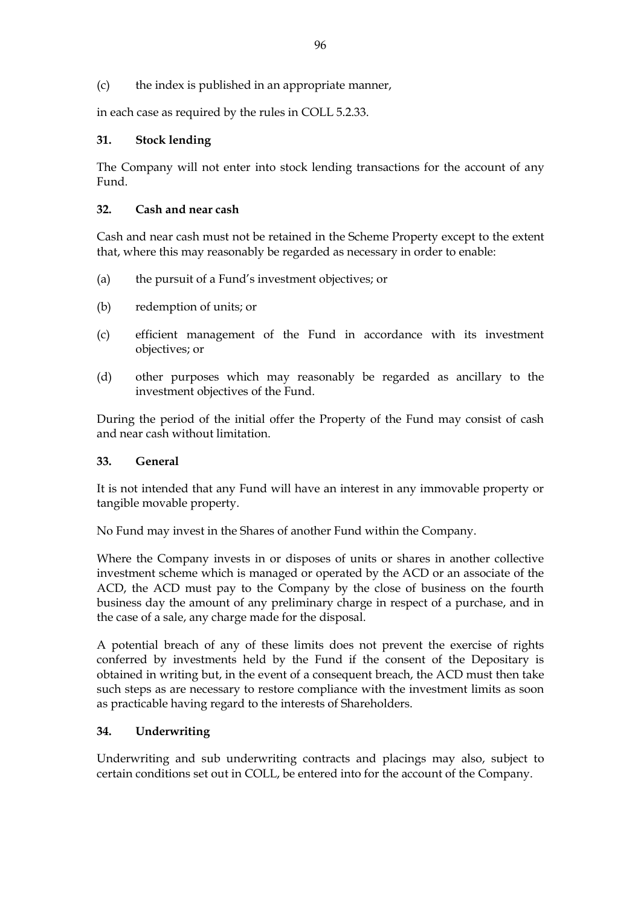(c) the index is published in an appropriate manner,

in each case as required by the rules in COLL 5.2.33.

## **31. Stock lending**

The Company will not enter into stock lending transactions for the account of any Fund.

## **32. Cash and near cash**

Cash and near cash must not be retained in the Scheme Property except to the extent that, where this may reasonably be regarded as necessary in order to enable:

- (a) the pursuit of a Fund's investment objectives; or
- (b) redemption of units; or
- (c) efficient management of the Fund in accordance with its investment objectives; or
- (d) other purposes which may reasonably be regarded as ancillary to the investment objectives of the Fund.

During the period of the initial offer the Property of the Fund may consist of cash and near cash without limitation.

## **33. General**

It is not intended that any Fund will have an interest in any immovable property or tangible movable property.

No Fund may invest in the Shares of another Fund within the Company.

Where the Company invests in or disposes of units or shares in another collective investment scheme which is managed or operated by the ACD or an associate of the ACD, the ACD must pay to the Company by the close of business on the fourth business day the amount of any preliminary charge in respect of a purchase, and in the case of a sale, any charge made for the disposal.

A potential breach of any of these limits does not prevent the exercise of rights conferred by investments held by the Fund if the consent of the Depositary is obtained in writing but, in the event of a consequent breach, the ACD must then take such steps as are necessary to restore compliance with the investment limits as soon as practicable having regard to the interests of Shareholders.

## **34. Underwriting**

Underwriting and sub underwriting contracts and placings may also, subject to certain conditions set out in COLL, be entered into for the account of the Company.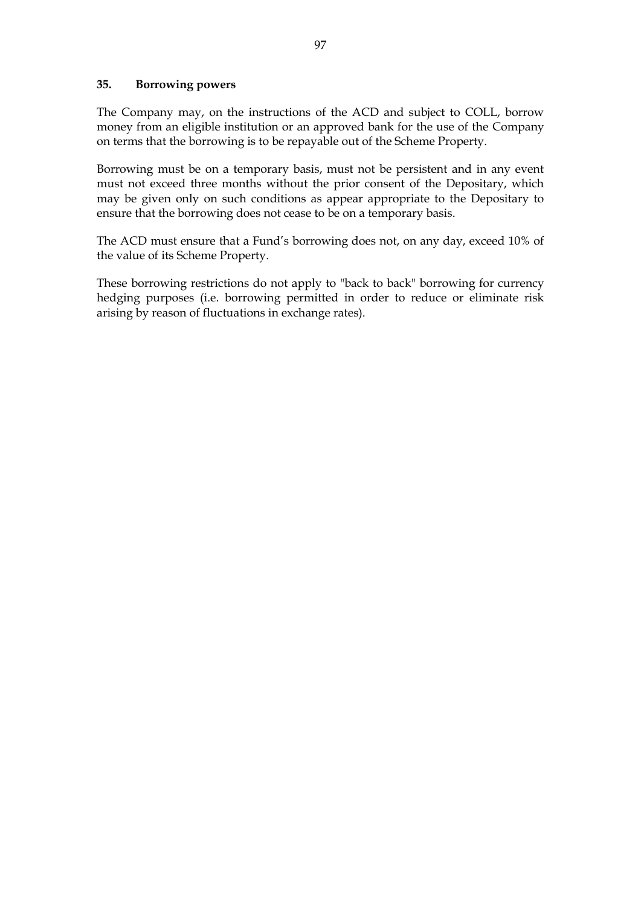#### **35. Borrowing powers**

The Company may, on the instructions of the ACD and subject to COLL, borrow money from an eligible institution or an approved bank for the use of the Company on terms that the borrowing is to be repayable out of the Scheme Property.

Borrowing must be on a temporary basis, must not be persistent and in any event must not exceed three months without the prior consent of the Depositary, which may be given only on such conditions as appear appropriate to the Depositary to ensure that the borrowing does not cease to be on a temporary basis.

The ACD must ensure that a Fund's borrowing does not, on any day, exceed 10% of the value of its Scheme Property.

These borrowing restrictions do not apply to "back to back" borrowing for currency hedging purposes (i.e. borrowing permitted in order to reduce or eliminate risk arising by reason of fluctuations in exchange rates).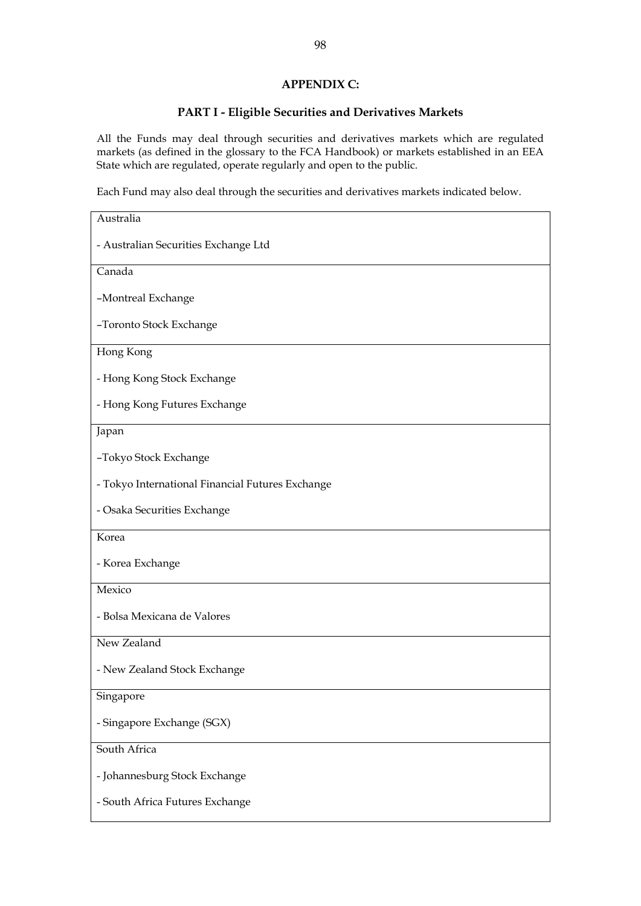#### **APPENDIX C:**

## **PART I - Eligible Securities and Derivatives Markets**

All the Funds may deal through securities and derivatives markets which are regulated markets (as defined in the glossary to the FCA Handbook) or markets established in an EEA State which are regulated, operate regularly and open to the public.

Each Fund may also deal through the securities and derivatives markets indicated below.

| Australia                                        |
|--------------------------------------------------|
| - Australian Securities Exchange Ltd             |
| Canada                                           |
| -Montreal Exchange                               |
| -Toronto Stock Exchange                          |
| Hong Kong                                        |
| - Hong Kong Stock Exchange                       |
| - Hong Kong Futures Exchange                     |
| Japan                                            |
| -Tokyo Stock Exchange                            |
| - Tokyo International Financial Futures Exchange |
| - Osaka Securities Exchange                      |
| Korea                                            |
| - Korea Exchange                                 |
| Mexico                                           |
| - Bolsa Mexicana de Valores                      |
| New Zealand                                      |
| - New Zealand Stock Exchange                     |
| Singapore                                        |
| - Singapore Exchange (SGX)                       |
| South Africa                                     |
| - Johannesburg Stock Exchange                    |
| - South Africa Futures Exchange                  |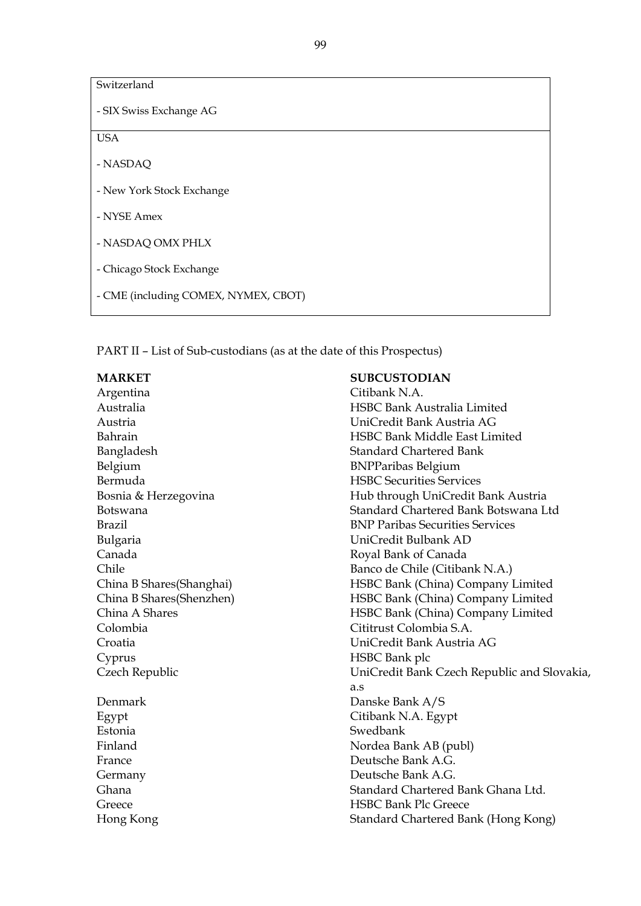| Switzerland                          |
|--------------------------------------|
| - SIX Swiss Exchange AG              |
| <b>USA</b>                           |
| - NASDAQ                             |
| - New York Stock Exchange            |
| - NYSE Amex                          |
| - NASDAQ OMX PHLX                    |
| - Chicago Stock Exchange             |
| - CME (including COMEX, NYMEX, CBOT) |

PART II – List of Sub-custodians (as at the date of this Prospectus)

Argentina Citibank N.A. Bangladesh Standard Chartered Bank Belgium BNPParibas Belgium Bermuda HSBC Securities Services Bulgaria UniCredit Bulbank AD Canada Royal Bank of Canada China B Shares(Shanghai) China B Shares(Shenzhen) China A Shares Colombia Cititrust Colombia S.A. Cyprus HSBC Bank plc Denmark Danske Bank A/S Egypt Citibank N.A. Egypt

Estonia Swedbank

#### **MARKET SUBCUSTODIAN**

Australia HSBC Bank Australia Limited Austria UniCredit Bank Austria AG Bahrain HSBC Bank Middle East Limited Bosnia & Herzegovina Hub through UniCredit Bank Austria Botswana **Standard Chartered Bank Botswana Ltd** Brazil BNP Paribas Securities Services Chile Banco de Chile (Citibank N.A.) HSBC Bank (China) Company Limited HSBC Bank (China) Company Limited HSBC Bank (China) Company Limited Croatia UniCredit Bank Austria AG Czech Republic UniCredit Bank Czech Republic and Slovakia, a.s Finland Nordea Bank AB (publ) France Deutsche Bank A.G. Germany Deutsche Bank A.G. Ghana **Standard Chartered Bank Ghana Ltd.** Standard Chartered Bank Ghana Ltd. Greece HSBC Bank Plc Greece Hong Kong Standard Chartered Bank (Hong Kong)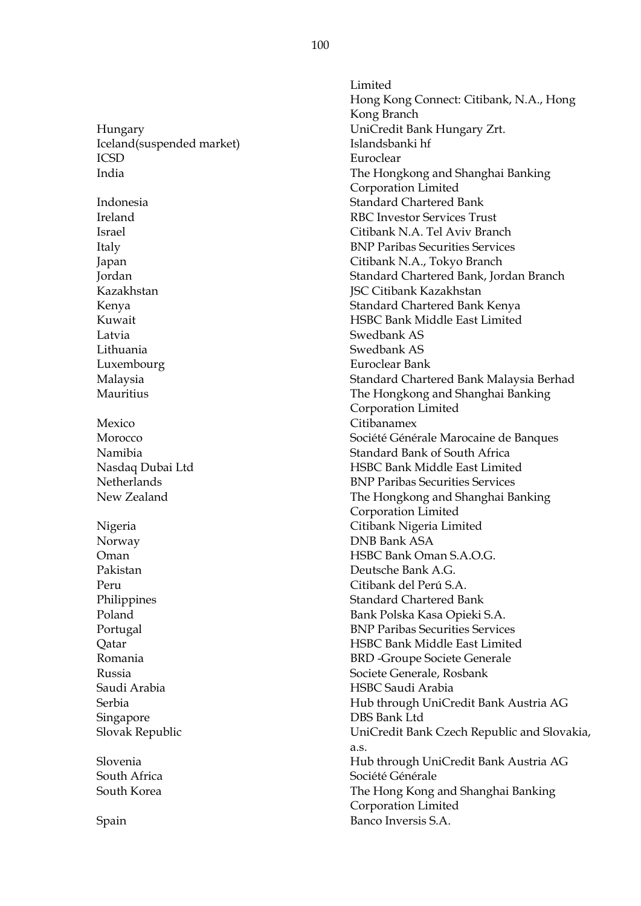Iceland(suspended market) Islandsbanki hf ICSD Euroclear Kazakhstan JSC Citibank Kazakhstan Latvia Swedbank AS Lithuania Swedbank AS Luxembourg Euroclear Bank Mexico Citibanamex Norway DNB Bank ASA Pakistan Deutsche Bank A.G. Peru Citibank del Perú S.A. Saudi Arabia HSBC Saudi Arabia Singapore DBS Bank Ltd South Africa Société Générale

Limited Hong Kong Connect: Citibank, N.A., Hong Kong Branch Hungary UniCredit Bank Hungary Zrt. India The Hongkong and Shanghai Banking Corporation Limited Indonesia Standard Chartered Bank Ireland RBC Investor Services Trust Israel Citibank N.A. Tel Aviv Branch Italy BNP Paribas Securities Services Japan Citibank N.A., Tokyo Branch Jordan Standard Chartered Bank, Jordan Branch Kenya Standard Chartered Bank Kenya Kuwait HSBC Bank Middle East Limited Malaysia Standard Chartered Bank Malaysia Berhad Mauritius The Hongkong and Shanghai Banking Corporation Limited Morocco Société Générale Marocaine de Banques Namibia Standard Bank of South Africa Nasdaq Dubai Ltd HSBC Bank Middle East Limited Netherlands BNP Paribas Securities Services New Zealand The Hongkong and Shanghai Banking Corporation Limited Nigeria Citibank Nigeria Limited Oman HSBC Bank Oman S.A.O.G. Philippines Standard Chartered Bank Poland Bank Polska Kasa Opieki S.A. Portugal BNP Paribas Securities Services Qatar HSBC Bank Middle East Limited Romania BRD -Groupe Societe Generale Russia Societe Generale, Rosbank Serbia Hub through UniCredit Bank Austria AG Slovak Republic UniCredit Bank Czech Republic and Slovakia, a.s. Slovenia Hub through UniCredit Bank Austria AG South Korea The Hong Kong and Shanghai Banking Corporation Limited Spain Banco Inversis S.A.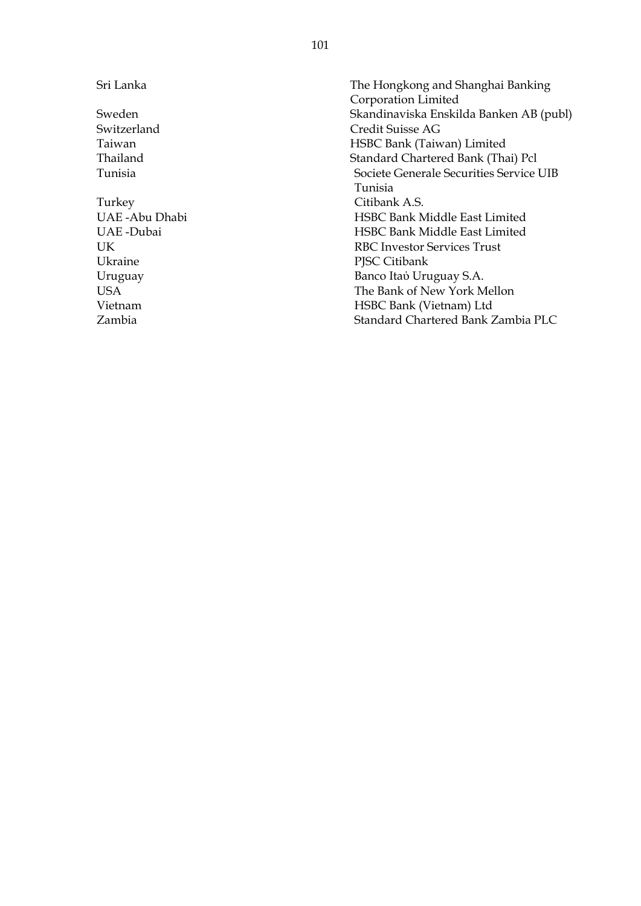Turkey Citibank A.S. Ukraine PJSC Citibank

Sri Lanka The Hongkong and Shanghai Banking Corporation Limited Sweden Skandinaviska Enskilda Banken AB (publ) Switzerland Credit Suisse AG Taiwan HSBC Bank (Taiwan) Limited Thailand Standard Chartered Bank (Thai) Pcl Tunisia Societe Generale Securities Service UIB Tunisia UAE -Abu Dhabi HSBC Bank Middle East Limited HSBC Bank Middle East Limited UK RBC Investor Services Trust Uruguay Banco Itaύ Uruguay S.A. USA The Bank of New York Mellon Vietnam HSBC Bank (Vietnam) Ltd Zambia Standard Chartered Bank Zambia PLC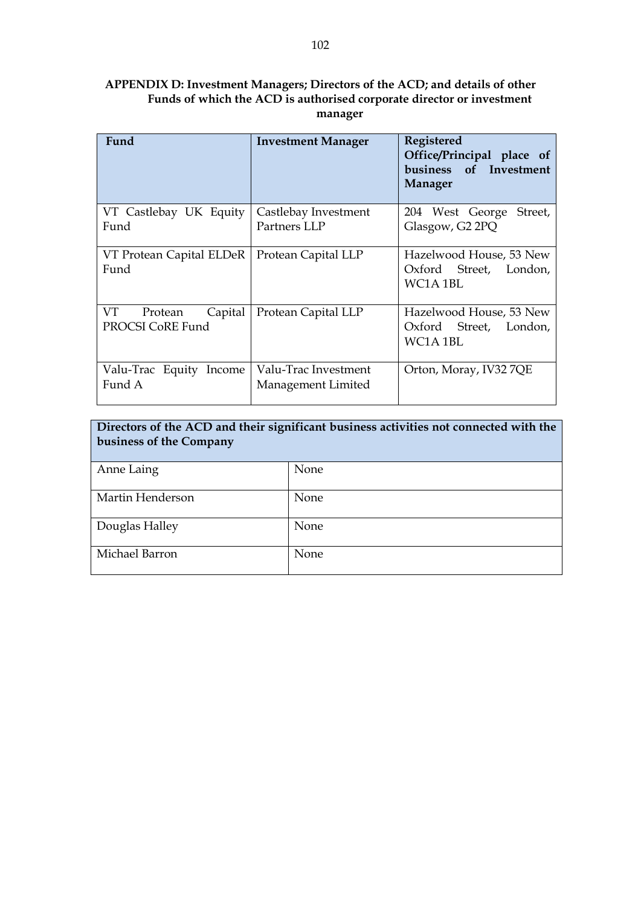## **APPENDIX D: Investment Managers; Directors of the ACD; and details of other Funds of which the ACD is authorised corporate director or investment manager**

| Fund                                         | <b>Investment Manager</b>                  | Registered<br>Office/Principal place of<br>business of Investment<br><b>Manager</b> |
|----------------------------------------------|--------------------------------------------|-------------------------------------------------------------------------------------|
| VT Castlebay UK Equity<br>Fund               | Castlebay Investment<br>Partners LLP       | 204 West George<br>Street,<br>Glasgow, G2 2PQ                                       |
| VT Protean Capital ELDeR<br>Fund             | Protean Capital LLP                        | Hazelwood House, 53 New<br>Oxford Street, London,<br>WC1A 1BL                       |
| VT<br>Capital<br>Protean<br>PROCSI CoRE Fund | Protean Capital LLP                        | Hazelwood House, 53 New<br>Oxford Street, London,<br>WC1A 1BL                       |
| Valu-Trac Equity Income<br>Fund A            | Valu-Trac Investment<br>Management Limited | Orton, Moray, IV32 7QE                                                              |

| Directors of the ACD and their significant business activities not connected with the<br>business of the Company |      |  |  |
|------------------------------------------------------------------------------------------------------------------|------|--|--|
| Anne Laing                                                                                                       | None |  |  |
| Martin Henderson                                                                                                 | None |  |  |
| Douglas Halley                                                                                                   | None |  |  |
| Michael Barron                                                                                                   | None |  |  |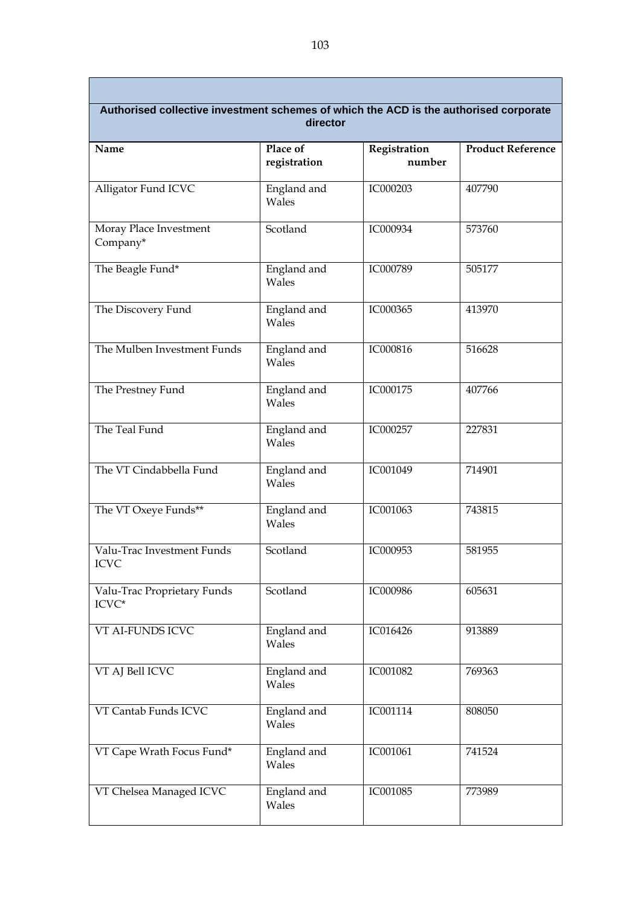| Authorised collective investment schemes of which the ACD is the authorised corporate<br>director |                          |                        |                          |  |
|---------------------------------------------------------------------------------------------------|--------------------------|------------------------|--------------------------|--|
| Name                                                                                              | Place of<br>registration | Registration<br>number | <b>Product Reference</b> |  |
| Alligator Fund ICVC                                                                               | England and<br>Wales     | IC000203               | 407790                   |  |
| Moray Place Investment<br>Company*                                                                | Scotland                 | IC000934               | 573760                   |  |
| The Beagle Fund*                                                                                  | England and<br>Wales     | IC000789               | 505177                   |  |
| The Discovery Fund                                                                                | England and<br>Wales     | IC000365               | 413970                   |  |
| The Mulben Investment Funds                                                                       | England and<br>Wales     | IC000816               | 516628                   |  |
| The Prestney Fund                                                                                 | England and<br>Wales     | IC000175               | 407766                   |  |
| The Teal Fund                                                                                     | England and<br>Wales     | IC000257               | 227831                   |  |
| The VT Cindabbella Fund                                                                           | England and<br>Wales     | IC001049               | 714901                   |  |
| The VT Oxeye Funds**                                                                              | England and<br>Wales     | IC001063               | 743815                   |  |
| Valu-Trac Investment Funds<br><b>ICVC</b>                                                         | Scotland                 | IC000953               | 581955                   |  |
| Valu-Trac Proprietary Funds<br>ICVC*                                                              | Scotland                 | IC000986               | 605631                   |  |
| VT AI-FUNDS ICVC                                                                                  | England and<br>Wales     | IC016426               | 913889                   |  |
| VT AJ Bell ICVC                                                                                   | England and<br>Wales     | IC001082               | 769363                   |  |
| VT Cantab Funds ICVC                                                                              | England and<br>Wales     | IC001114               | 808050                   |  |
| VT Cape Wrath Focus Fund*                                                                         | England and<br>Wales     | IC001061               | 741524                   |  |
| VT Chelsea Managed ICVC                                                                           | England and<br>Wales     | IC001085               | 773989                   |  |

Г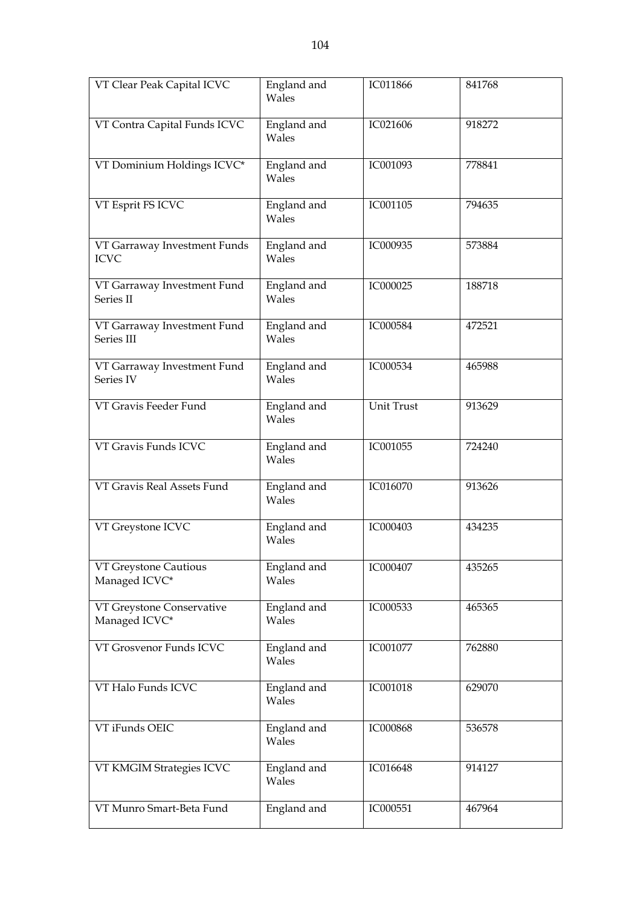| VT Clear Peak Capital ICVC                  | England and<br>Wales | IC011866        | 841768 |
|---------------------------------------------|----------------------|-----------------|--------|
| VT Contra Capital Funds ICVC                | England and<br>Wales | IC021606        | 918272 |
| VT Dominium Holdings ICVC*                  | England and<br>Wales | IC001093        | 778841 |
| VT Esprit FS ICVC                           | England and<br>Wales | IC001105        | 794635 |
| VT Garraway Investment Funds<br><b>ICVC</b> | England and<br>Wales | IC000935        | 573884 |
| VT Garraway Investment Fund<br>Series II    | England and<br>Wales | IC000025        | 188718 |
| VT Garraway Investment Fund<br>Series III   | England and<br>Wales | IC000584        | 472521 |
| VT Garraway Investment Fund<br>Series IV    | England and<br>Wales | IC000534        | 465988 |
| VT Gravis Feeder Fund                       | England and<br>Wales | Unit Trust      | 913629 |
| VT Gravis Funds ICVC                        | England and<br>Wales | IC001055        | 724240 |
| VT Gravis Real Assets Fund                  | England and<br>Wales | IC016070        | 913626 |
| VT Greystone ICVC                           | England and<br>Wales | IC000403        | 434235 |
| VT Greystone Cautious<br>Managed ICVC*      | England and<br>Wales | IC000407        | 435265 |
| VT Greystone Conservative<br>Managed ICVC*  | England and<br>Wales | IC000533        | 465365 |
| VT Grosvenor Funds ICVC                     | England and<br>Wales | IC001077        | 762880 |
| VT Halo Funds ICVC                          | England and<br>Wales | IC001018        | 629070 |
| VT iFunds OEIC                              | England and<br>Wales | <b>IC000868</b> | 536578 |
| VT KMGIM Strategies ICVC                    | England and<br>Wales | IC016648        | 914127 |
| VT Munro Smart-Beta Fund                    | England and          | IC000551        | 467964 |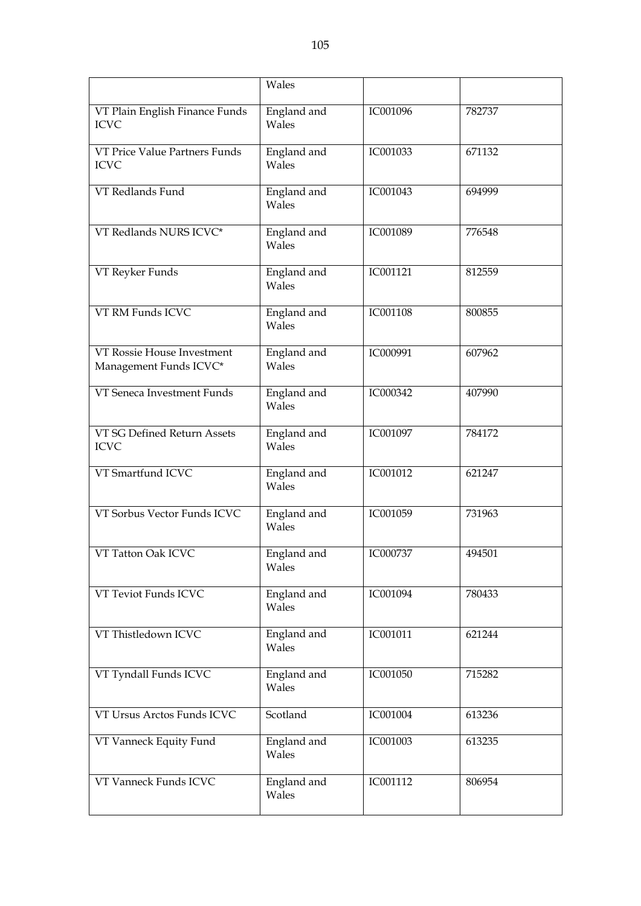|                                                      | Wales                |          |        |
|------------------------------------------------------|----------------------|----------|--------|
| VT Plain English Finance Funds<br><b>ICVC</b>        | England and<br>Wales | IC001096 | 782737 |
| VT Price Value Partners Funds<br><b>ICVC</b>         | England and<br>Wales | IC001033 | 671132 |
| VT Redlands Fund                                     | England and<br>Wales | IC001043 | 694999 |
| VT Redlands NURS ICVC*                               | England and<br>Wales | IC001089 | 776548 |
| VT Reyker Funds                                      | England and<br>Wales | IC001121 | 812559 |
| VT RM Funds ICVC                                     | England and<br>Wales | IC001108 | 800855 |
| VT Rossie House Investment<br>Management Funds ICVC* | England and<br>Wales | IC000991 | 607962 |
| VT Seneca Investment Funds                           | England and<br>Wales | IC000342 | 407990 |
| VT SG Defined Return Assets<br><b>ICVC</b>           | England and<br>Wales | IC001097 | 784172 |
| VT Smartfund ICVC                                    | England and<br>Wales | IC001012 | 621247 |
| VT Sorbus Vector Funds ICVC                          | England and<br>Wales | IC001059 | 731963 |
| VT Tatton Oak ICVC                                   | England and<br>Wales | IC000737 | 494501 |
| VT Teviot Funds ICVC                                 | England and<br>Wales | IC001094 | 780433 |
| VT Thistledown ICVC                                  | England and<br>Wales | IC001011 | 621244 |
| VT Tyndall Funds ICVC                                | England and<br>Wales | IC001050 | 715282 |
| VT Ursus Arctos Funds ICVC                           | Scotland             | IC001004 | 613236 |
| VT Vanneck Equity Fund                               | England and<br>Wales | IC001003 | 613235 |
| VT Vanneck Funds ICVC                                | England and<br>Wales | IC001112 | 806954 |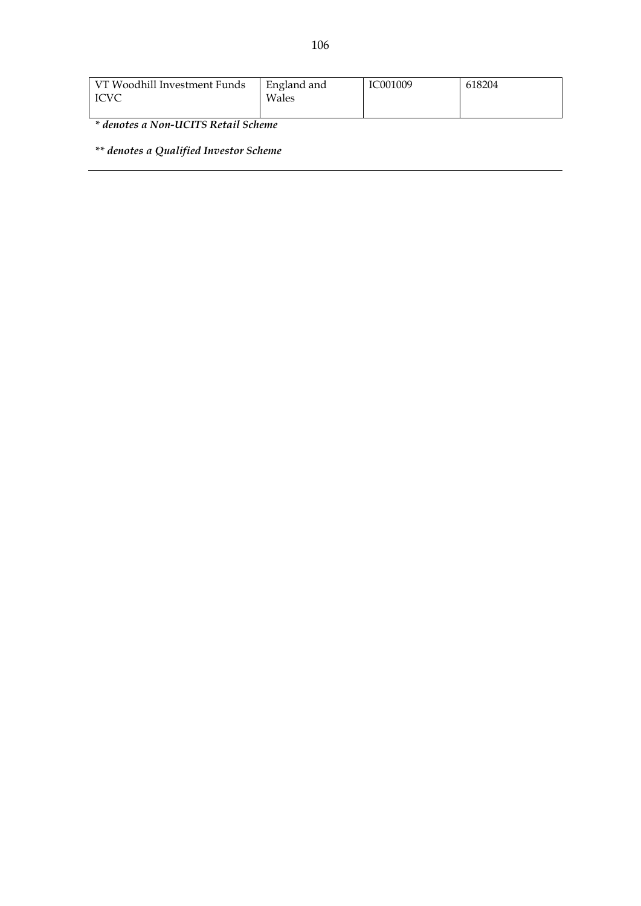| VT Woodhill Investment Funds<br><b>ICVC</b> | England and<br>Wales | IC001009 | 618204 |
|---------------------------------------------|----------------------|----------|--------|
|---------------------------------------------|----------------------|----------|--------|

*\* denotes a Non-UCITS Retail Scheme*

*\*\* denotes a Qualified Investor Scheme*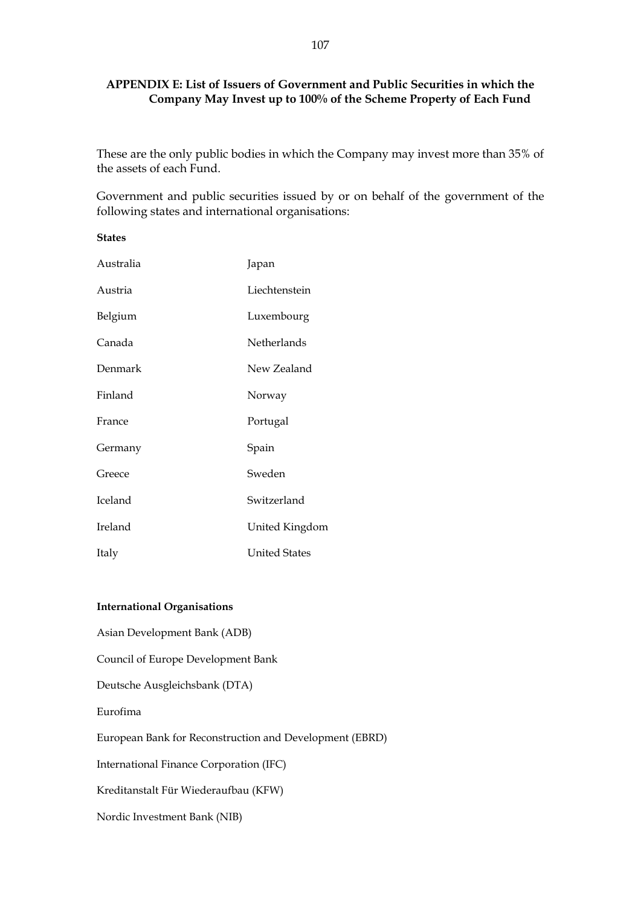# **APPENDIX E: List of Issuers of Government and Public Securities in which the Company May Invest up to 100% of the Scheme Property of Each Fund**

These are the only public bodies in which the Company may invest more than 35% of the assets of each Fund.

Government and public securities issued by or on behalf of the government of the following states and international organisations:

| <b>States</b> |                      |
|---------------|----------------------|
| Australia     | Japan                |
| Austria       | Liechtenstein        |
| Belgium       | Luxembourg           |
| Canada        | Netherlands          |
| Denmark       | New Zealand          |
| Finland       | Norway               |
| France        | Portugal             |
| Germany       | Spain                |
| Greece        | Sweden               |
| Iceland       | Switzerland          |
| Ireland       | United Kingdom       |
| Italy         | <b>United States</b> |

## **International Organisations**

Asian Development Bank (ADB) Council of Europe Development Bank Deutsche Ausgleichsbank (DTA) Eurofima European Bank for Reconstruction and Development (EBRD) International Finance Corporation (IFC) Kreditanstalt Für Wiederaufbau (KFW) Nordic Investment Bank (NIB)